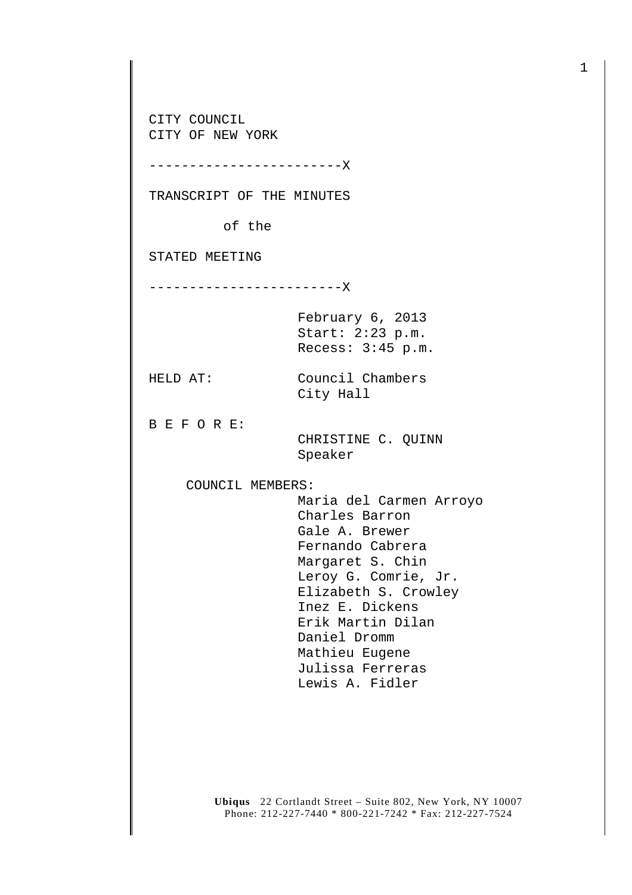CITY COUNCIL CITY OF NEW YORK

------------------------X

TRANSCRIPT OF THE MINUTES

of the

STATED MEETING

------------------------X

February 6, 2013 Start: 2:23 p.m. Recess: 3:45 p.m.

City Hall

HELD AT: Council Chambers

B E F O R E:

 CHRISTINE C. QUINN Speaker

COUNCIL MEMBERS:

 Maria del Carmen Arroyo Charles Barron Gale A. Brewer Fernando Cabrera Margaret S. Chin Leroy G. Comrie, Jr. Elizabeth S. Crowley Inez E. Dickens Erik Martin Dilan Daniel Dromm Mathieu Eugene Julissa Ferreras Lewis A. Fidler

**Ubiqus** 22 Cortlandt Street – Suite 802, New York, NY 10007 Phone: 212-227-7440 \* 800-221-7242 \* Fax: 212-227-7524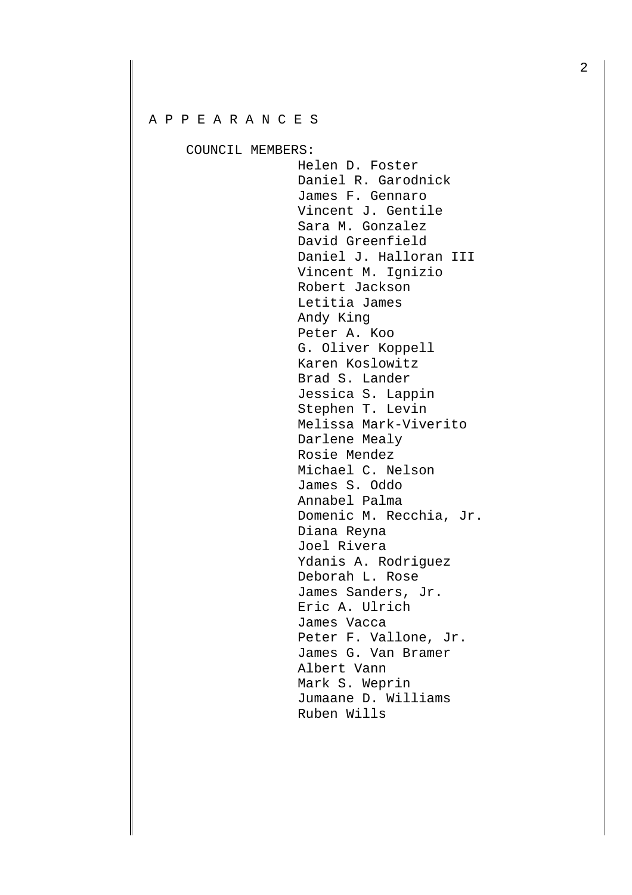## A P P E A R A N C E S

COUNCIL MEMBERS:

Helen D. Foster Daniel R. Garodnick James F. Gennaro Vincent J. Gentile Sara M. Gonzalez David Greenfield Daniel J. Halloran III Vincent M. Ignizio Robert Jackson Letitia James Andy King Peter A. Koo G. Oliver Koppell Karen Koslowitz Brad S. Lander Jessica S. Lappin Stephen T. Levin Melissa Mark-Viverito Darlene Mealy Rosie Mendez Michael C. Nelson James S. Oddo Annabel Palma Domenic M. Recchia, Jr. Diana Reyna Joel Rivera Ydanis A. Rodriguez Deborah L. Rose James Sanders, Jr. Eric A. Ulrich James Vacca Peter F. Vallone, Jr. James G. Van Bramer Albert Vann Mark S. Weprin Jumaane D. Williams Ruben Wills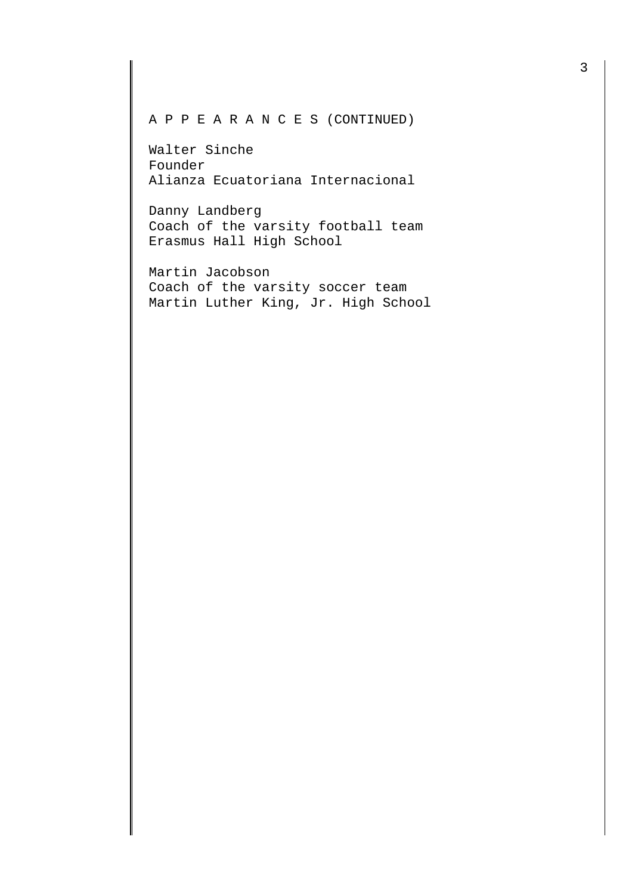## A P P E A R A N C E S (CONTINUED)

Walter Sinche Founder Alianza Ecuatoriana Internacional

Danny Landberg Coach of the varsity football team Erasmus Hall High School

Martin Jacobson Coach of the varsity soccer team Martin Luther King, Jr. High School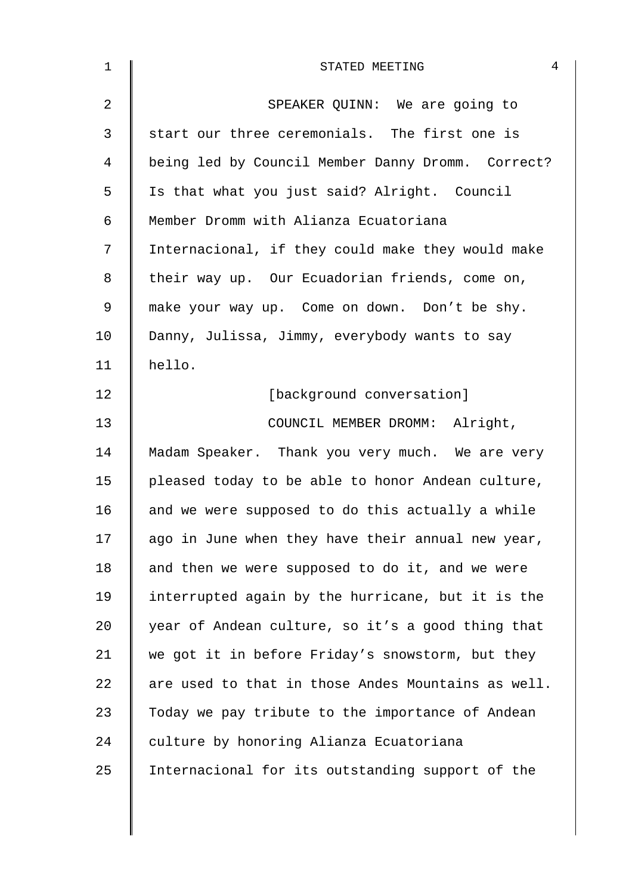| $\mathbf 1$    | $\overline{4}$<br>STATED MEETING                   |
|----------------|----------------------------------------------------|
| $\overline{2}$ | SPEAKER QUINN: We are going to                     |
| 3              | start our three ceremonials. The first one is      |
| $\overline{4}$ | being led by Council Member Danny Dromm. Correct?  |
| 5              | Is that what you just said? Alright. Council       |
| 6              | Member Dromm with Alianza Ecuatoriana              |
| 7              | Internacional, if they could make they would make  |
| 8              | their way up. Our Ecuadorian friends, come on,     |
| $\mathsf 9$    | make your way up. Come on down. Don't be shy.      |
| 10             | Danny, Julissa, Jimmy, everybody wants to say      |
| 11             | hello.                                             |
| 12             | [background conversation]                          |
| 13             | COUNCIL MEMBER DROMM: Alright,                     |
| 14             | Madam Speaker. Thank you very much. We are very    |
| 15             | pleased today to be able to honor Andean culture,  |
| 16             | and we were supposed to do this actually a while   |
| 17             | ago in June when they have their annual new year,  |
| 18             | and then we were supposed to do it, and we were    |
| 19             | interrupted again by the hurricane, but it is the  |
| 20             | year of Andean culture, so it's a good thing that  |
| 21             | we got it in before Friday's snowstorm, but they   |
| 22             | are used to that in those Andes Mountains as well. |
| 23             | Today we pay tribute to the importance of Andean   |
| 24             | culture by honoring Alianza Ecuatoriana            |
| 25             | Internacional for its outstanding support of the   |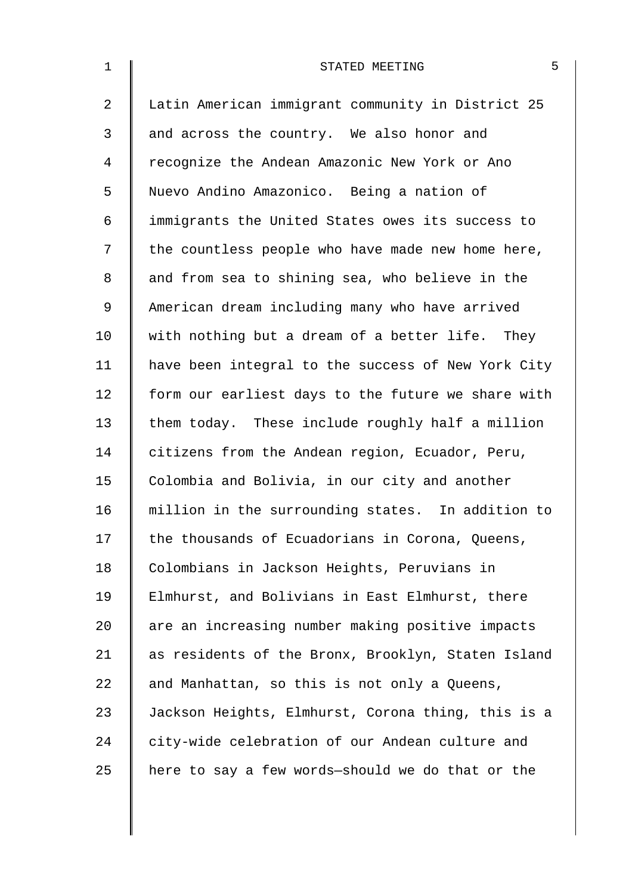| $\mathbf 1$    | 5<br>STATED MEETING                                |
|----------------|----------------------------------------------------|
| $\overline{a}$ | Latin American immigrant community in District 25  |
| 3              | and across the country. We also honor and          |
| 4              | recognize the Andean Amazonic New York or Ano      |
| 5              | Nuevo Andino Amazonico. Being a nation of          |
| 6              | immigrants the United States owes its success to   |
| 7              | the countless people who have made new home here,  |
| 8              | and from sea to shining sea, who believe in the    |
| 9              | American dream including many who have arrived     |
| 10             | with nothing but a dream of a better life. They    |
| 11             | have been integral to the success of New York City |
| 12             | form our earliest days to the future we share with |
| 13             | them today. These include roughly half a million   |
| 14             | citizens from the Andean region, Ecuador, Peru,    |
| 15             | Colombia and Bolivia, in our city and another      |
| 16             | million in the surrounding states. In addition to  |
| 17             | the thousands of Ecuadorians in Corona, Queens,    |
| 18             | Colombians in Jackson Heights, Peruvians in        |
| 19             | Elmhurst, and Bolivians in East Elmhurst, there    |
| 20             | are an increasing number making positive impacts   |
| 21             | as residents of the Bronx, Brooklyn, Staten Island |
| 22             | and Manhattan, so this is not only a Queens,       |
| 23             | Jackson Heights, Elmhurst, Corona thing, this is a |
| 24             | city-wide celebration of our Andean culture and    |
| 25             | here to say a few words-should we do that or the   |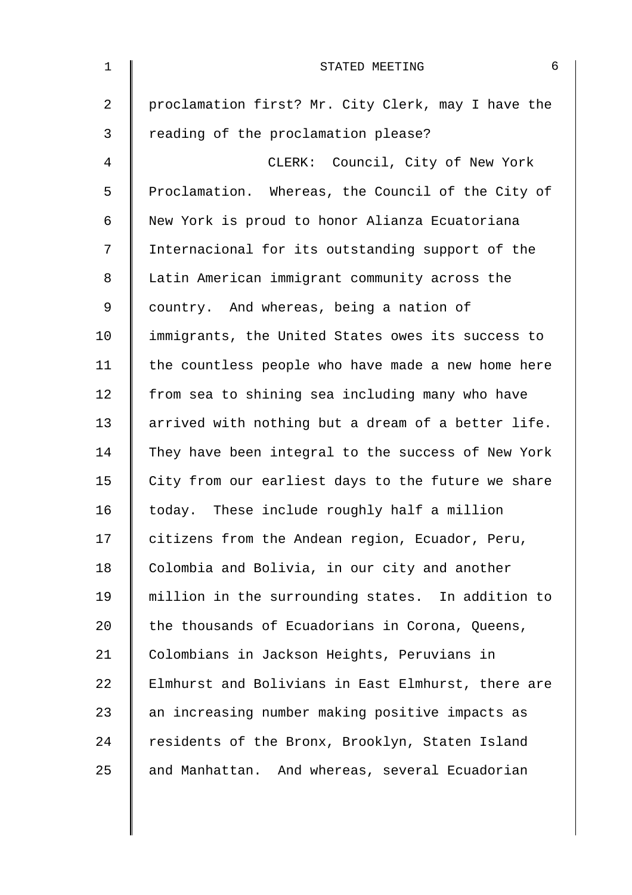| $\mathbf{1}$   | 6<br>STATED MEETING                                |
|----------------|----------------------------------------------------|
| $\overline{a}$ | proclamation first? Mr. City Clerk, may I have the |
| 3              | reading of the proclamation please?                |
| 4              | CLERK: Council, City of New York                   |
| 5              | Proclamation. Whereas, the Council of the City of  |
| 6              | New York is proud to honor Alianza Ecuatoriana     |
| 7              | Internacional for its outstanding support of the   |
| 8              | Latin American immigrant community across the      |
| 9              | country. And whereas, being a nation of            |
| 10             | immigrants, the United States owes its success to  |
| 11             | the countless people who have made a new home here |
| 12             | from sea to shining sea including many who have    |
| 13             | arrived with nothing but a dream of a better life. |
| 14             | They have been integral to the success of New York |
| 15             | City from our earliest days to the future we share |
| 16             | today. These include roughly half a million        |
| 17             | citizens from the Andean region, Ecuador, Peru,    |
| 18             | Colombia and Bolivia, in our city and another      |
| 19             | million in the surrounding states. In addition to  |
| 20             | the thousands of Ecuadorians in Corona, Queens,    |
| 21             | Colombians in Jackson Heights, Peruvians in        |
| 22             | Elmhurst and Bolivians in East Elmhurst, there are |
| 23             | an increasing number making positive impacts as    |
| 24             | residents of the Bronx, Brooklyn, Staten Island    |
| 25             | and Manhattan. And whereas, several Ecuadorian     |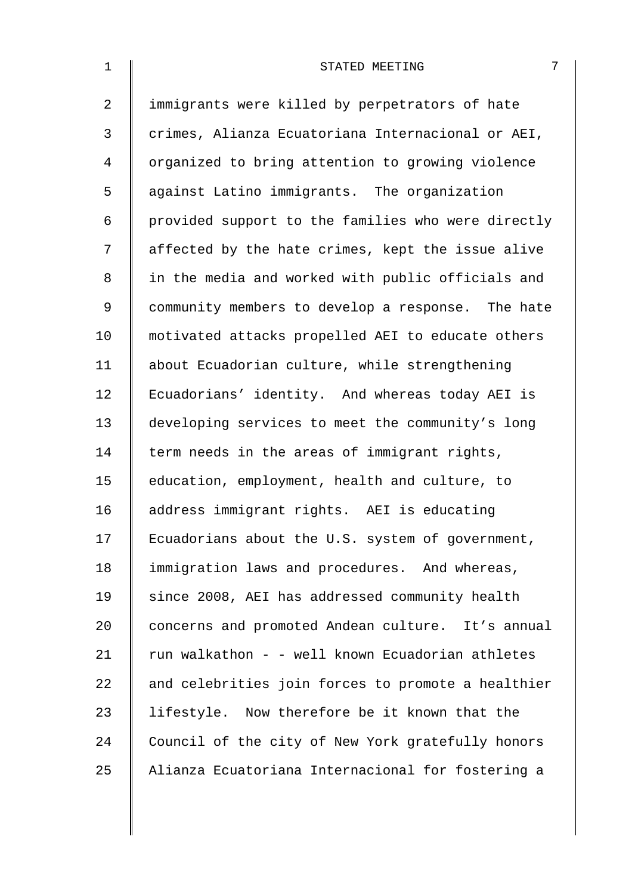| $\mathbf 1$    | 7<br>STATED MEETING                                |
|----------------|----------------------------------------------------|
| $\overline{2}$ | immigrants were killed by perpetrators of hate     |
| 3              | crimes, Alianza Ecuatoriana Internacional or AEI,  |
| $\overline{4}$ | organized to bring attention to growing violence   |
| 5              | against Latino immigrants. The organization        |
| 6              | provided support to the families who were directly |
| 7              | affected by the hate crimes, kept the issue alive  |
| 8              | in the media and worked with public officials and  |
| 9              | community members to develop a response. The hate  |
| 10             | motivated attacks propelled AEI to educate others  |
| 11             | about Ecuadorian culture, while strengthening      |
| 12             | Ecuadorians' identity. And whereas today AEI is    |
| 13             | developing services to meet the community's long   |
| 14             | term needs in the areas of immigrant rights,       |
| 15             | education, employment, health and culture, to      |
| 16             | address immigrant rights. AEI is educating         |
| 17             | Ecuadorians about the U.S. system of government,   |
| 18             | immigration laws and procedures. And whereas,      |
| 19             | since 2008, AEI has addressed community health     |
| 20             | concerns and promoted Andean culture. It's annual  |
| 21             | run walkathon - - well known Ecuadorian athletes   |
| 22             | and celebrities join forces to promote a healthier |
| 23             | lifestyle. Now therefore be it known that the      |
| 24             | Council of the city of New York gratefully honors  |
| 25             | Alianza Ecuatoriana Internacional for fostering a  |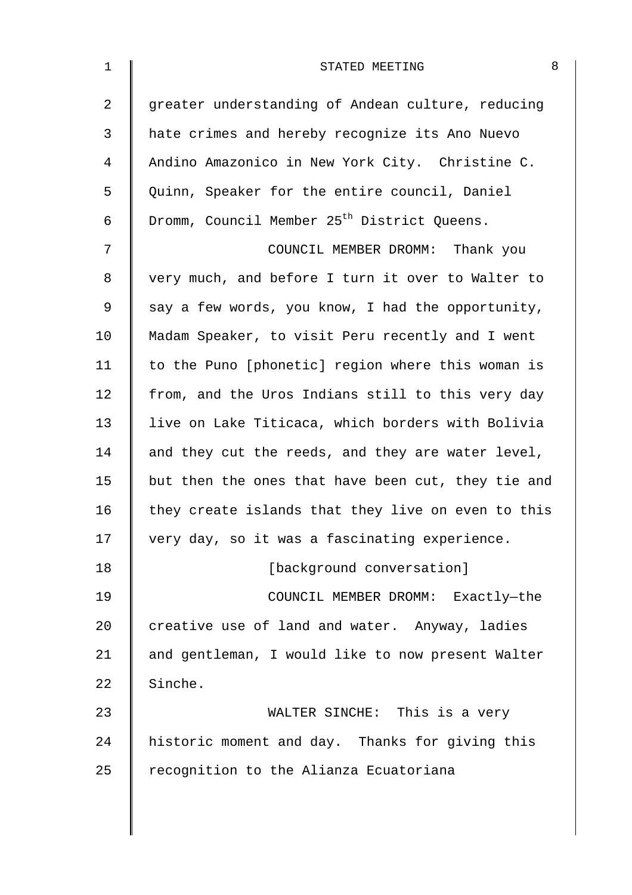| 1              | 8<br>STATED MEETING                                     |
|----------------|---------------------------------------------------------|
| $\overline{2}$ | greater understanding of Andean culture, reducing       |
| 3              | hate crimes and hereby recognize its Ano Nuevo          |
| 4              | Andino Amazonico in New York City. Christine C.         |
| 5              | Quinn, Speaker for the entire council, Daniel           |
| 6              | Dromm, Council Member 25 <sup>th</sup> District Queens. |
| 7              | COUNCIL MEMBER DROMM: Thank you                         |
| 8              | very much, and before I turn it over to Walter to       |
| 9              | say a few words, you know, I had the opportunity,       |
| 10             | Madam Speaker, to visit Peru recently and I went        |
| 11             | to the Puno [phonetic] region where this woman is       |
| 12             | from, and the Uros Indians still to this very day       |
| 13             | live on Lake Titicaca, which borders with Bolivia       |
| 14             | and they cut the reeds, and they are water level,       |
| 15             | but then the ones that have been cut, they tie and      |
| 16             | they create islands that they live on even to this      |
| 17             | very day, so it was a fascinating experience.           |
| 18             | [background conversation]                               |
| 19             | COUNCIL MEMBER DROMM: Exactly-the                       |
| 20             | creative use of land and water. Anyway, ladies          |
| 21             | and gentleman, I would like to now present Walter       |
| 22             | Sinche.                                                 |
| 23             | WALTER SINCHE: This is a very                           |
| 24             | historic moment and day. Thanks for giving this         |
| 25             | recognition to the Alianza Ecuatoriana                  |
|                |                                                         |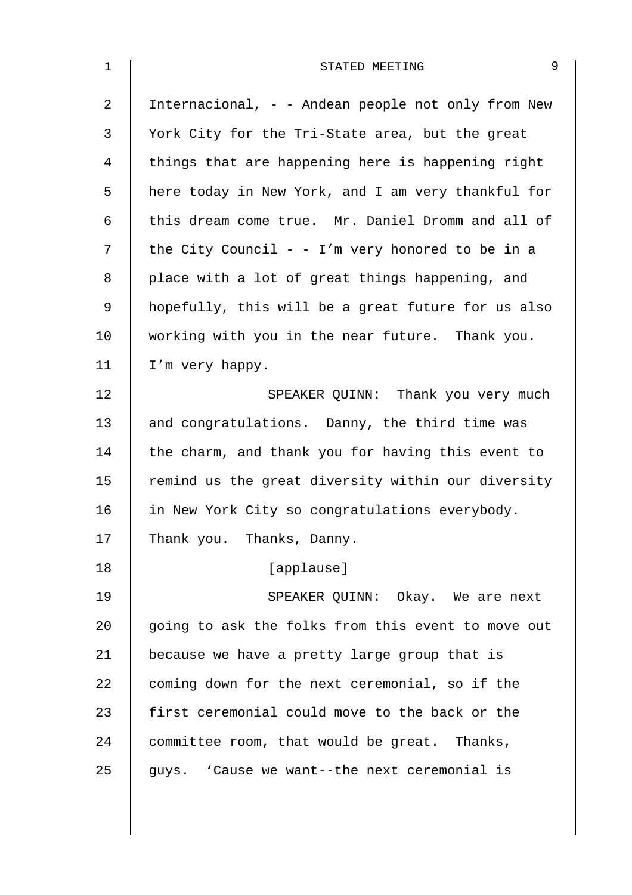| 1  | 9<br>STATED MEETING                                |
|----|----------------------------------------------------|
| 2  | Internacional, - - Andean people not only from New |
| 3  | York City for the Tri-State area, but the great    |
| 4  | things that are happening here is happening right  |
| 5  | here today in New York, and I am very thankful for |
| 6  | this dream come true. Mr. Daniel Dromm and all of  |
| 7  | the City Council - - I'm very honored to be in a   |
| 8  | place with a lot of great things happening, and    |
| 9  | hopefully, this will be a great future for us also |
| 10 | working with you in the near future. Thank you.    |
| 11 | I'm very happy.                                    |
| 12 | SPEAKER QUINN: Thank you very much                 |
| 13 | and congratulations. Danny, the third time was     |
| 14 | the charm, and thank you for having this event to  |
| 15 | remind us the great diversity within our diversity |
| 16 | in New York City so congratulations everybody.     |
| 17 | Thank you. Thanks, Danny.                          |
| 18 | [applause]                                         |
| 19 | SPEAKER QUINN: Okay. We are next                   |
| 20 | going to ask the folks from this event to move out |
| 21 | because we have a pretty large group that is       |
| 22 | coming down for the next ceremonial, so if the     |
| 23 | first ceremonial could move to the back or the     |
| 24 | committee room, that would be great. Thanks,       |
| 25 | guys. 'Cause we want--the next ceremonial is       |
|    |                                                    |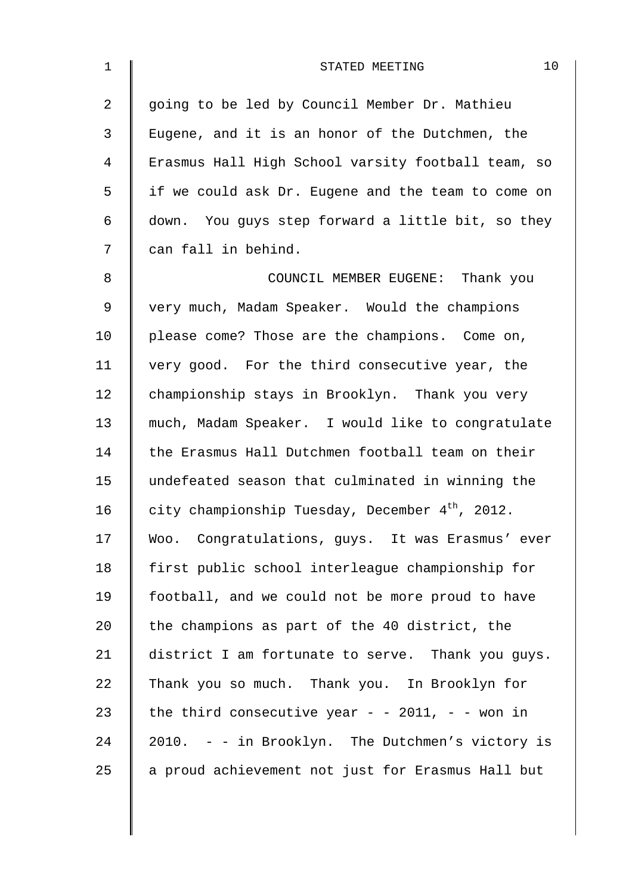| $\mathbf 1$    | 10<br>STATED MEETING                               |
|----------------|----------------------------------------------------|
| $\overline{a}$ | going to be led by Council Member Dr. Mathieu      |
| 3              | Eugene, and it is an honor of the Dutchmen, the    |
| 4              | Erasmus Hall High School varsity football team, so |
| 5              | if we could ask Dr. Eugene and the team to come on |
| 6              | down. You guys step forward a little bit, so they  |
| 7              | can fall in behind.                                |
| 8              | COUNCIL MEMBER EUGENE: Thank you                   |
| $\mathsf 9$    | very much, Madam Speaker. Would the champions      |
| 10             | please come? Those are the champions. Come on,     |
| 11             | very good. For the third consecutive year, the     |
| 12             | championship stays in Brooklyn. Thank you very     |
| 13             | much, Madam Speaker. I would like to congratulate  |
| 14             | the Erasmus Hall Dutchmen football team on their   |
| 15             | undefeated season that culminated in winning the   |
| 16             | city championship Tuesday, December $4th$ , 2012.  |
| 17             | Woo. Congratulations, guys. It was Erasmus' ever   |
| 18             | first public school interleague championship for   |
| 19             | football, and we could not be more proud to have   |
| 20             | the champions as part of the 40 district, the      |
| 21             | district I am fortunate to serve. Thank you guys.  |
| 22             | Thank you so much. Thank you. In Brooklyn for      |
| 23             | the third consecutive year - - 2011, - - won in    |
| 24             | 2010. - - in Brooklyn. The Dutchmen's victory is   |
| 25             | a proud achievement not just for Erasmus Hall but  |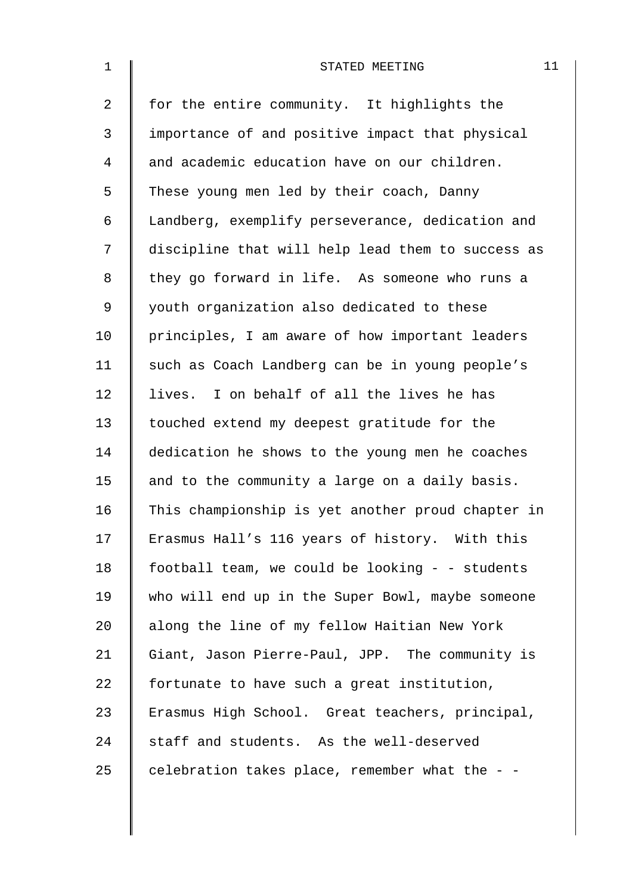| $\mathbf 1$    | STATED MEETING                                    | 11 |
|----------------|---------------------------------------------------|----|
| $\overline{2}$ | for the entire community. It highlights the       |    |
| 3              | importance of and positive impact that physical   |    |
| 4              | and academic education have on our children.      |    |
| 5              | These young men led by their coach, Danny         |    |
| 6              | Landberg, exemplify perseverance, dedication and  |    |
| 7              | discipline that will help lead them to success as |    |
| 8              | they go forward in life. As someone who runs a    |    |
| 9              | youth organization also dedicated to these        |    |
| 10             | principles, I am aware of how important leaders   |    |
| 11             | such as Coach Landberg can be in young people's   |    |
| 12             | lives. I on behalf of all the lives he has        |    |
| 13             | touched extend my deepest gratitude for the       |    |
| 14             | dedication he shows to the young men he coaches   |    |
| 15             | and to the community a large on a daily basis.    |    |
| 16             | This championship is yet another proud chapter in |    |
| 17             | Erasmus Hall's 116 years of history. With this    |    |
| 18             | football team, we could be looking - - students   |    |
| 19             | who will end up in the Super Bowl, maybe someone  |    |
| 20             | along the line of my fellow Haitian New York      |    |
| 21             | Giant, Jason Pierre-Paul, JPP. The community is   |    |
| 22             | fortunate to have such a great institution,       |    |
| 23             | Erasmus High School. Great teachers, principal,   |    |
| 24             | staff and students. As the well-deserved          |    |
| 25             | celebration takes place, remember what the - -    |    |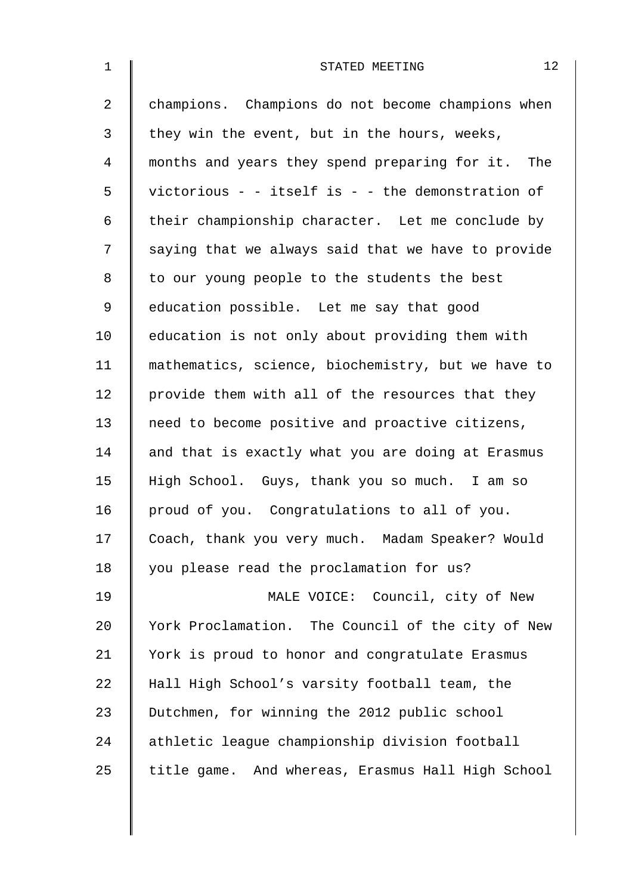| $\mathbf 1$    | 12<br>STATED MEETING                               |
|----------------|----------------------------------------------------|
| $\overline{a}$ | champions. Champions do not become champions when  |
| $\mathfrak{Z}$ | they win the event, but in the hours, weeks,       |
| 4              | months and years they spend preparing for it. The  |
| 5              | victorious - - itself is - - the demonstration of  |
| 6              | their championship character. Let me conclude by   |
| 7              | saying that we always said that we have to provide |
| 8              | to our young people to the students the best       |
| 9              | education possible. Let me say that good           |
| 10             | education is not only about providing them with    |
| 11             | mathematics, science, biochemistry, but we have to |
| 12             | provide them with all of the resources that they   |
| 13             | need to become positive and proactive citizens,    |
| 14             | and that is exactly what you are doing at Erasmus  |
| 15             | High School. Guys, thank you so much. I am so      |
| 16             | proud of you. Congratulations to all of you.       |
| 17             | Coach, thank you very much. Madam Speaker? Would   |
| 18             | you please read the proclamation for us?           |
| 19             | MALE VOICE: Council, city of New                   |
| 20             | York Proclamation. The Council of the city of New  |
| 21             | York is proud to honor and congratulate Erasmus    |
| 22             | Hall High School's varsity football team, the      |
| 23             | Dutchmen, for winning the 2012 public school       |
| 24             | athletic league championship division football     |
| 25             | title game. And whereas, Erasmus Hall High School  |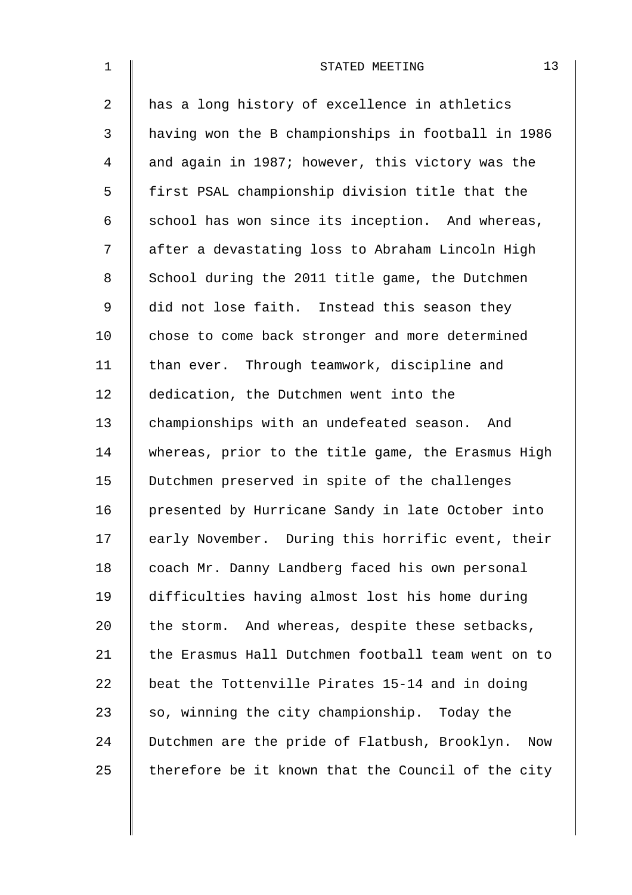| $\mathbf{1}$ | 13<br>STATED MEETING                                 |
|--------------|------------------------------------------------------|
| 2            | has a long history of excellence in athletics        |
| 3            | having won the B championships in football in 1986   |
| 4            | and again in 1987; however, this victory was the     |
| 5            | first PSAL championship division title that the      |
| 6            | school has won since its inception. And whereas,     |
| 7            | after a devastating loss to Abraham Lincoln High     |
| 8            | School during the 2011 title game, the Dutchmen      |
| $\mathsf 9$  | did not lose faith. Instead this season they         |
| 10           | chose to come back stronger and more determined      |
| 11           | than ever. Through teamwork, discipline and          |
| 12           | dedication, the Dutchmen went into the               |
| 13           | championships with an undefeated season. And         |
| 14           | whereas, prior to the title game, the Erasmus High   |
| 15           | Dutchmen preserved in spite of the challenges        |
| 16           | presented by Hurricane Sandy in late October into    |
| 17           | early November. During this horrific event, their    |
| 18           | coach Mr. Danny Landberg faced his own personal      |
| 19           | difficulties having almost lost his home during      |
| 20           | the storm. And whereas, despite these setbacks,      |
| 21           | the Erasmus Hall Dutchmen football team went on to   |
| 22           | beat the Tottenville Pirates 15-14 and in doing      |
| 23           | so, winning the city championship. Today the         |
| 24           | Dutchmen are the pride of Flatbush, Brooklyn.<br>Now |
| 25           | therefore be it known that the Council of the city   |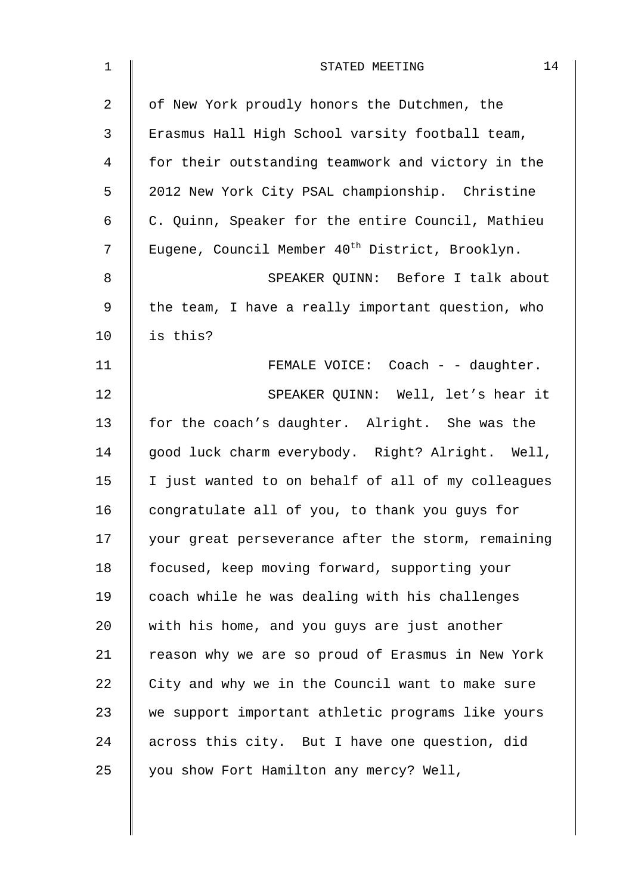| $\mathbf 1$    | 14<br>STATED MEETING                                        |
|----------------|-------------------------------------------------------------|
| $\overline{a}$ | of New York proudly honors the Dutchmen, the                |
| 3              | Erasmus Hall High School varsity football team,             |
| 4              | for their outstanding teamwork and victory in the           |
| 5              | 2012 New York City PSAL championship. Christine             |
| 6              | C. Quinn, Speaker for the entire Council, Mathieu           |
| 7              | Eugene, Council Member 40 <sup>th</sup> District, Brooklyn. |
| 8              | SPEAKER QUINN: Before I talk about                          |
| 9              | the team, I have a really important question, who           |
| 10             | is this?                                                    |
| 11             | FEMALE VOICE: Coach - - daughter.                           |
| 12             | SPEAKER QUINN: Well, let's hear it                          |
| 13             | for the coach's daughter. Alright. She was the              |
| 14             | good luck charm everybody. Right? Alright. Well,            |
| 15             | I just wanted to on behalf of all of my colleagues          |
| 16             | congratulate all of you, to thank you guys for              |
| 17             | your great perseverance after the storm, remaining          |
| 18             | focused, keep moving forward, supporting your               |
| 19             | coach while he was dealing with his challenges              |
| 20             | with his home, and you guys are just another                |
| 21             | reason why we are so proud of Erasmus in New York           |
| 22             | City and why we in the Council want to make sure            |
| 23             | we support important athletic programs like yours           |
| 24             | across this city. But I have one question, did              |
| 25             | you show Fort Hamilton any mercy? Well,                     |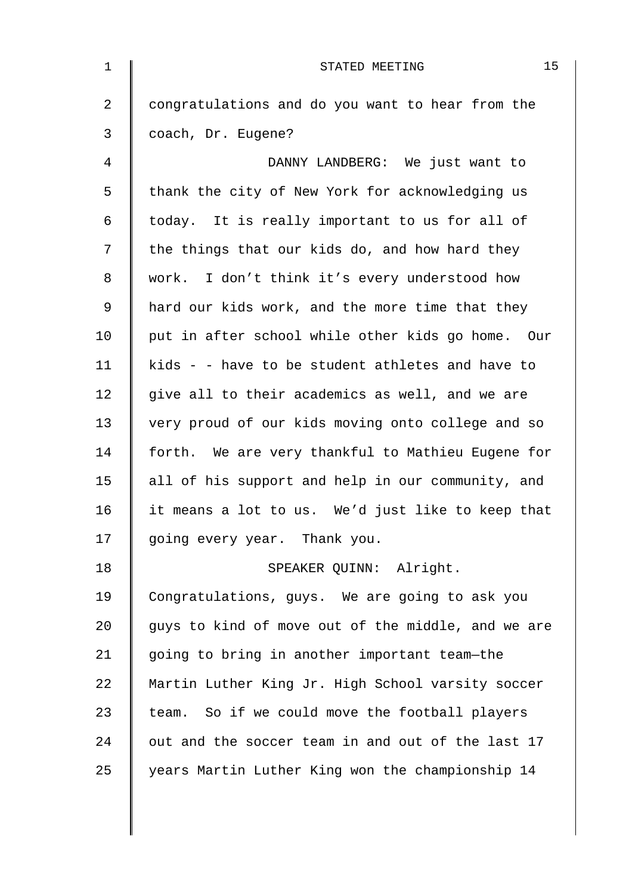| $\mathbf 1$ | 15<br>STATED MEETING                               |
|-------------|----------------------------------------------------|
| 2           | congratulations and do you want to hear from the   |
| 3           | coach, Dr. Eugene?                                 |
| 4           | DANNY LANDBERG: We just want to                    |
| 5           | thank the city of New York for acknowledging us    |
| 6           | today. It is really important to us for all of     |
| 7           | the things that our kids do, and how hard they     |
| 8           | work. I don't think it's every understood how      |
| 9           | hard our kids work, and the more time that they    |
| 10          | put in after school while other kids go home. Our  |
| 11          | kids - - have to be student athletes and have to   |
| 12          | give all to their academics as well, and we are    |
| 13          | very proud of our kids moving onto college and so  |
| 14          | forth. We are very thankful to Mathieu Eugene for  |
| 15          | all of his support and help in our community, and  |
| 16          | it means a lot to us. We'd just like to keep that  |
| 17          | going every year. Thank you.                       |
| 18          | SPEAKER QUINN: Alright.                            |
| 19          | Congratulations, guys. We are going to ask you     |
| 20          | guys to kind of move out of the middle, and we are |
| 21          | going to bring in another important team-the       |
| 22          | Martin Luther King Jr. High School varsity soccer  |
| 23          | team. So if we could move the football players     |
| 24          | out and the soccer team in and out of the last 17  |
| 25          | years Martin Luther King won the championship 14   |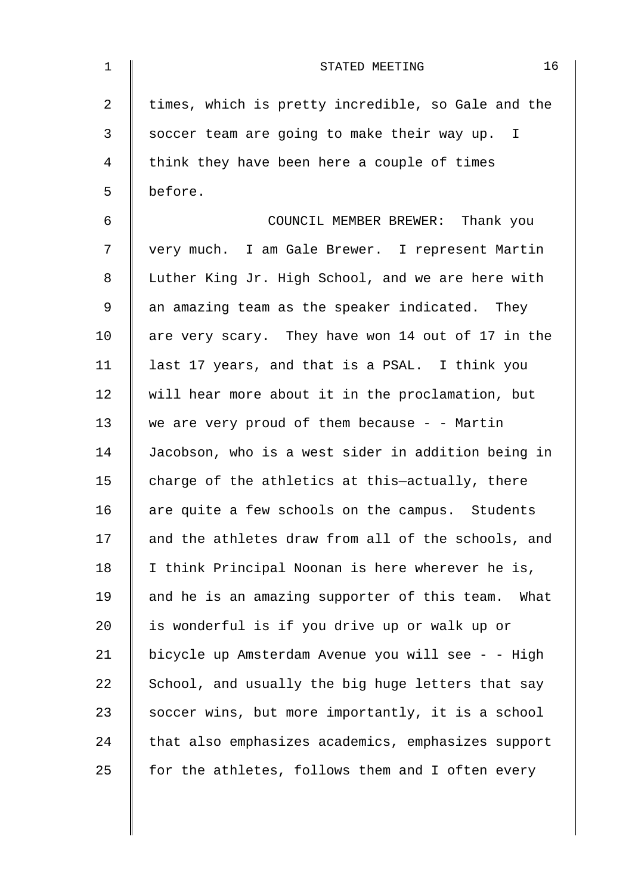| $\mathbf 1$    | 16<br>STATED MEETING                                 |
|----------------|------------------------------------------------------|
| $\overline{a}$ | times, which is pretty incredible, so Gale and the   |
| $\mathfrak{Z}$ | soccer team are going to make their way up. I        |
| 4              | think they have been here a couple of times          |
| 5              | before.                                              |
| 6              | COUNCIL MEMBER BREWER: Thank you                     |
| 7              | very much. I am Gale Brewer. I represent Martin      |
| 8              | Luther King Jr. High School, and we are here with    |
| 9              | an amazing team as the speaker indicated. They       |
| 10             | are very scary. They have won 14 out of 17 in the    |
| 11             | last 17 years, and that is a PSAL. I think you       |
| 12             | will hear more about it in the proclamation, but     |
| 13             | we are very proud of them because $-$ - Martin       |
| 14             | Jacobson, who is a west sider in addition being in   |
| 15             | charge of the athletics at this-actually, there      |
| 16             | are quite a few schools on the campus. Students      |
| 17             | and the athletes draw from all of the schools, and   |
| 18             | I think Principal Noonan is here wherever he is,     |
| 19             | and he is an amazing supporter of this team.<br>What |
| 20             | is wonderful is if you drive up or walk up or        |
| 21             | bicycle up Amsterdam Avenue you will see - - High    |
| 22             | School, and usually the big huge letters that say    |
| 23             | soccer wins, but more importantly, it is a school    |
| 24             | that also emphasizes academics, emphasizes support   |
| 25             | for the athletes, follows them and I often every     |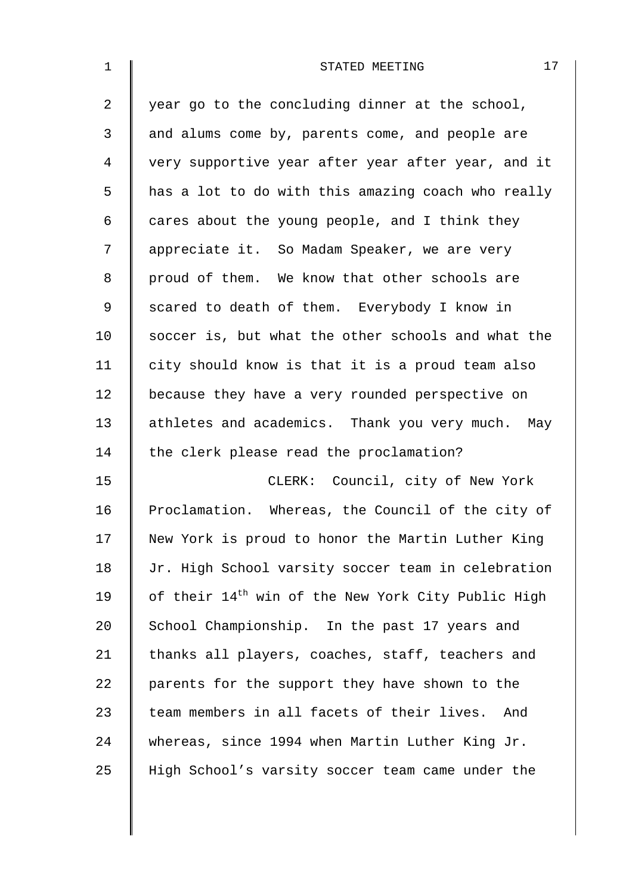| $\mathbf 1$    | 17<br>STATED MEETING                                           |
|----------------|----------------------------------------------------------------|
| $\overline{2}$ | year go to the concluding dinner at the school,                |
| 3              | and alums come by, parents come, and people are                |
| 4              | very supportive year after year after year, and it             |
| 5              | has a lot to do with this amazing coach who really             |
| 6              | cares about the young people, and I think they                 |
| 7              | appreciate it. So Madam Speaker, we are very                   |
| 8              | proud of them. We know that other schools are                  |
| $\mathsf 9$    | scared to death of them. Everybody I know in                   |
| 10             | soccer is, but what the other schools and what the             |
| 11             | city should know is that it is a proud team also               |
| 12             | because they have a very rounded perspective on                |
| 13             | athletes and academics. Thank you very much. May               |
| 14             | the clerk please read the proclamation?                        |
| 15             | CLERK: Council, city of New York                               |
| 16             | Proclamation. Whereas, the Council of the city of              |
| 17             | New York is proud to honor the Martin Luther King              |
| 18             | Jr. High School varsity soccer team in celebration             |
| 19             | of their 14 <sup>th</sup> win of the New York City Public High |
| 20             | School Championship. In the past 17 years and                  |
| 21             | thanks all players, coaches, staff, teachers and               |
| 22             | parents for the support they have shown to the                 |
| 23             | team members in all facets of their lives. And                 |
| 24             | whereas, since 1994 when Martin Luther King Jr.                |
| 25             | High School's varsity soccer team came under the               |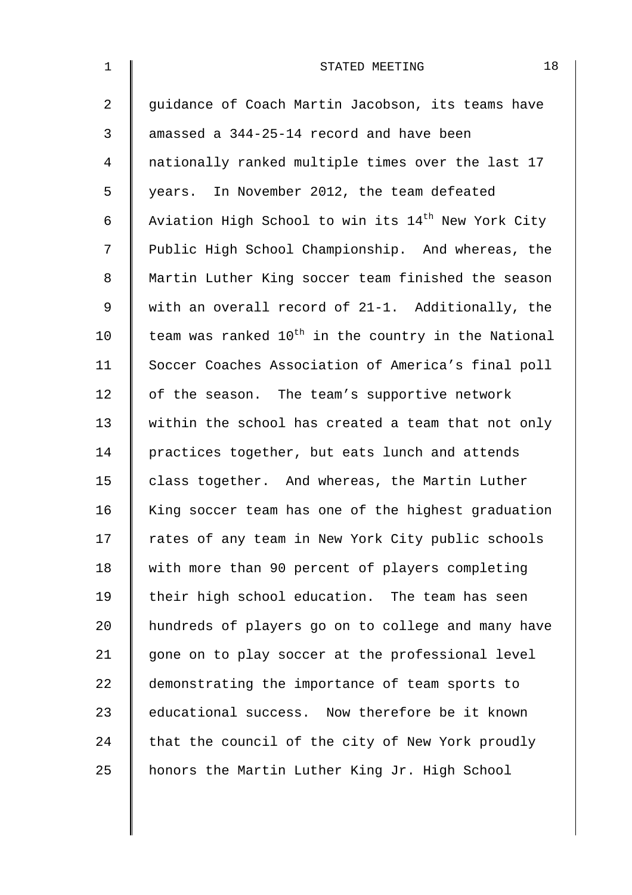| $\mathbf 1$    | 18<br>STATED MEETING                                            |
|----------------|-----------------------------------------------------------------|
| $\overline{2}$ | guidance of Coach Martin Jacobson, its teams have               |
| 3              | amassed a 344-25-14 record and have been                        |
| 4              | nationally ranked multiple times over the last 17               |
| 5              | years. In November 2012, the team defeated                      |
| 6              | Aviation High School to win its 14 <sup>th</sup> New York City  |
| 7              | Public High School Championship. And whereas, the               |
| $\,8\,$        | Martin Luther King soccer team finished the season              |
| $\mathsf 9$    | with an overall record of 21-1. Additionally, the               |
| 10             | team was ranked 10 <sup>th</sup> in the country in the National |
| 11             | Soccer Coaches Association of America's final poll              |
| 12             | of the season. The team's supportive network                    |
| 13             | within the school has created a team that not only              |
| 14             | practices together, but eats lunch and attends                  |
| 15             | class together. And whereas, the Martin Luther                  |
| 16             | King soccer team has one of the highest graduation              |
| 17             | rates of any team in New York City public schools               |
| 18             | with more than 90 percent of players completing                 |
| 19             | their high school education. The team has seen                  |
| 20             | hundreds of players go on to college and many have              |
| 21             | gone on to play soccer at the professional level                |
| 22             | demonstrating the importance of team sports to                  |
| 23             | educational success. Now therefore be it known                  |
| 24             | that the council of the city of New York proudly                |
| 25             | honors the Martin Luther King Jr. High School                   |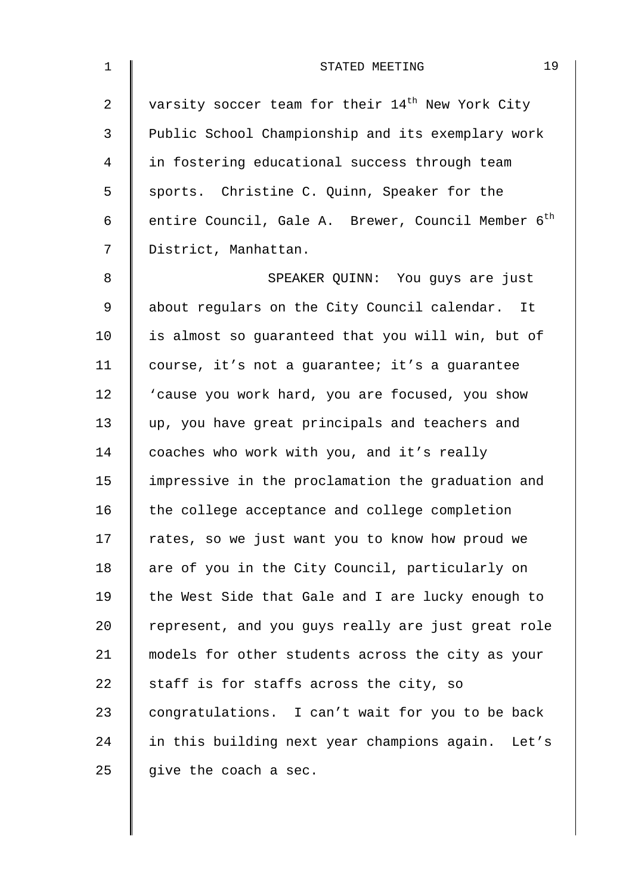| $\mathbf 1$    | 19<br>STATED MEETING                                           |
|----------------|----------------------------------------------------------------|
| $\overline{a}$ | varsity soccer team for their 14 <sup>th</sup> New York City   |
| 3              | Public School Championship and its exemplary work              |
| 4              | in fostering educational success through team                  |
| 5              | sports. Christine C. Quinn, Speaker for the                    |
| 6              | entire Council, Gale A. Brewer, Council Member 6 <sup>th</sup> |
| 7              | District, Manhattan.                                           |
| 8              | SPEAKER QUINN: You guys are just                               |
| $\mathsf 9$    | about regulars on the City Council calendar. It                |
| 10             | is almost so guaranteed that you will win, but of              |
| 11             | course, it's not a guarantee; it's a guarantee                 |
| 12             | 'cause you work hard, you are focused, you show                |
| 13             | up, you have great principals and teachers and                 |
| 14             | coaches who work with you, and it's really                     |
| 15             | impressive in the proclamation the graduation and              |
| 16             | the college acceptance and college completion                  |
| 17             | rates, so we just want you to know how proud we                |
| 18             | are of you in the City Council, particularly on                |
| 19             | the West Side that Gale and I are lucky enough to              |
| 20             | represent, and you guys really are just great role             |
| 21             | models for other students across the city as your              |
| 22             | staff is for staffs across the city, so                        |
| 23             | congratulations. I can't wait for you to be back               |
| 24             | in this building next year champions again. Let's              |
| 25             | give the coach a sec.                                          |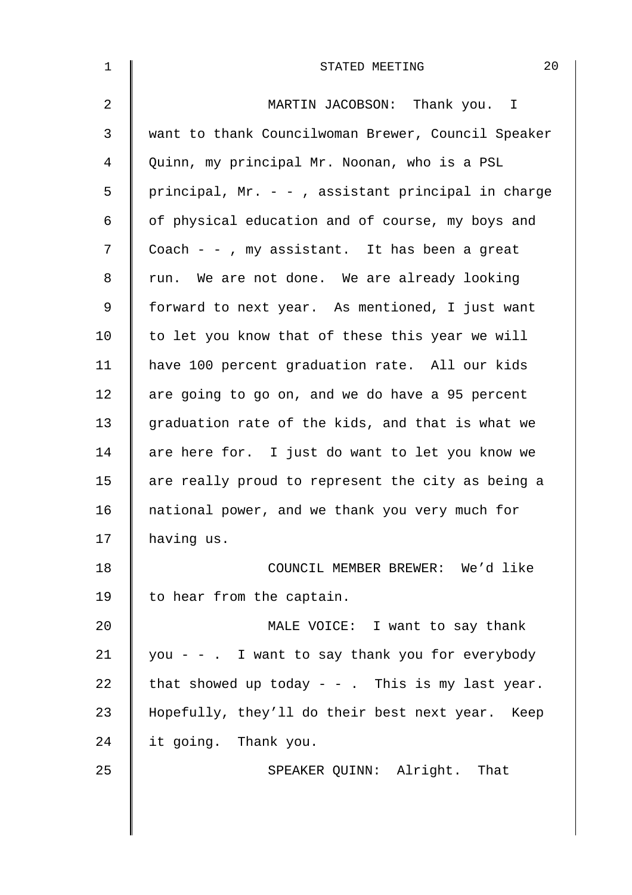| $\mathbf 1$    | 20<br>STATED MEETING                               |
|----------------|----------------------------------------------------|
| $\overline{2}$ | MARTIN JACOBSON: Thank you. I                      |
| 3              | want to thank Councilwoman Brewer, Council Speaker |
| 4              | Quinn, my principal Mr. Noonan, who is a PSL       |
| 5              | principal, Mr. - -, assistant principal in charge  |
| 6              | of physical education and of course, my boys and   |
| 7              | Coach $-$ - , my assistant. It has been a great    |
| 8              | run. We are not done. We are already looking       |
| 9              | forward to next year. As mentioned, I just want    |
| 10             | to let you know that of these this year we will    |
| 11             | have 100 percent graduation rate. All our kids     |
| 12             | are going to go on, and we do have a 95 percent    |
| 13             | graduation rate of the kids, and that is what we   |
| 14             | are here for. I just do want to let you know we    |
| 15             | are really proud to represent the city as being a  |
| 16             | national power, and we thank you very much for     |
| 17             | having us.                                         |
| 18             | COUNCIL MEMBER BREWER: We'd like                   |
| 19             | to hear from the captain.                          |
| 20             | MALE VOICE: I want to say thank                    |
| 21             | you - - . I want to say thank you for everybody    |
| 22             | that showed up today - - . This is my last year.   |
| 23             | Hopefully, they'll do their best next year. Keep   |
| 24             | it going. Thank you.                               |
| 25             | SPEAKER QUINN: Alright. That                       |
|                |                                                    |
|                |                                                    |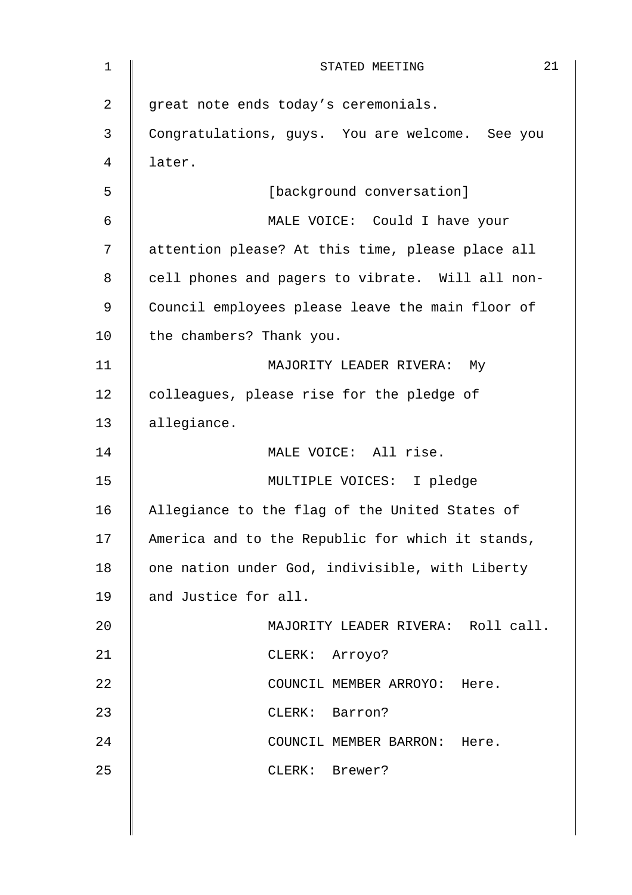| $\mathbf 1$    | 21<br>STATED MEETING                             |
|----------------|--------------------------------------------------|
| $\overline{2}$ | great note ends today's ceremonials.             |
| 3              | Congratulations, guys. You are welcome. See you  |
| 4              | later.                                           |
| 5              | [background conversation]                        |
| 6              | MALE VOICE: Could I have your                    |
| 7              | attention please? At this time, please place all |
| 8              | cell phones and pagers to vibrate. Will all non- |
| 9              | Council employees please leave the main floor of |
| 10             | the chambers? Thank you.                         |
| 11             | MAJORITY LEADER RIVERA: My                       |
| 12             | colleagues, please rise for the pledge of        |
| 13             | allegiance.                                      |
| 14             | MALE VOICE: All rise.                            |
| 15             | MULTIPLE VOICES: I pledge                        |
| 16             | Allegiance to the flag of the United States of   |
| 17             | America and to the Republic for which it stands, |
| 18             | one nation under God, indivisible, with Liberty  |
| 19             | and Justice for all.                             |
| 20             | MAJORITY LEADER RIVERA: Roll call.               |
| 21             | CLERK: Arroyo?                                   |
| 22             | COUNCIL MEMBER ARROYO: Here.                     |
| 23             | $CLERK$ :<br>Barron?                             |
| 24             | COUNCIL MEMBER BARRON: Here.                     |
| 25             | CLERK: Brewer?                                   |
|                |                                                  |
|                |                                                  |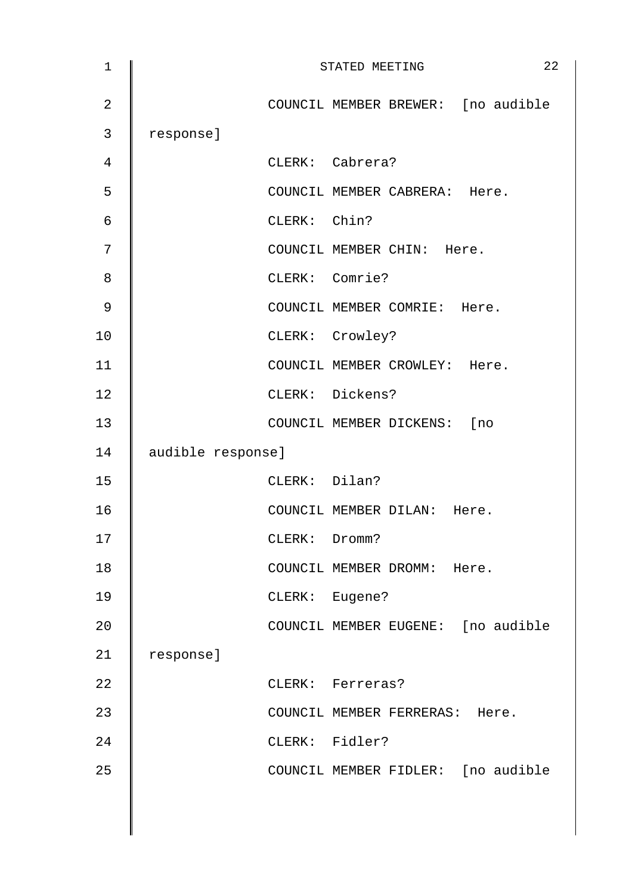| $\mathbf 1$    |                   |               | 22<br>STATED MEETING               |
|----------------|-------------------|---------------|------------------------------------|
| $\overline{2}$ |                   |               | COUNCIL MEMBER BREWER: [no audible |
| 3              | response]         |               |                                    |
| 4              |                   |               | CLERK: Cabrera?                    |
| 5              |                   |               | COUNCIL MEMBER CABRERA: Here.      |
| 6              |                   | CLERK: Chin?  |                                    |
| 7              |                   |               | COUNCIL MEMBER CHIN: Here.         |
| 8              |                   |               | CLERK: Comrie?                     |
| 9              |                   |               | COUNCIL MEMBER COMRIE: Here.       |
| 10             |                   |               | CLERK: Crowley?                    |
| 11             |                   |               | COUNCIL MEMBER CROWLEY: Here.      |
| 12             |                   |               | CLERK: Dickens?                    |
| 13             |                   |               | COUNCIL MEMBER DICKENS: [no        |
| 14             | audible response] |               |                                    |
| 15             |                   | CLERK: Dilan? |                                    |
| 16             |                   |               | COUNCIL MEMBER DILAN: Here.        |
| 17             |                   | CLERK: Dromm? |                                    |
| 18             |                   |               | COUNCIL MEMBER DROMM: Here.        |
| 19             |                   |               | CLERK: Eugene?                     |
| 20             |                   |               | COUNCIL MEMBER EUGENE: [no audible |
| 21             | response]         |               |                                    |
| 22             |                   |               | CLERK: Ferreras?                   |
| 23             |                   |               | COUNCIL MEMBER FERRERAS: Here.     |
| 24             |                   |               | CLERK: Fidler?                     |
| 25             |                   |               | COUNCIL MEMBER FIDLER: [no audible |
|                |                   |               |                                    |
|                |                   |               |                                    |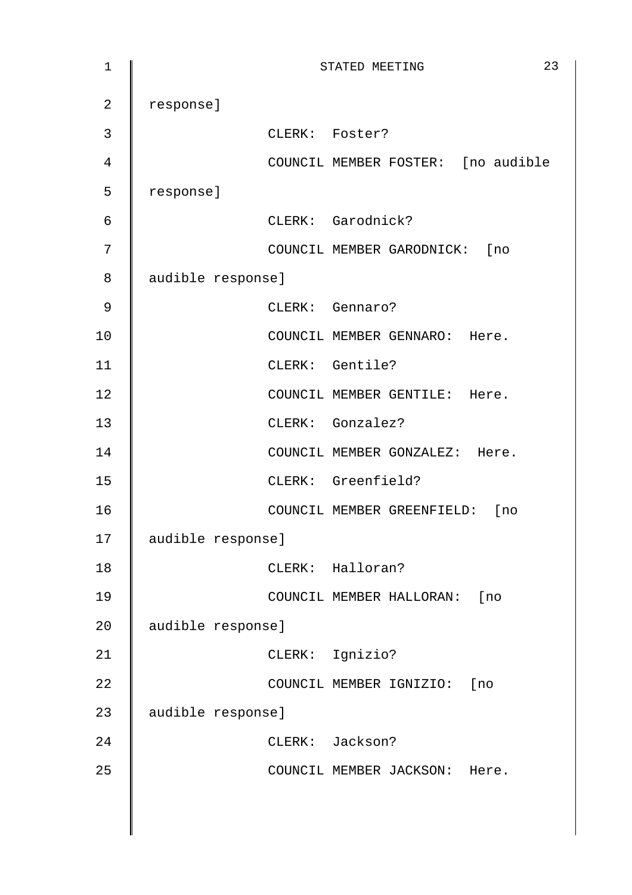| $\mathbf 1$    |                   | STATED MEETING                     | 23 |
|----------------|-------------------|------------------------------------|----|
| $\overline{2}$ | response]         |                                    |    |
| 3              |                   | CLERK: Foster?                     |    |
| $\overline{4}$ |                   | COUNCIL MEMBER FOSTER: [no audible |    |
| 5              | response]         |                                    |    |
| $\epsilon$     |                   | CLERK: Garodnick?                  |    |
| 7              |                   | COUNCIL MEMBER GARODNICK: [no      |    |
| 8              | audible response] |                                    |    |
| 9              |                   | CLERK: Gennaro?                    |    |
| 10             |                   | COUNCIL MEMBER GENNARO: Here.      |    |
| 11             |                   | CLERK: Gentile?                    |    |
| 12             |                   | COUNCIL MEMBER GENTILE: Here.      |    |
| 13             |                   | CLERK: Gonzalez?                   |    |
| 14             |                   | COUNCIL MEMBER GONZALEZ: Here.     |    |
| 15             |                   | CLERK: Greenfield?                 |    |
| 16             |                   | COUNCIL MEMBER GREENFIELD: [no     |    |
| 17             | audible response] |                                    |    |
| 18             |                   | CLERK: Halloran?                   |    |
| 19             |                   | COUNCIL MEMBER HALLORAN: [no       |    |
| 20             | audible response] |                                    |    |
| 21             |                   | CLERK: Ignizio?                    |    |
| 22             |                   | COUNCIL MEMBER IGNIZIO: [no        |    |
| 23             | audible response] |                                    |    |
| 24             |                   | CLERK: Jackson?                    |    |
| 25             |                   | COUNCIL MEMBER JACKSON: Here.      |    |
|                |                   |                                    |    |
|                |                   |                                    |    |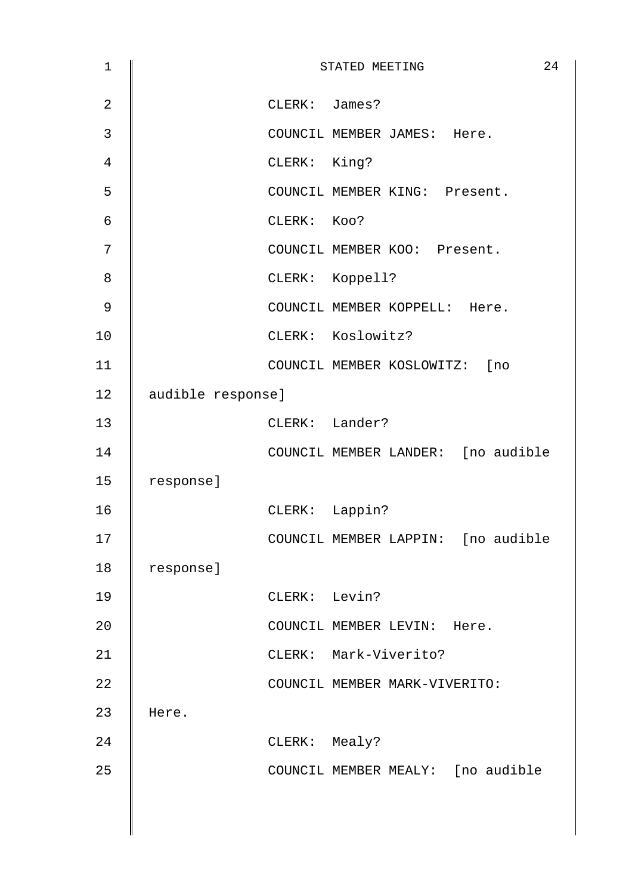| $\mathbf 1$    |                   |               | STATED MEETING                     | 24 |
|----------------|-------------------|---------------|------------------------------------|----|
| $\overline{2}$ |                   | CLERK: James? |                                    |    |
| 3              |                   |               | COUNCIL MEMBER JAMES: Here.        |    |
| 4              |                   | CLERK: King?  |                                    |    |
| 5              |                   |               | COUNCIL MEMBER KING: Present.      |    |
| 6              |                   | CLERK: KOO?   |                                    |    |
| 7              |                   |               | COUNCIL MEMBER KOO: Present.       |    |
| 8              |                   |               | CLERK: Koppell?                    |    |
| 9              |                   |               | COUNCIL MEMBER KOPPELL: Here.      |    |
| 10             |                   |               | CLERK: Koslowitz?                  |    |
| 11             |                   |               | COUNCIL MEMBER KOSLOWITZ: [no      |    |
| 12             | audible response] |               |                                    |    |
| 13             |                   |               | CLERK: Lander?                     |    |
| 14             |                   |               | COUNCIL MEMBER LANDER: [no audible |    |
| 15             | response]         |               |                                    |    |
| 16             |                   |               | CLERK: Lappin?                     |    |
| 17             |                   |               | COUNCIL MEMBER LAPPIN: [no audible |    |
| 18             | response]         |               |                                    |    |
| 19             |                   | CLERK: Levin? |                                    |    |
| 20             |                   |               | COUNCIL MEMBER LEVIN: Here.        |    |
| 21             |                   |               | CLERK: Mark-Viverito?              |    |
| 22             |                   |               | COUNCIL MEMBER MARK-VIVERITO:      |    |
| 23             | Here.             |               |                                    |    |
| 24             |                   | CLERK: Mealy? |                                    |    |
| 25             |                   |               | COUNCIL MEMBER MEALY: [no audible  |    |
|                |                   |               |                                    |    |
|                |                   |               |                                    |    |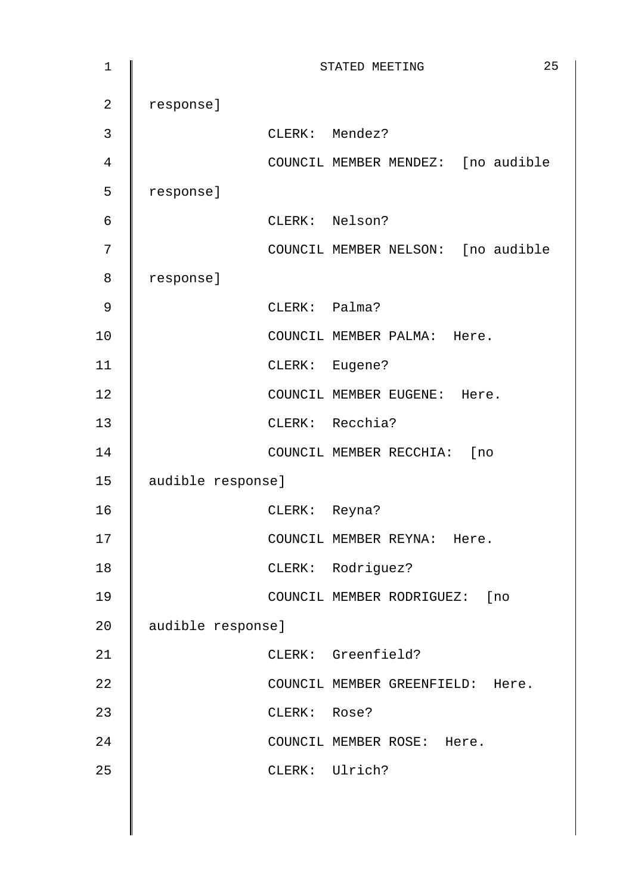| $\mathbf 1$      |                   |               | 25<br>STATED MEETING               |
|------------------|-------------------|---------------|------------------------------------|
| $\overline{2}$   | response]         |               |                                    |
| $\mathbf{3}$     |                   |               | CLERK: Mendez?                     |
| $\overline{4}$   |                   |               | COUNCIL MEMBER MENDEZ: [no audible |
| 5                | response]         |               |                                    |
| $\epsilon$       |                   |               | CLERK: Nelson?                     |
| $\boldsymbol{7}$ |                   |               | COUNCIL MEMBER NELSON: [no audible |
| 8                | response]         |               |                                    |
| 9                |                   | CLERK: Palma? |                                    |
| 10               |                   |               | COUNCIL MEMBER PALMA: Here.        |
| 11               |                   |               | CLERK: Eugene?                     |
| 12               |                   |               | COUNCIL MEMBER EUGENE: Here.       |
| 13               |                   |               | CLERK: Recchia?                    |
| 14               |                   |               | COUNCIL MEMBER RECCHIA: [no        |
| 15               | audible response] |               |                                    |
| 16               |                   | CLERK: Reyna? |                                    |
| 17               |                   |               | COUNCIL MEMBER REYNA:<br>Here.     |
| 18               |                   |               | CLERK: Rodriguez?                  |
| 19               |                   |               | COUNCIL MEMBER RODRIGUEZ: [no      |
| 20               | audible response] |               |                                    |
| 21               |                   |               | CLERK: Greenfield?                 |
| 22               |                   |               | COUNCIL MEMBER GREENFIELD: Here.   |
| 23               |                   | CLERK: Rose?  |                                    |
| 24               |                   |               | COUNCIL MEMBER ROSE: Here.         |
| 25               |                   |               | CLERK: Ulrich?                     |
|                  |                   |               |                                    |
|                  |                   |               |                                    |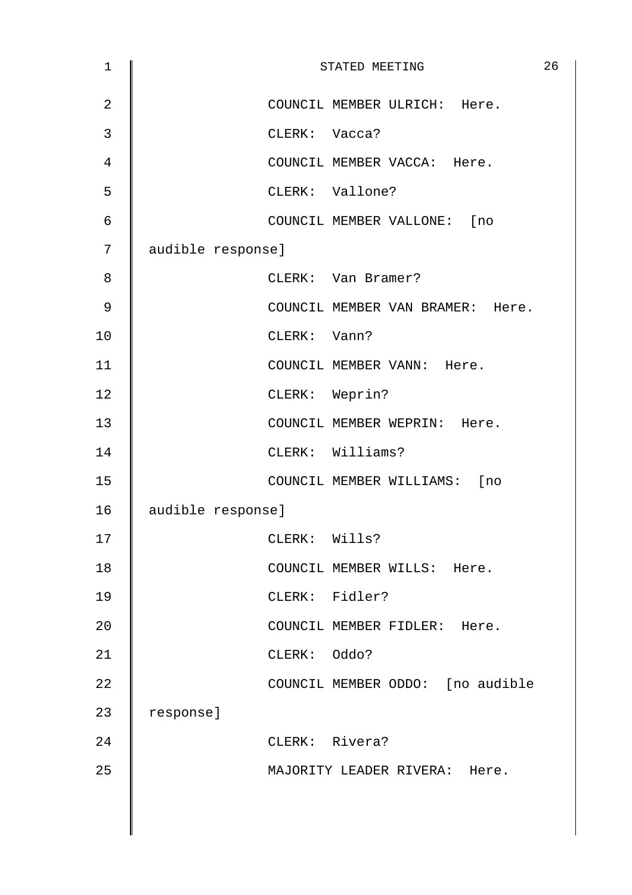| $\mathbf 1$    |                   | STATED MEETING                   | 26 |
|----------------|-------------------|----------------------------------|----|
| $\overline{2}$ |                   | COUNCIL MEMBER ULRICH: Here.     |    |
| 3              |                   | CLERK: Vacca?                    |    |
| 4              |                   | COUNCIL MEMBER VACCA: Here.      |    |
| 5              |                   | CLERK: Vallone?                  |    |
| 6              |                   | COUNCIL MEMBER VALLONE: [no      |    |
| 7              | audible response] |                                  |    |
| 8              |                   | CLERK: Van Bramer?               |    |
| $\mathsf 9$    |                   | COUNCIL MEMBER VAN BRAMER: Here. |    |
| 10             |                   | CLERK: Vann?                     |    |
| 11             |                   | COUNCIL MEMBER VANN: Here.       |    |
| 12             |                   | CLERK: Weprin?                   |    |
| 13             |                   | COUNCIL MEMBER WEPRIN: Here.     |    |
| 14             |                   | CLERK: Williams?                 |    |
| 15             |                   | COUNCIL MEMBER WILLIAMS: [no     |    |
| 16             | audible response] |                                  |    |
| 17             |                   | CLERK: Wills?                    |    |
| 18             |                   | COUNCIL MEMBER WILLS: Here.      |    |
| 19             |                   | CLERK: Fidler?                   |    |
| 20             |                   | COUNCIL MEMBER FIDLER: Here.     |    |
| 21             |                   | CLERK: Oddo?                     |    |
| 22             |                   | COUNCIL MEMBER ODDO: [no audible |    |
| 23             | response]         |                                  |    |
| 24             |                   | CLERK: Rivera?                   |    |
| 25             |                   | MAJORITY LEADER RIVERA: Here.    |    |
|                |                   |                                  |    |
|                |                   |                                  |    |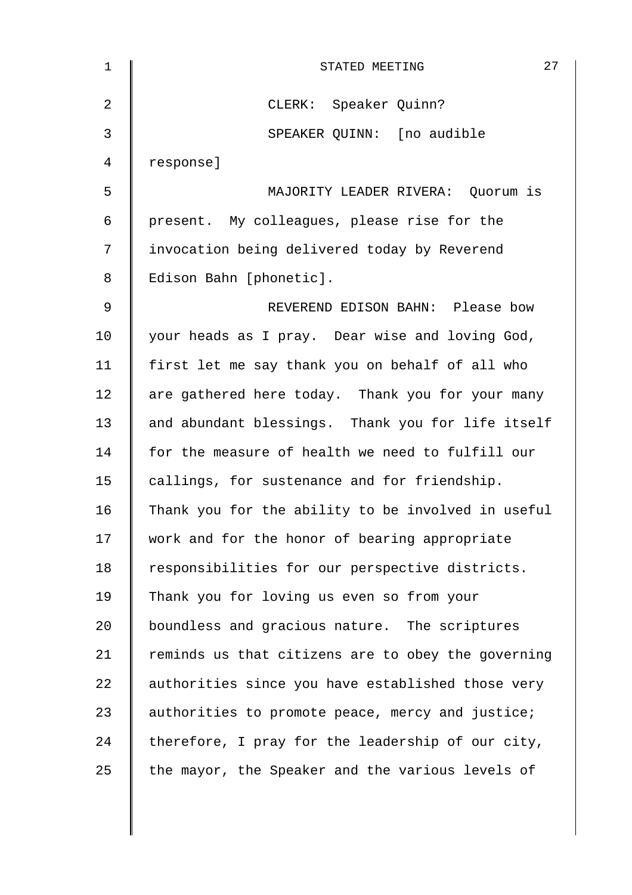| $\mathbf 1$ | 27<br>STATED MEETING                               |
|-------------|----------------------------------------------------|
| 2           | CLERK: Speaker Quinn?                              |
| 3           | SPEAKER QUINN: [no audible                         |
| 4           | response]                                          |
| 5           | MAJORITY LEADER RIVERA: Quorum is                  |
| 6           | present. My colleagues, please rise for the        |
| 7           | invocation being delivered today by Reverend       |
| 8           | Edison Bahn [phonetic].                            |
| 9           | REVEREND EDISON BAHN: Please bow                   |
| 10          | your heads as I pray. Dear wise and loving God,    |
| 11          | first let me say thank you on behalf of all who    |
| 12          | are gathered here today. Thank you for your many   |
| 13          | and abundant blessings. Thank you for life itself  |
| 14          | for the measure of health we need to fulfill our   |
| 15          | callings, for sustenance and for friendship.       |
| 16          | Thank you for the ability to be involved in useful |
| 17          | work and for the honor of bearing appropriate      |
| 18          | responsibilities for our perspective districts.    |
| 19          | Thank you for loving us even so from your          |
| 20          | boundless and gracious nature. The scriptures      |
| 21          | reminds us that citizens are to obey the governing |
| 22          | authorities since you have established those very  |
| 23          | authorities to promote peace, mercy and justice;   |
| 24          | therefore, I pray for the leadership of our city,  |
| 25          | the mayor, the Speaker and the various levels of   |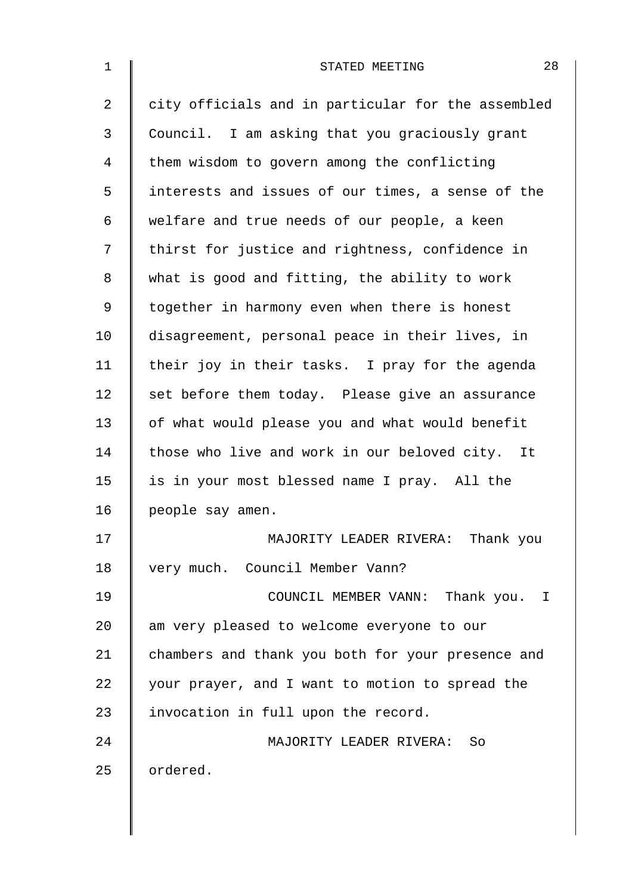| 1              | 28<br>STATED MEETING                               |
|----------------|----------------------------------------------------|
| $\overline{2}$ | city officials and in particular for the assembled |
| 3              | Council. I am asking that you graciously grant     |
| 4              | them wisdom to govern among the conflicting        |
| 5              | interests and issues of our times, a sense of the  |
| 6              | welfare and true needs of our people, a keen       |
| 7              | thirst for justice and rightness, confidence in    |
| 8              | what is good and fitting, the ability to work      |
| 9              | together in harmony even when there is honest      |
| 10             | disagreement, personal peace in their lives, in    |
| 11             | their joy in their tasks. I pray for the agenda    |
| 12             | set before them today. Please give an assurance    |
| 13             | of what would please you and what would benefit    |
| 14             | those who live and work in our beloved city. It    |
| 15             | is in your most blessed name I pray. All the       |
| 16             | people say amen.                                   |
| 17             | MAJORITY LEADER RIVERA: Thank you                  |
| 18             | very much. Council Member Vann?                    |
| 19             | COUNCIL MEMBER VANN: Thank you. I                  |
| 20             | am very pleased to welcome everyone to our         |
| 21             | chambers and thank you both for your presence and  |
| 22             | your prayer, and I want to motion to spread the    |
| 23             | invocation in full upon the record.                |
| 24             | MAJORITY LEADER RIVERA: So                         |
| 25             | ordered.                                           |
|                |                                                    |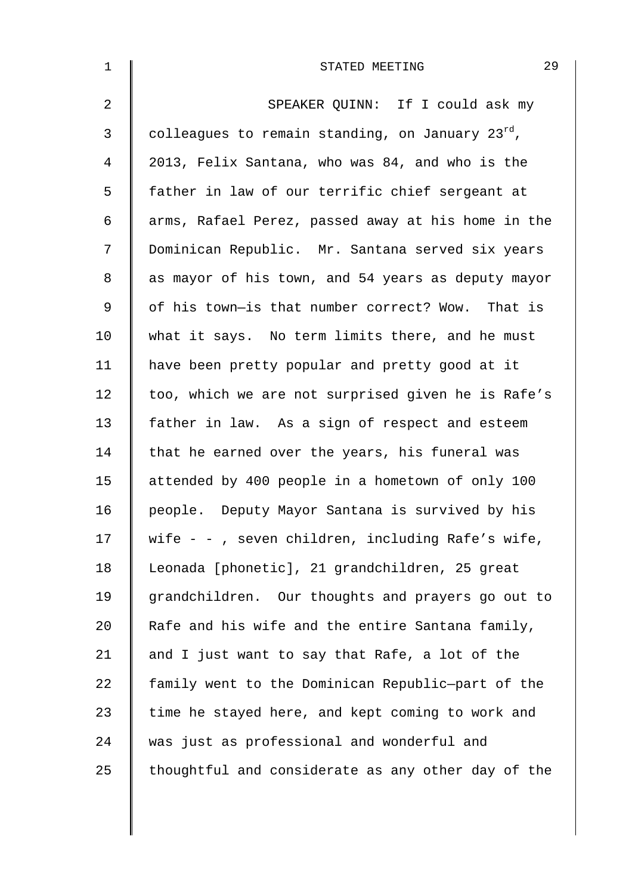| $\mathbf 1$    | 29<br>STATED MEETING                               |
|----------------|----------------------------------------------------|
| $\overline{2}$ | SPEAKER QUINN: If I could ask my                   |
| 3              | colleagues to remain standing, on January 23rd,    |
| 4              | 2013, Felix Santana, who was 84, and who is the    |
| 5              | father in law of our terrific chief sergeant at    |
| 6              | arms, Rafael Perez, passed away at his home in the |
| 7              | Dominican Republic. Mr. Santana served six years   |
| 8              | as mayor of his town, and 54 years as deputy mayor |
| 9              | of his town-is that number correct? Wow. That is   |
| 10             | what it says. No term limits there, and he must    |
| 11             | have been pretty popular and pretty good at it     |
| 12             | too, which we are not surprised given he is Rafe's |
| 13             | father in law. As a sign of respect and esteem     |
| 14             | that he earned over the years, his funeral was     |
| 15             | attended by 400 people in a hometown of only 100   |
| 16             | people. Deputy Mayor Santana is survived by his    |
| 17             | wife - -, seven children, including Rafe's wife,   |
| 18             | Leonada [phonetic], 21 grandchildren, 25 great     |
| 19             | grandchildren. Our thoughts and prayers go out to  |
| 20             | Rafe and his wife and the entire Santana family,   |
| 21             | and I just want to say that Rafe, a lot of the     |
| 22             | family went to the Dominican Republic-part of the  |
| 23             | time he stayed here, and kept coming to work and   |
| 24             | was just as professional and wonderful and         |
| 25             | thoughtful and considerate as any other day of the |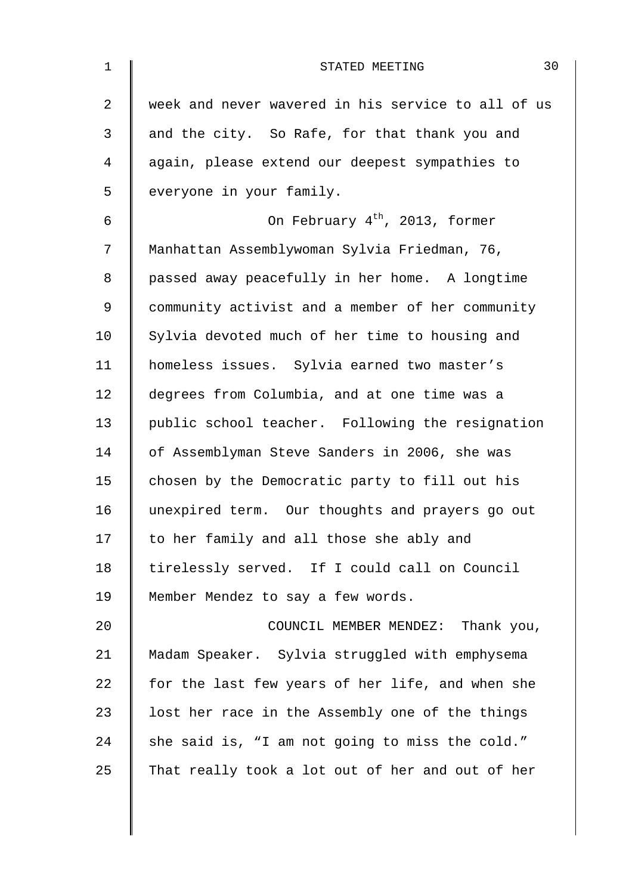| $\mathbf 1$ | 30<br>STATED MEETING                               |
|-------------|----------------------------------------------------|
| 2           | week and never wavered in his service to all of us |
| 3           | and the city. So Rafe, for that thank you and      |
| 4           | again, please extend our deepest sympathies to     |
| 5           | everyone in your family.                           |
| 6           | On February 4 <sup>th</sup> , 2013, former         |
| 7           | Manhattan Assemblywoman Sylvia Friedman, 76,       |
| 8           | passed away peacefully in her home. A longtime     |
| 9           | community activist and a member of her community   |
| 10          | Sylvia devoted much of her time to housing and     |
| 11          | homeless issues. Sylvia earned two master's        |
| 12          | degrees from Columbia, and at one time was a       |
| 13          | public school teacher. Following the resignation   |
| 14          | of Assemblyman Steve Sanders in 2006, she was      |
| 15          | chosen by the Democratic party to fill out his     |
| 16          | unexpired term. Our thoughts and prayers go out    |
| 17          | to her family and all those she ably and           |
| 18          | tirelessly served. If I could call on Council      |
| 19          | Member Mendez to say a few words.                  |
| 20          | COUNCIL MEMBER MENDEZ: Thank you,                  |
| 21          | Madam Speaker. Sylvia struggled with emphysema     |
| 22          | for the last few years of her life, and when she   |
| 23          | lost her race in the Assembly one of the things    |
| 24          | she said is, "I am not going to miss the cold."    |
| 25          | That really took a lot out of her and out of her   |
|             |                                                    |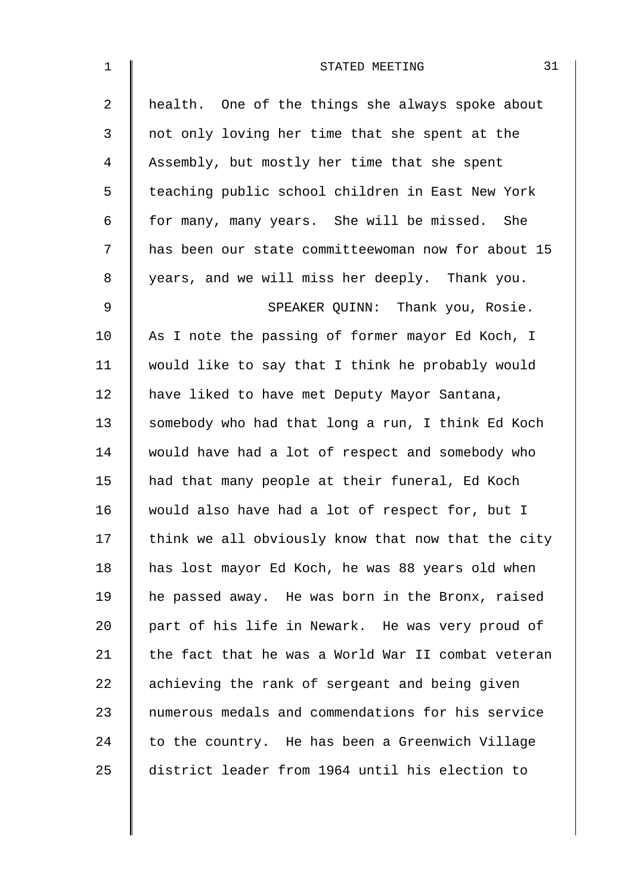| $\mathbf 1$    | 31<br>STATED MEETING                               |
|----------------|----------------------------------------------------|
| $\overline{2}$ | health. One of the things she always spoke about   |
| 3              | not only loving her time that she spent at the     |
| 4              | Assembly, but mostly her time that she spent       |
| 5              | teaching public school children in East New York   |
| 6              | for many, many years. She will be missed. She      |
| 7              | has been our state committeewoman now for about 15 |
| 8              | years, and we will miss her deeply. Thank you.     |
| $\mathsf 9$    | SPEAKER QUINN: Thank you, Rosie.                   |
| 10             | As I note the passing of former mayor Ed Koch, I   |
| 11             | would like to say that I think he probably would   |
| 12             | have liked to have met Deputy Mayor Santana,       |
| 13             | somebody who had that long a run, I think Ed Koch  |
| 14             | would have had a lot of respect and somebody who   |
| 15             | had that many people at their funeral, Ed Koch     |
| 16             | would also have had a lot of respect for, but I    |
| 17             | think we all obviously know that now that the city |
| 18             | has lost mayor Ed Koch, he was 88 years old when   |
| 19             | he passed away. He was born in the Bronx, raised   |
| 20             | part of his life in Newark. He was very proud of   |
| 21             | the fact that he was a World War II combat veteran |
| 22             | achieving the rank of sergeant and being given     |
| 23             | numerous medals and commendations for his service  |
| 24             | to the country. He has been a Greenwich Village    |
| 25             | district leader from 1964 until his election to    |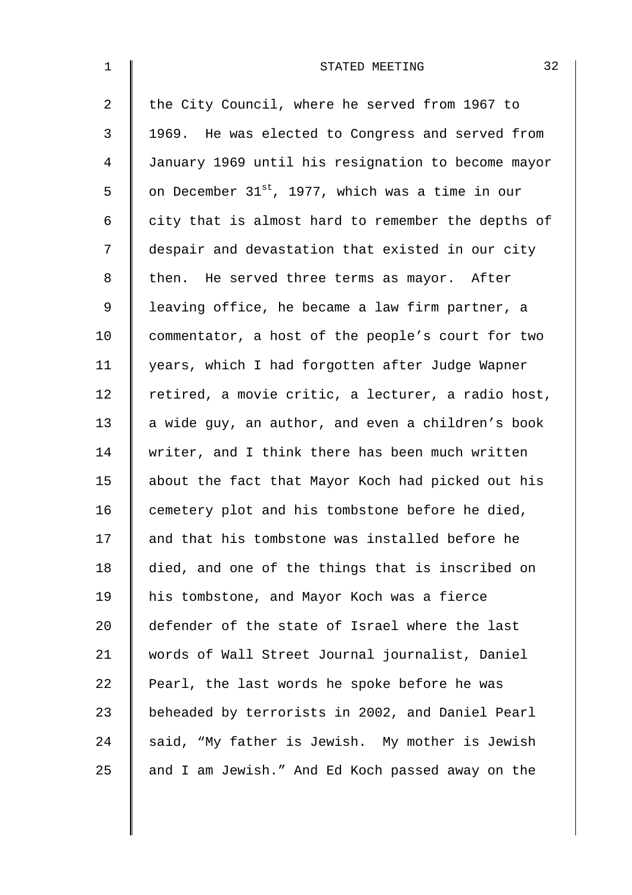| $\mathbf{1}$   | 32<br>STATED MEETING                                         |
|----------------|--------------------------------------------------------------|
| $\overline{a}$ | the City Council, where he served from 1967 to               |
| 3              | 1969. He was elected to Congress and served from             |
| 4              | January 1969 until his resignation to become mayor           |
| 5              | on December 31 <sup>st</sup> , 1977, which was a time in our |
| 6              | city that is almost hard to remember the depths of           |
| 7              | despair and devastation that existed in our city             |
| 8              | then. He served three terms as mayor. After                  |
| 9              | leaving office, he became a law firm partner, a              |
| 10             | commentator, a host of the people's court for two            |
| 11             | years, which I had forgotten after Judge Wapner              |
| 12             | retired, a movie critic, a lecturer, a radio host,           |
| 13             | a wide guy, an author, and even a children's book            |
| 14             | writer, and I think there has been much written              |
| 15             | about the fact that Mayor Koch had picked out his            |
| 16             | cemetery plot and his tombstone before he died,              |
| 17             | and that his tombstone was installed before he               |
| 18             | died, and one of the things that is inscribed on             |
| 19             | his tombstone, and Mayor Koch was a fierce                   |
| 20             | defender of the state of Israel where the last               |
| 21             | words of Wall Street Journal journalist, Daniel              |
| 22             | Pearl, the last words he spoke before he was                 |
| 23             | beheaded by terrorists in 2002, and Daniel Pearl             |
| 24             | said, "My father is Jewish. My mother is Jewish              |
| 25             | and I am Jewish." And Ed Koch passed away on the             |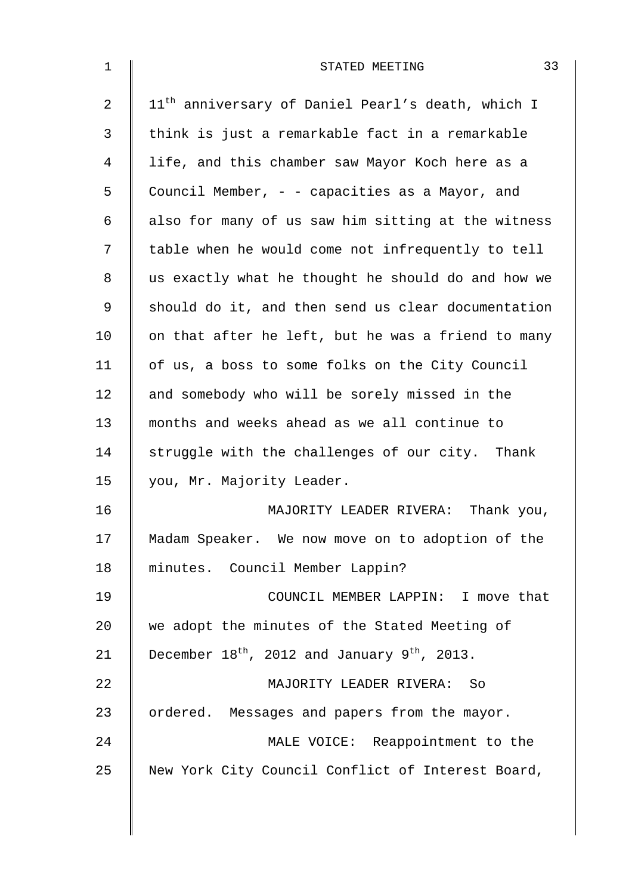| 1  | 33<br>STATED MEETING                                          |
|----|---------------------------------------------------------------|
| 2  | 11 <sup>th</sup> anniversary of Daniel Pearl's death, which I |
| 3  | think is just a remarkable fact in a remarkable               |
| 4  | life, and this chamber saw Mayor Koch here as a               |
| 5  | Council Member, - - capacities as a Mayor, and                |
| 6  | also for many of us saw him sitting at the witness            |
| 7  | table when he would come not infrequently to tell             |
| 8  | us exactly what he thought he should do and how we            |
| 9  | should do it, and then send us clear documentation            |
| 10 | on that after he left, but he was a friend to many            |
| 11 | of us, a boss to some folks on the City Council               |
| 12 | and somebody who will be sorely missed in the                 |
| 13 | months and weeks ahead as we all continue to                  |
| 14 | struggle with the challenges of our city. Thank               |
| 15 | you, Mr. Majority Leader.                                     |
| 16 | MAJORITY LEADER RIVERA: Thank you,                            |
| 17 | Madam Speaker. We now move on to adoption of the              |
| 18 | minutes. Council Member Lappin?                               |
| 19 | COUNCIL MEMBER LAPPIN: I move that                            |
| 20 | we adopt the minutes of the Stated Meeting of                 |
| 21 | December $18^{th}$ , 2012 and January $9^{th}$ , 2013.        |
| 22 | MAJORITY LEADER RIVERA:<br>- So                               |
| 23 | ordered. Messages and papers from the mayor.                  |
| 24 | MALE VOICE: Reappointment to the                              |
| 25 | New York City Council Conflict of Interest Board,             |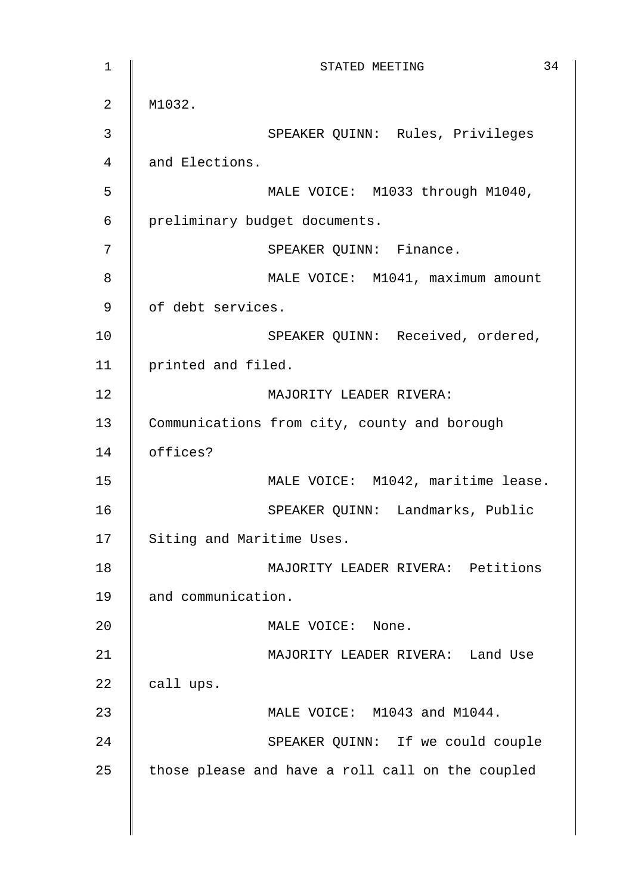1 **STATED MEETING** 34 2 | M1032. 3 || SPEAKER QUINN: Rules, Privileges 4 and Elections. 5 MALE VOICE: M1033 through M1040, 6 preliminary budget documents. 7 || SPEAKER QUINN: Finance. 8 | MALE VOICE: M1041, maximum amount 9 | of debt services. 10 | SPEAKER QUINN: Received, ordered, 11 | printed and filed. 12 MAJORITY LEADER RIVERA: 13 Communications from city, county and borough 14 offices? 15 | MALE VOICE: M1042, maritime lease. 16 SPEAKER QUINN: Landmarks, Public 17 Siting and Maritime Uses. 18 MAJORITY LEADER RIVERA: Petitions 19 and communication. 20 MALE VOICE: None. 21 | MAJORITY LEADER RIVERA: Land Use 22  $\parallel$  call ups. 23 **MALE VOICE:** M1043 and M1044. 24 | SPEAKER QUINN: If we could couple  $25$  those please and have a roll call on the coupled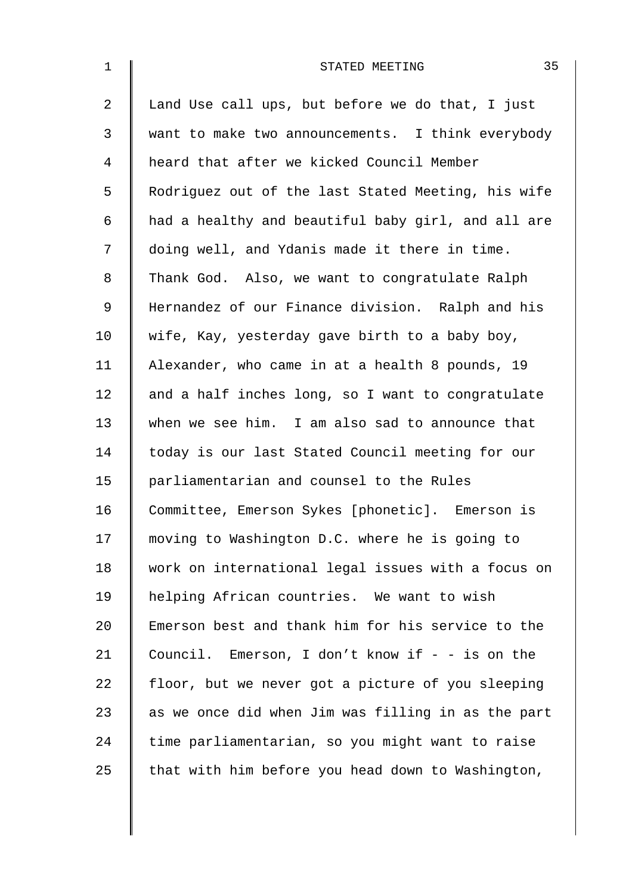| $\mathbf 1$    | 35<br>STATED MEETING                               |
|----------------|----------------------------------------------------|
| $\overline{2}$ | Land Use call ups, but before we do that, I just   |
| 3              | want to make two announcements. I think everybody  |
| $\overline{4}$ | heard that after we kicked Council Member          |
| 5              | Rodriguez out of the last Stated Meeting, his wife |
| 6              | had a healthy and beautiful baby girl, and all are |
| 7              | doing well, and Ydanis made it there in time.      |
| 8              | Thank God. Also, we want to congratulate Ralph     |
| $\mathsf 9$    | Hernandez of our Finance division. Ralph and his   |
| 10             | wife, Kay, yesterday gave birth to a baby boy,     |
| 11             | Alexander, who came in at a health 8 pounds, 19    |
| 12             | and a half inches long, so I want to congratulate  |
| 13             | when we see him. I am also sad to announce that    |
| 14             | today is our last Stated Council meeting for our   |
| 15             | parliamentarian and counsel to the Rules           |
| 16             | Committee, Emerson Sykes [phonetic]. Emerson is    |
| 17             | moving to Washington D.C. where he is going to     |
| 18             | work on international legal issues with a focus on |
| 19             | helping African countries. We want to wish         |
| 20             | Emerson best and thank him for his service to the  |
| 21             | Council. Emerson, I don't know if $-$ - is on the  |
| 22             | floor, but we never got a picture of you sleeping  |
| 23             | as we once did when Jim was filling in as the part |
| 24             | time parliamentarian, so you might want to raise   |
| 25             | that with him before you head down to Washington,  |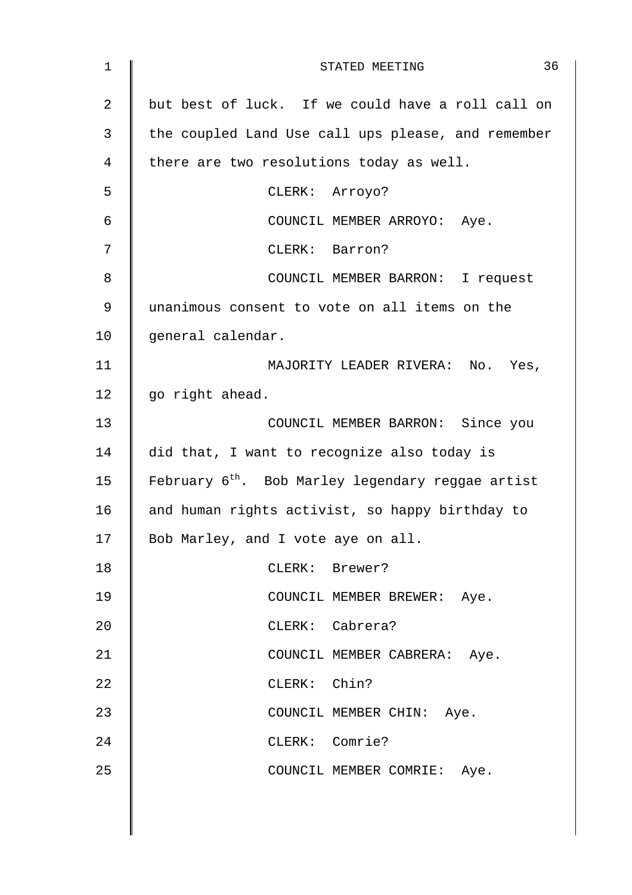| $\mathbf 1$ | 36<br>STATED MEETING                                          |
|-------------|---------------------------------------------------------------|
| 2           | but best of luck. If we could have a roll call on             |
| 3           | the coupled Land Use call ups please, and remember            |
| 4           | there are two resolutions today as well.                      |
| 5           | CLERK: Arroyo?                                                |
| 6           | COUNCIL MEMBER ARROYO: Aye.                                   |
| 7           | CLERK: Barron?                                                |
| 8           | COUNCIL MEMBER BARRON: I request                              |
| 9           | unanimous consent to vote on all items on the                 |
| 10          | general calendar.                                             |
| 11          | MAJORITY LEADER RIVERA: No. Yes,                              |
| 12          | go right ahead.                                               |
| 13          | COUNCIL MEMBER BARRON: Since you                              |
| 14          | did that, I want to recognize also today is                   |
| 15          | February 6 <sup>th</sup> . Bob Marley legendary reggae artist |
| 16          | and human rights activist, so happy birthday to               |
| 17          | Bob Marley, and I vote aye on all.                            |
| 18          | CLERK: Brewer?                                                |
| 19          | COUNCIL MEMBER BREWER: Aye.                                   |
| 20          | CLERK: Cabrera?                                               |
| 21          | COUNCIL MEMBER CABRERA: Aye.                                  |
| 22          | CLERK: Chin?                                                  |
| 23          | COUNCIL MEMBER CHIN: Aye.                                     |
| 24          | CLERK: Comrie?                                                |
| 25          | COUNCIL MEMBER COMRIE: Aye.                                   |
|             |                                                               |
|             |                                                               |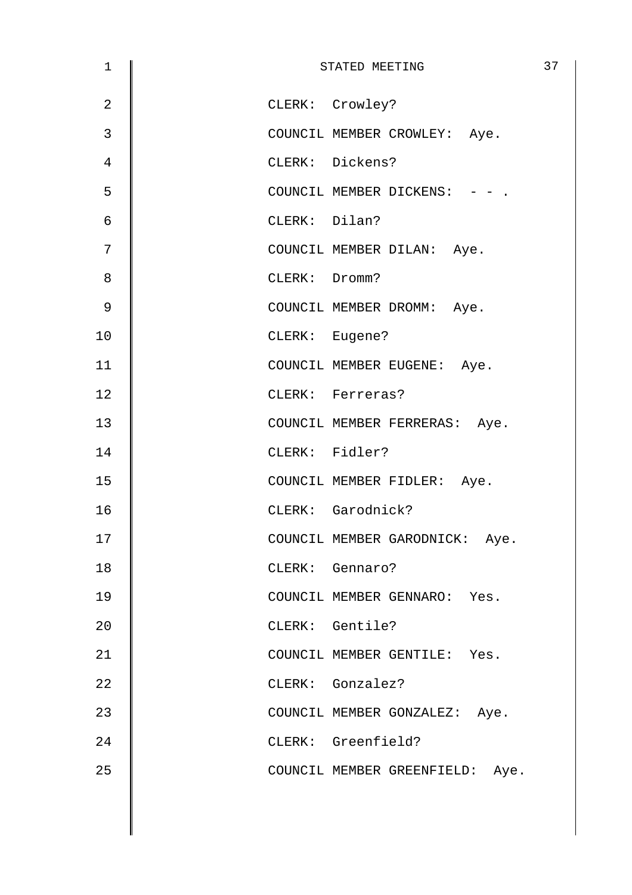| $\mathbf 1$    | STATED MEETING                  | 37 |
|----------------|---------------------------------|----|
| $\overline{2}$ | CLERK: Crowley?                 |    |
| 3              | COUNCIL MEMBER CROWLEY: Aye.    |    |
| $\overline{4}$ | CLERK: Dickens?                 |    |
| 5              | COUNCIL MEMBER DICKENS: - - .   |    |
| $\epsilon$     | CLERK: Dilan?                   |    |
| 7              | COUNCIL MEMBER DILAN: Aye.      |    |
| 8              | CLERK: Dromm?                   |    |
| $\mathsf 9$    | COUNCIL MEMBER DROMM: Aye.      |    |
| 10             | CLERK: Eugene?                  |    |
| 11             | COUNCIL MEMBER EUGENE: Aye.     |    |
| 12             | CLERK: Ferreras?                |    |
| 13             | COUNCIL MEMBER FERRERAS: Aye.   |    |
| 14             | CLERK: Fidler?                  |    |
| 15             | COUNCIL MEMBER FIDLER: Aye.     |    |
| 16             | CLERK: Garodnick?               |    |
| 17             | COUNCIL MEMBER GARODNICK: Aye.  |    |
| 18             | CLERK: Gennaro?                 |    |
| 19             | COUNCIL MEMBER GENNARO: Yes.    |    |
| 20             | CLERK: Gentile?                 |    |
| 21             | COUNCIL MEMBER GENTILE: Yes.    |    |
| 22             | CLERK: Gonzalez?                |    |
| 23             | COUNCIL MEMBER GONZALEZ: Aye.   |    |
| 24             | CLERK: Greenfield?              |    |
| 25             | COUNCIL MEMBER GREENFIELD: Aye. |    |
|                |                                 |    |
|                |                                 |    |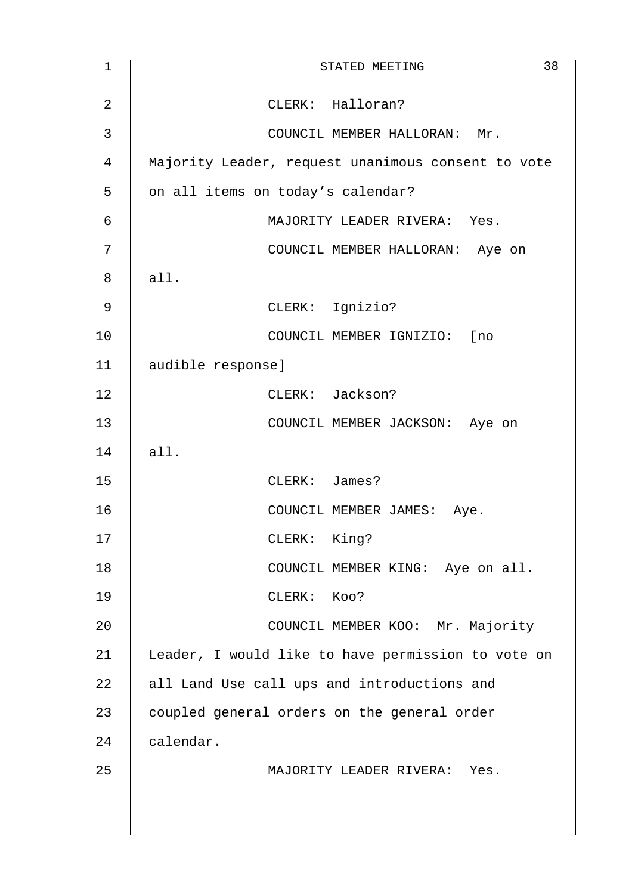| $\mathbf 1$    | 38<br>STATED MEETING                               |
|----------------|----------------------------------------------------|
| $\overline{2}$ | CLERK: Halloran?                                   |
| $\mathfrak{Z}$ | COUNCIL MEMBER HALLORAN: Mr.                       |
| 4              | Majority Leader, request unanimous consent to vote |
| 5              | on all items on today's calendar?                  |
| 6              | MAJORITY LEADER RIVERA: Yes.                       |
| 7              | COUNCIL MEMBER HALLORAN: Aye on                    |
| 8              | all.                                               |
| 9              | CLERK: Ignizio?                                    |
| 10             | COUNCIL MEMBER IGNIZIO: [no                        |
| 11             | audible response]                                  |
| 12             | CLERK: Jackson?                                    |
| 13             | COUNCIL MEMBER JACKSON: Aye on                     |
| 14             | all.                                               |
| 15             | CLERK: James?                                      |
| 16             | COUNCIL MEMBER JAMES: Aye.                         |
| 17             | CLERK: King?                                       |
| 18             | COUNCIL MEMBER KING: Aye on all.                   |
| 19             | CLERK: KOO?                                        |
| 20             | COUNCIL MEMBER KOO: Mr. Majority                   |
| 21             | Leader, I would like to have permission to vote on |
| 22             | all Land Use call ups and introductions and        |
| 23             | coupled general orders on the general order        |
| 24             | calendar.                                          |
| 25             | MAJORITY LEADER RIVERA: Yes.                       |
|                |                                                    |
|                |                                                    |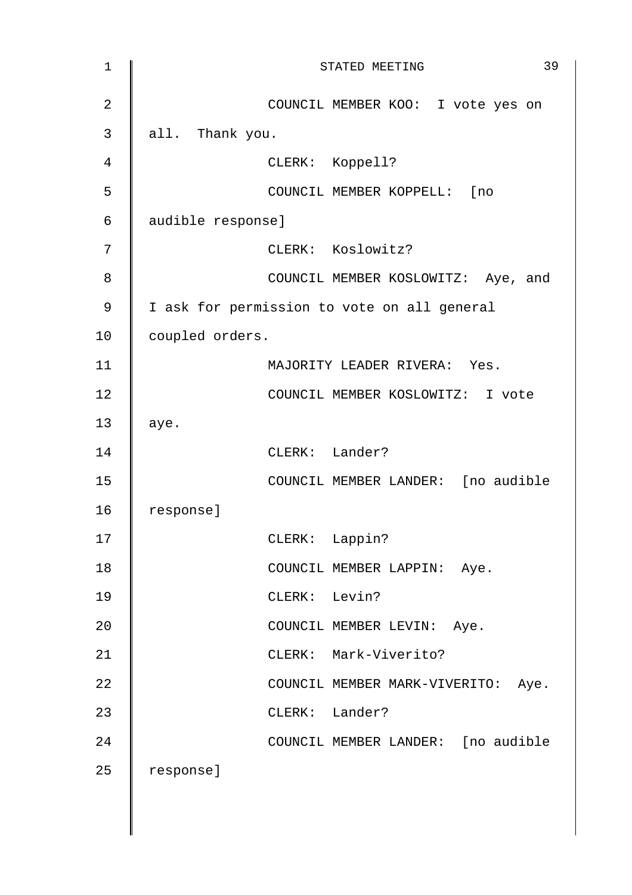| $\mathbf 1$    | 39<br>STATED MEETING                        |
|----------------|---------------------------------------------|
| $\overline{2}$ | COUNCIL MEMBER KOO: I vote yes on           |
| 3              | all. Thank you.                             |
| 4              | CLERK: Koppell?                             |
| 5              | COUNCIL MEMBER KOPPELL: [no                 |
| 6              | audible response]                           |
| 7              | CLERK: Koslowitz?                           |
| 8              | COUNCIL MEMBER KOSLOWITZ: Aye, and          |
| 9              | I ask for permission to vote on all general |
| 10             | coupled orders.                             |
| 11             | MAJORITY LEADER RIVERA: Yes.                |
| 12             | COUNCIL MEMBER KOSLOWITZ: I vote            |
| 13             | aye.                                        |
| 14             | CLERK: Lander?                              |
| 15             | COUNCIL MEMBER LANDER: [no audible          |
| 16             | response]                                   |
| 17             | $CLERK$ :<br>Lappin?                        |
| 18             | COUNCIL MEMBER LAPPIN: Aye.                 |
| 19             | CLERK: Levin?                               |
| 20             | COUNCIL MEMBER LEVIN: Aye.                  |
| 21             | CLERK: Mark-Viverito?                       |
| 22             | COUNCIL MEMBER MARK-VIVERITO: Aye.          |
| 23             | CLERK: Lander?                              |
| 24             | COUNCIL MEMBER LANDER: [no audible          |
| 25             | response]                                   |
|                |                                             |
|                |                                             |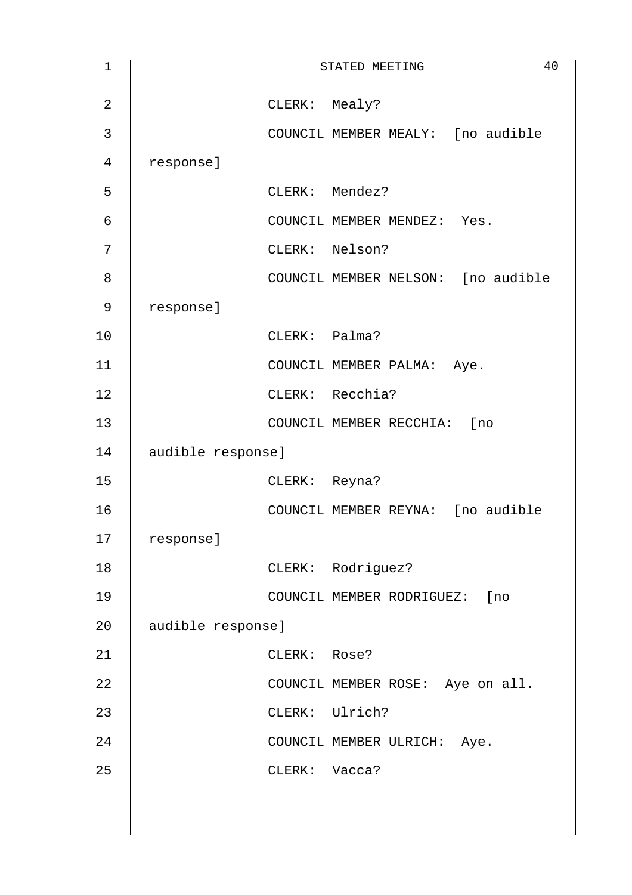| $\mathbf 1$    |                   |               | 40<br>STATED MEETING               |
|----------------|-------------------|---------------|------------------------------------|
| $\overline{2}$ |                   | CLERK: Mealy? |                                    |
| 3              |                   |               | COUNCIL MEMBER MEALY: [no audible  |
| 4              | response]         |               |                                    |
| 5              |                   |               | CLERK: Mendez?                     |
| 6              |                   |               | COUNCIL MEMBER MENDEZ: Yes.        |
| 7              |                   |               | CLERK: Nelson?                     |
| 8              |                   |               | COUNCIL MEMBER NELSON: [no audible |
| 9              | response]         |               |                                    |
| 10             |                   | CLERK: Palma? |                                    |
| 11             |                   |               | COUNCIL MEMBER PALMA: Aye.         |
| 12             |                   |               | CLERK: Recchia?                    |
| 13             |                   |               | COUNCIL MEMBER RECCHIA: [no        |
| 14             | audible response] |               |                                    |
| 15             |                   | CLERK: Reyna? |                                    |
| 16             |                   |               | COUNCIL MEMBER REYNA: [no audible  |
| 17             | response]         |               |                                    |
| 18             |                   |               | CLERK: Rodriguez?                  |
| 19             |                   |               | COUNCIL MEMBER RODRIGUEZ: [no      |
| 20             | audible response] |               |                                    |
| 21             |                   | CLERK: Rose?  |                                    |
| 22             |                   |               | COUNCIL MEMBER ROSE: Aye on all.   |
| 23             |                   |               | CLERK: Ulrich?                     |
| 24             |                   |               | COUNCIL MEMBER ULRICH: Aye.        |
| 25             |                   | CLERK: Vacca? |                                    |
|                |                   |               |                                    |
|                |                   |               |                                    |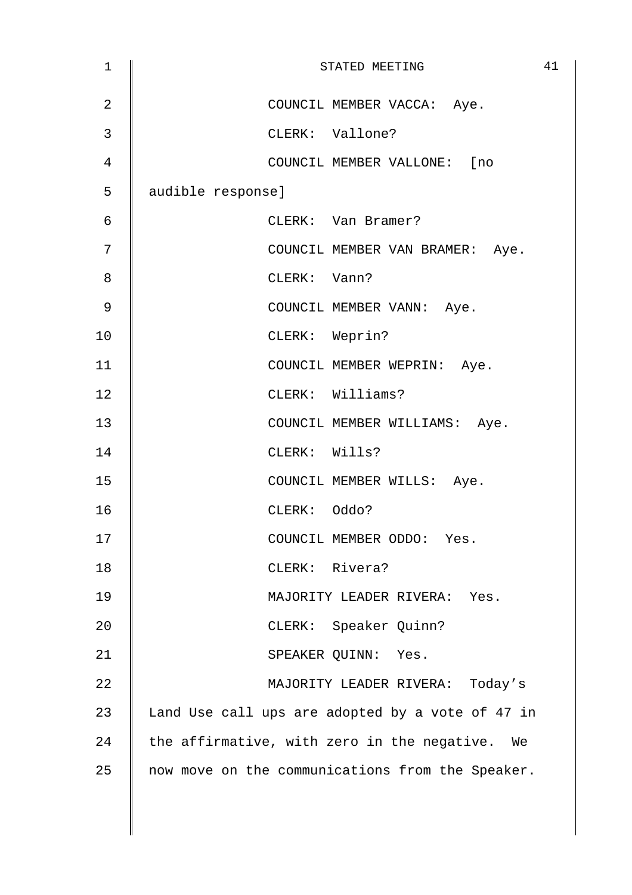| 1              | 41<br>STATED MEETING                             |
|----------------|--------------------------------------------------|
| $\overline{2}$ | COUNCIL MEMBER VACCA: Aye.                       |
| 3              | CLERK: Vallone?                                  |
| 4              | COUNCIL MEMBER VALLONE: [no                      |
| 5              | audible response]                                |
| 6              | CLERK: Van Bramer?                               |
| 7              | COUNCIL MEMBER VAN BRAMER: Aye.                  |
| 8              | CLERK: Vann?                                     |
| 9              | COUNCIL MEMBER VANN: Aye.                        |
| 10             | CLERK: Weprin?                                   |
| 11             | COUNCIL MEMBER WEPRIN: Aye.                      |
| 12             | CLERK: Williams?                                 |
| 13             | COUNCIL MEMBER WILLIAMS: Aye.                    |
| 14             | CLERK: Wills?                                    |
| 15             | COUNCIL MEMBER WILLS: Aye.                       |
| 16             | CLERK: Oddo?                                     |
| 17             | COUNCIL MEMBER ODDO: Yes.                        |
| 18             | CLERK: Rivera?                                   |
| 19             | MAJORITY LEADER RIVERA: Yes.                     |
| 20             | CLERK: Speaker Quinn?                            |
| 21             | SPEAKER QUINN: Yes.                              |
| 22             | MAJORITY LEADER RIVERA: Today's                  |
| 23             | Land Use call ups are adopted by a vote of 47 in |
| 24             | the affirmative, with zero in the negative. We   |
| 25             | now move on the communications from the Speaker. |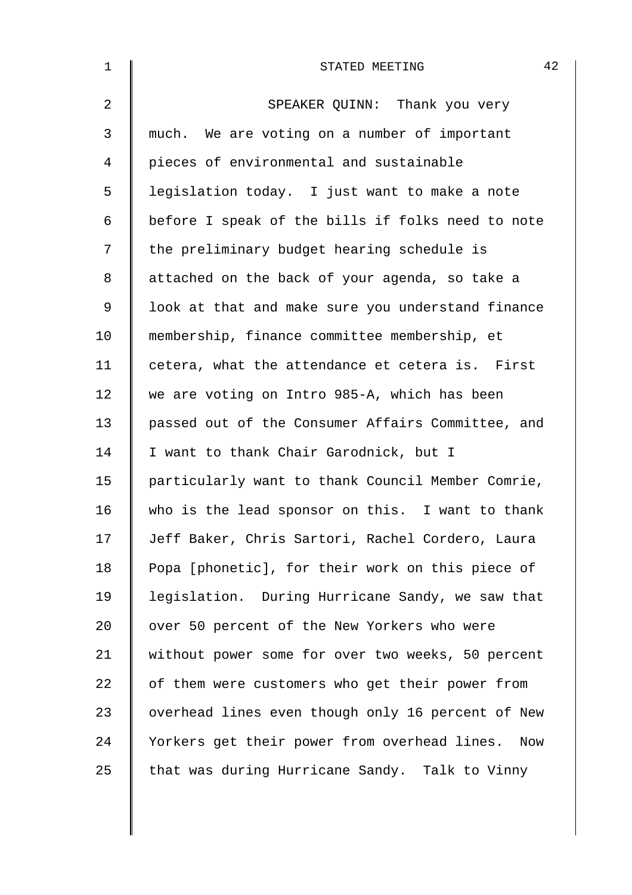| $\mathbf 1$    | 42<br>STATED MEETING                                |
|----------------|-----------------------------------------------------|
| $\overline{a}$ | SPEAKER QUINN: Thank you very                       |
| 3              | much. We are voting on a number of important        |
| 4              | pieces of environmental and sustainable             |
| 5              | legislation today. I just want to make a note       |
| 6              | before I speak of the bills if folks need to note   |
| 7              | the preliminary budget hearing schedule is          |
| 8              | attached on the back of your agenda, so take a      |
| $\mathsf 9$    | look at that and make sure you understand finance   |
| 10             | membership, finance committee membership, et        |
| 11             | cetera, what the attendance et cetera is. First     |
| 12             | we are voting on Intro 985-A, which has been        |
| 13             | passed out of the Consumer Affairs Committee, and   |
| 14             | I want to thank Chair Garodnick, but I              |
| 15             | particularly want to thank Council Member Comrie,   |
| 16             | who is the lead sponsor on this. I want to thank    |
| 17             | Jeff Baker, Chris Sartori, Rachel Cordero, Laura    |
| 18             | Popa [phonetic], for their work on this piece of    |
| 19             | legislation. During Hurricane Sandy, we saw that    |
| 20             | over 50 percent of the New Yorkers who were         |
| 21             | without power some for over two weeks, 50 percent   |
| 22             | of them were customers who get their power from     |
| 23             | overhead lines even though only 16 percent of New   |
| 24             | Yorkers get their power from overhead lines.<br>Now |
| 25             | that was during Hurricane Sandy. Talk to Vinny      |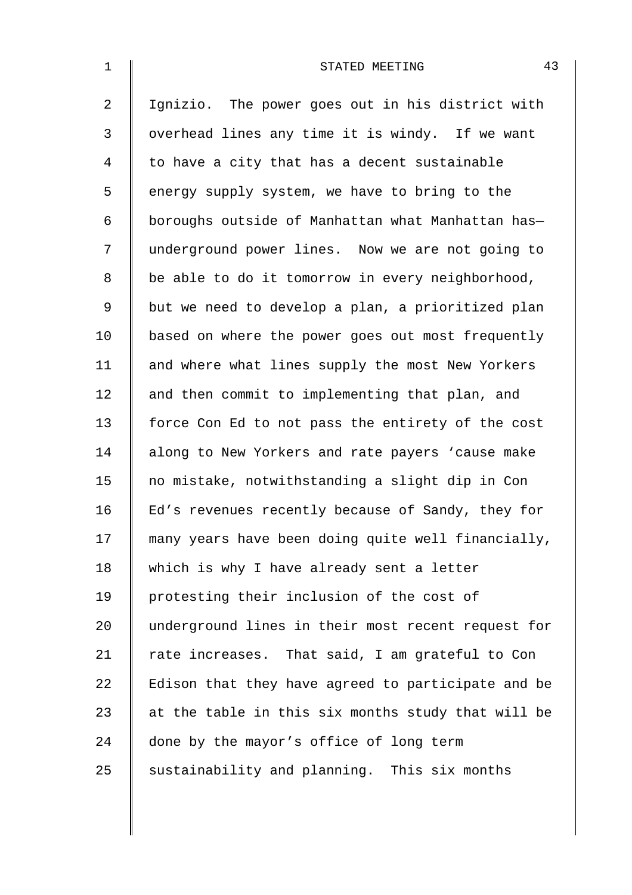| $\mathbf{1}$   | 43<br>STATED MEETING                               |
|----------------|----------------------------------------------------|
| $\overline{a}$ | Ignizio. The power goes out in his district with   |
| 3              | overhead lines any time it is windy. If we want    |
| 4              | to have a city that has a decent sustainable       |
| 5              | energy supply system, we have to bring to the      |
| 6              | boroughs outside of Manhattan what Manhattan has-  |
| 7              | underground power lines. Now we are not going to   |
| 8              | be able to do it tomorrow in every neighborhood,   |
| $\mathsf 9$    | but we need to develop a plan, a prioritized plan  |
| 10             | based on where the power goes out most frequently  |
| 11             | and where what lines supply the most New Yorkers   |
| 12             | and then commit to implementing that plan, and     |
| 13             | force Con Ed to not pass the entirety of the cost  |
| 14             | along to New Yorkers and rate payers 'cause make   |
| 15             | no mistake, notwithstanding a slight dip in Con    |
| 16             | Ed's revenues recently because of Sandy, they for  |
| 17             | many years have been doing quite well financially, |
| 18             | which is why I have already sent a letter          |
| 19             | protesting their inclusion of the cost of          |
| 20             | underground lines in their most recent request for |
| 21             | rate increases. That said, I am grateful to Con    |
| 22             | Edison that they have agreed to participate and be |
| 23             | at the table in this six months study that will be |
| 24             | done by the mayor's office of long term            |
| 25             | sustainability and planning. This six months       |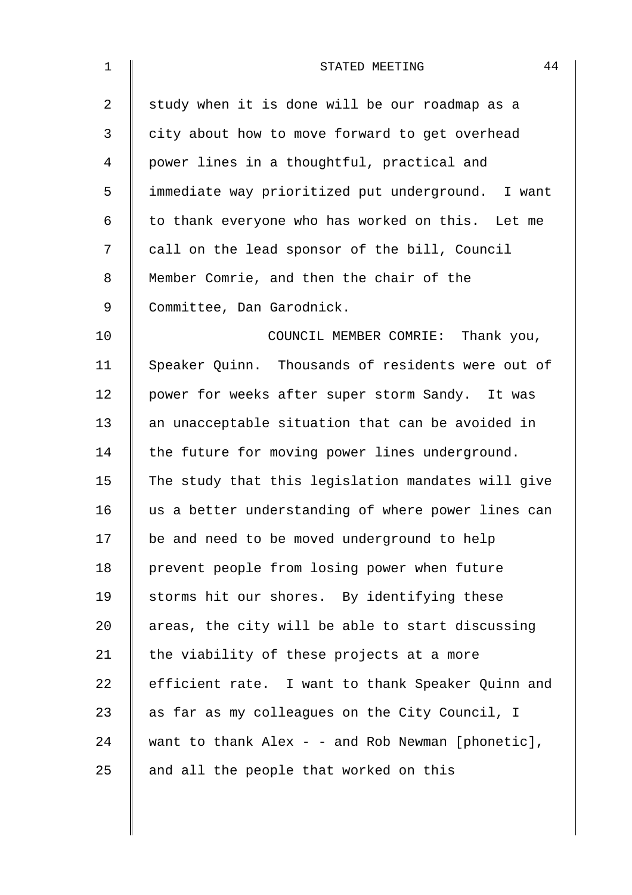| $\mathbf 1$ | 44<br>STATED MEETING                                  |
|-------------|-------------------------------------------------------|
| 2           | study when it is done will be our roadmap as a        |
| 3           | city about how to move forward to get overhead        |
| 4           | power lines in a thoughtful, practical and            |
| 5           | immediate way prioritized put underground. I want     |
| 6           | to thank everyone who has worked on this. Let me      |
| 7           | call on the lead sponsor of the bill, Council         |
| 8           | Member Comrie, and then the chair of the              |
| $\mathsf 9$ | Committee, Dan Garodnick.                             |
| 10          | COUNCIL MEMBER COMRIE: Thank you,                     |
| 11          | Speaker Quinn. Thousands of residents were out of     |
| 12          | power for weeks after super storm Sandy. It was       |
| 13          | an unacceptable situation that can be avoided in      |
| 14          | the future for moving power lines underground.        |
| 15          | The study that this legislation mandates will give    |
| 16          | us a better understanding of where power lines can    |
| 17          | be and need to be moved underground to help           |
| 18          | prevent people from losing power when future          |
| 19          | storms hit our shores. By identifying these           |
| 20          | areas, the city will be able to start discussing      |
| 21          | the viability of these projects at a more             |
| 22          | efficient rate. I want to thank Speaker Quinn and     |
| 23          | as far as my colleagues on the City Council, I        |
| 24          | want to thank $Alex - -$ and $Rob$ Newman [phonetic], |
| 25          | and all the people that worked on this                |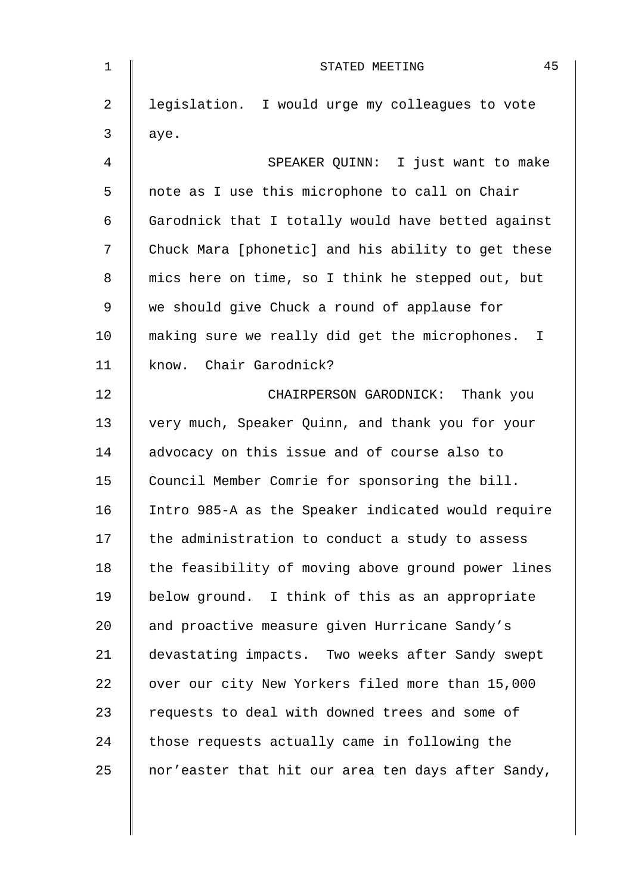| $\mathbf 1$    | 45<br>STATED MEETING                               |
|----------------|----------------------------------------------------|
| $\overline{2}$ | legislation. I would urge my colleagues to vote    |
| 3              | aye.                                               |
| 4              | SPEAKER QUINN: I just want to make                 |
| 5              | note as I use this microphone to call on Chair     |
| 6              | Garodnick that I totally would have betted against |
| 7              | Chuck Mara [phonetic] and his ability to get these |
| 8              | mics here on time, so I think he stepped out, but  |
| 9              | we should give Chuck a round of applause for       |
| 10             | making sure we really did get the microphones. I   |
| 11             | know. Chair Garodnick?                             |
| 12             | CHAIRPERSON GARODNICK: Thank you                   |
| 13             | very much, Speaker Quinn, and thank you for your   |
| 14             | advocacy on this issue and of course also to       |
| 15             | Council Member Comrie for sponsoring the bill.     |
| 16             | Intro 985-A as the Speaker indicated would require |
| 17             | the administration to conduct a study to assess    |
| 18             | the feasibility of moving above ground power lines |
| 19             | below ground. I think of this as an appropriate    |
| 20             | and proactive measure given Hurricane Sandy's      |
| 21             | devastating impacts. Two weeks after Sandy swept   |
| 22             | over our city New Yorkers filed more than 15,000   |
| 23             | requests to deal with downed trees and some of     |
| 24             | those requests actually came in following the      |
| 25             | nor'easter that hit our area ten days after Sandy, |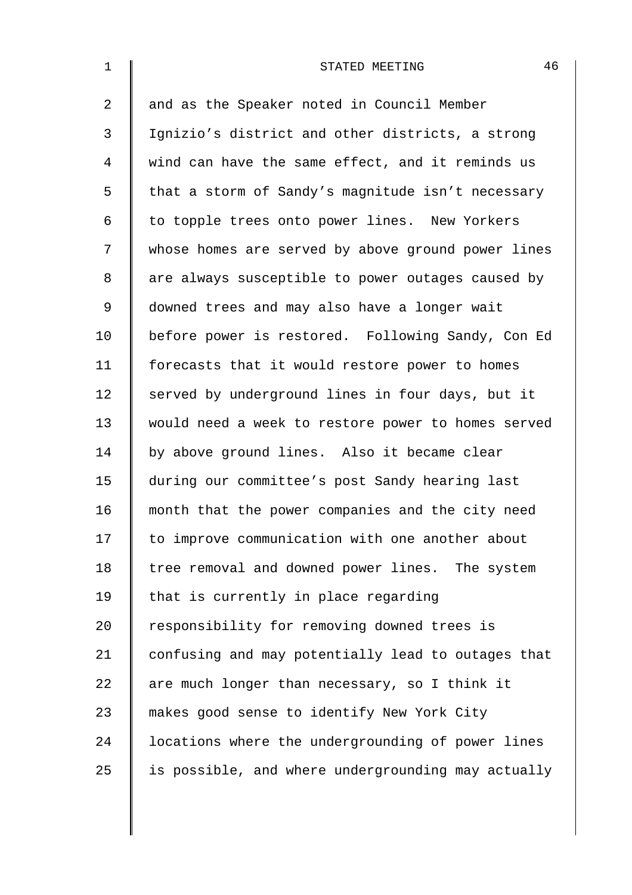| $\mathbf{1}$   | 46<br>STATED MEETING                               |
|----------------|----------------------------------------------------|
| $\overline{2}$ | and as the Speaker noted in Council Member         |
| 3              | Ignizio's district and other districts, a strong   |
| 4              | wind can have the same effect, and it reminds us   |
| 5              | that a storm of Sandy's magnitude isn't necessary  |
| 6              | to topple trees onto power lines. New Yorkers      |
| 7              | whose homes are served by above ground power lines |
| 8              | are always susceptible to power outages caused by  |
| 9              | downed trees and may also have a longer wait       |
| 10             | before power is restored. Following Sandy, Con Ed  |
| 11             | forecasts that it would restore power to homes     |
| 12             | served by underground lines in four days, but it   |
| 13             | would need a week to restore power to homes served |
| 14             | by above ground lines. Also it became clear        |
| 15             | during our committee's post Sandy hearing last     |
| 16             | month that the power companies and the city need   |
| 17             | to improve communication with one another about    |
| 18             | tree removal and downed power lines. The system    |
| 19             | that is currently in place regarding               |
| 20             | responsibility for removing downed trees is        |
| 21             | confusing and may potentially lead to outages that |
| 22             | are much longer than necessary, so I think it      |
| 23             | makes good sense to identify New York City         |
| 24             | locations where the undergrounding of power lines  |
| 25             | is possible, and where undergrounding may actually |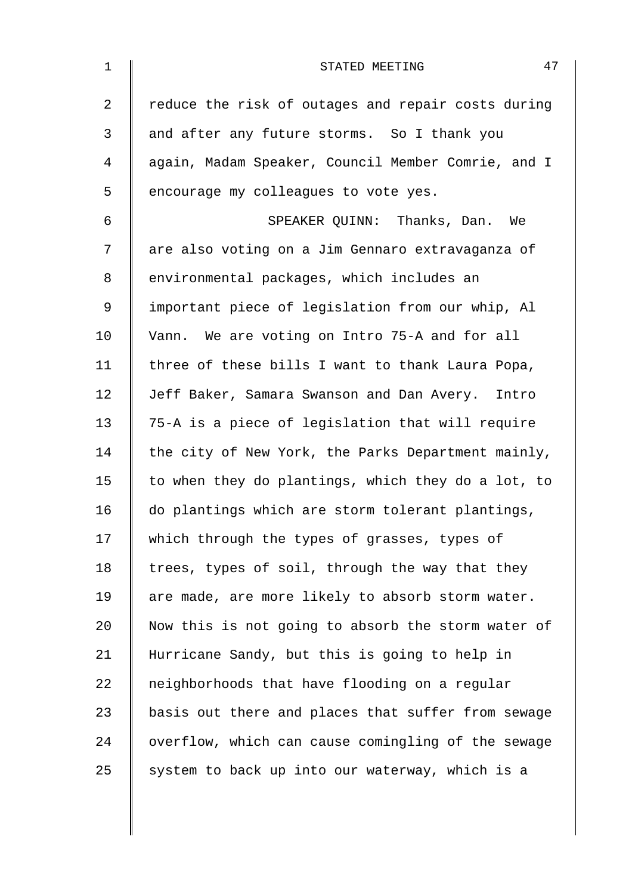| $\mathbf{1}$ | 47<br>STATED MEETING                               |
|--------------|----------------------------------------------------|
| 2            | reduce the risk of outages and repair costs during |
| 3            | and after any future storms. So I thank you        |
| 4            | again, Madam Speaker, Council Member Comrie, and I |
| 5            | encourage my colleagues to vote yes.               |
| 6            | SPEAKER QUINN: Thanks, Dan. We                     |
| 7            | are also voting on a Jim Gennaro extravaganza of   |
| 8            | environmental packages, which includes an          |
| $\mathsf 9$  | important piece of legislation from our whip, Al   |
| 10           | Vann. We are voting on Intro 75-A and for all      |
| 11           | three of these bills I want to thank Laura Popa,   |
| 12           | Jeff Baker, Samara Swanson and Dan Avery. Intro    |
| 13           | 75-A is a piece of legislation that will require   |
| 14           | the city of New York, the Parks Department mainly, |
| 15           | to when they do plantings, which they do a lot, to |
| 16           | do plantings which are storm tolerant plantings,   |
| 17           | which through the types of grasses, types of       |
| 18           | trees, types of soil, through the way that they    |
| 19           | are made, are more likely to absorb storm water.   |
| 20           | Now this is not going to absorb the storm water of |
| 21           | Hurricane Sandy, but this is going to help in      |
| 22           | neighborhoods that have flooding on a regular      |
| 23           | basis out there and places that suffer from sewage |
| 24           | overflow, which can cause comingling of the sewage |
| 25           | system to back up into our waterway, which is a    |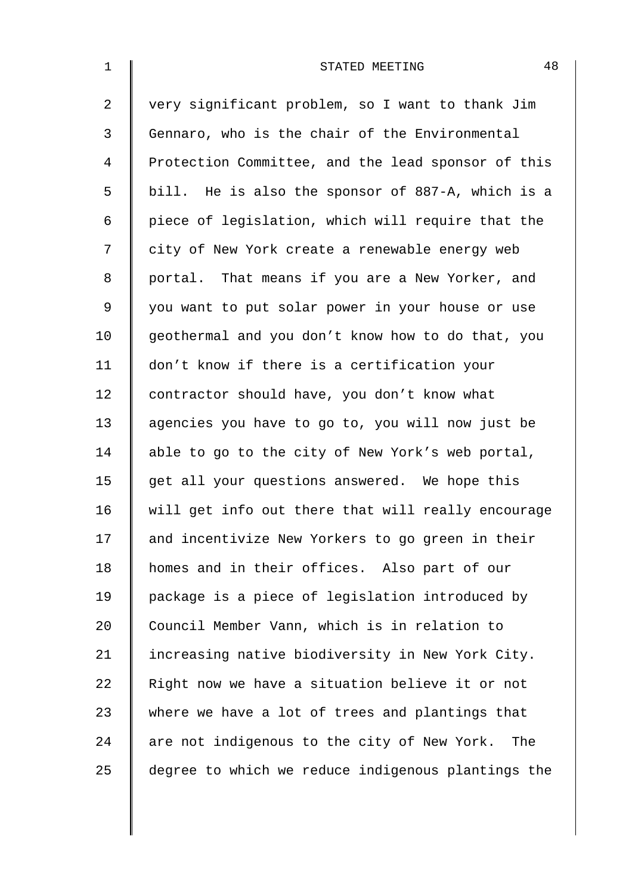| $\mathbf 1$    | 48<br>STATED MEETING                               |
|----------------|----------------------------------------------------|
| $\overline{2}$ | very significant problem, so I want to thank Jim   |
| 3              | Gennaro, who is the chair of the Environmental     |
| $\overline{4}$ | Protection Committee, and the lead sponsor of this |
| 5              | bill. He is also the sponsor of 887-A, which is a  |
| 6              | piece of legislation, which will require that the  |
| 7              | city of New York create a renewable energy web     |
| $\,8\,$        | portal. That means if you are a New Yorker, and    |
| $\mathsf 9$    | you want to put solar power in your house or use   |
| 10             | geothermal and you don't know how to do that, you  |
| 11             | don't know if there is a certification your        |
| 12             | contractor should have, you don't know what        |
| 13             | agencies you have to go to, you will now just be   |
| 14             | able to go to the city of New York's web portal,   |
| 15             | get all your questions answered. We hope this      |
| 16             | will get info out there that will really encourage |
| 17             | and incentivize New Yorkers to go green in their   |
| 18             | homes and in their offices. Also part of our       |
| 19             | package is a piece of legislation introduced by    |
| 20             | Council Member Vann, which is in relation to       |
| 21             | increasing native biodiversity in New York City.   |
| 22             | Right now we have a situation believe it or not    |
| 23             | where we have a lot of trees and plantings that    |
| 24             | are not indigenous to the city of New York. The    |
| 25             | degree to which we reduce indigenous plantings the |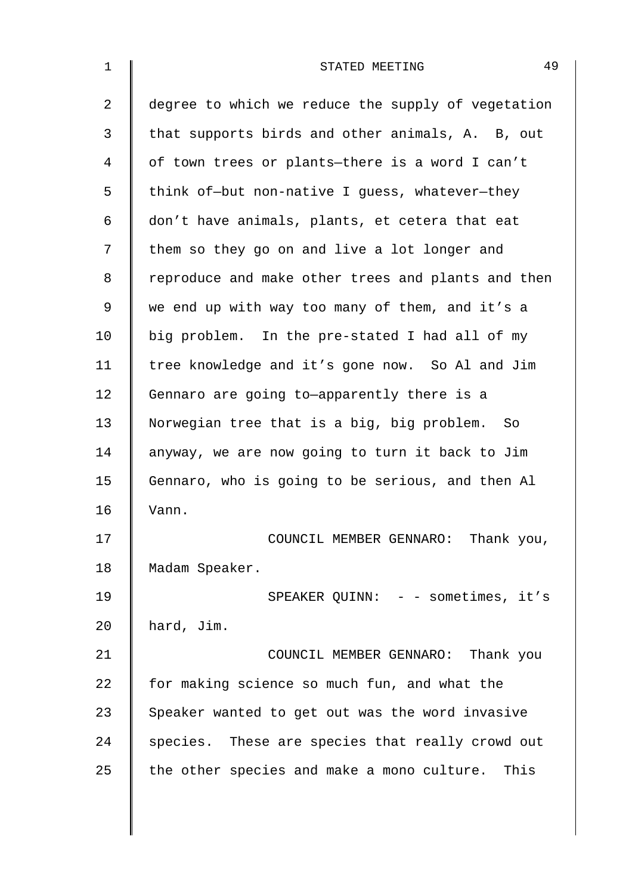| $\mathbf 1$    | 49<br>STATED MEETING                               |
|----------------|----------------------------------------------------|
| $\overline{2}$ | degree to which we reduce the supply of vegetation |
| 3              | that supports birds and other animals, A. B, out   |
| 4              | of town trees or plants-there is a word I can't    |
| 5              | think of-but non-native I guess, whatever-they     |
| 6              | don't have animals, plants, et cetera that eat     |
| 7              | them so they go on and live a lot longer and       |
| 8              | reproduce and make other trees and plants and then |
| 9              | we end up with way too many of them, and it's a    |
| 10             | big problem. In the pre-stated I had all of my     |
| 11             | tree knowledge and it's gone now. So Al and Jim    |
| 12             | Gennaro are going to-apparently there is a         |
| 13             | Norwegian tree that is a big, big problem.<br>So   |
| 14             | anyway, we are now going to turn it back to Jim    |
| 15             | Gennaro, who is going to be serious, and then Al   |
| 16             | Vann.                                              |
| 17             | COUNCIL MEMBER GENNARO: Thank you,                 |
| 18             | Madam Speaker.                                     |
| 19             | SPEAKER QUINN: - - sometimes, it's                 |
| 20             | hard, Jim.                                         |
| 21             | COUNCIL MEMBER GENNARO: Thank you                  |
| 22             | for making science so much fun, and what the       |
| 23             | Speaker wanted to get out was the word invasive    |
| 24             | species. These are species that really crowd out   |
| 25             | the other species and make a mono culture. This    |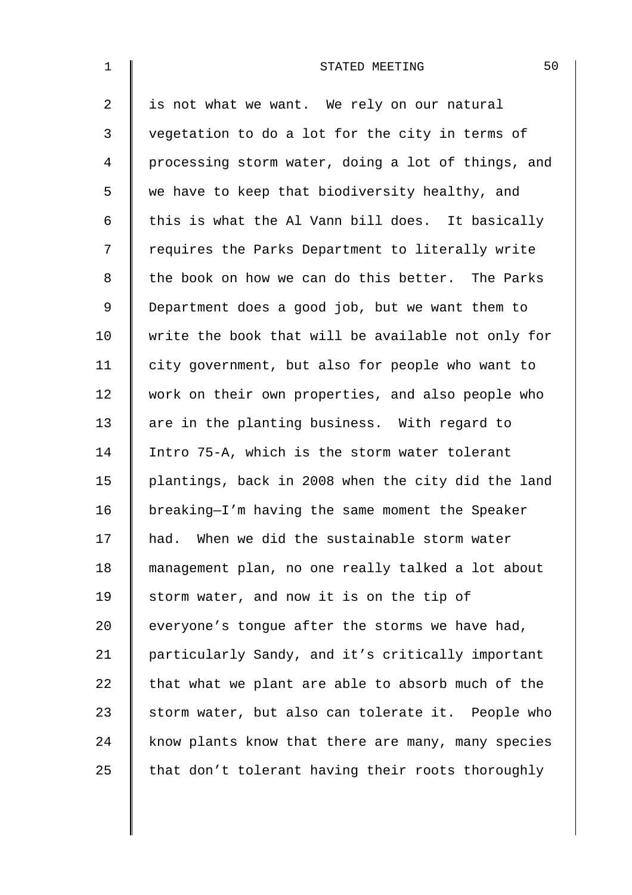| $\mathbf{1}$ | 50<br>STATED MEETING                               |
|--------------|----------------------------------------------------|
| 2            | is not what we want. We rely on our natural        |
| 3            | vegetation to do a lot for the city in terms of    |
| 4            | processing storm water, doing a lot of things, and |
| 5            | we have to keep that biodiversity healthy, and     |
| 6            | this is what the Al Vann bill does. It basically   |
| 7            | requires the Parks Department to literally write   |
| 8            | the book on how we can do this better. The Parks   |
| $\mathsf 9$  | Department does a good job, but we want them to    |
| 10           | write the book that will be available not only for |
| 11           | city government, but also for people who want to   |
| 12           | work on their own properties, and also people who  |
| 13           | are in the planting business. With regard to       |
| 14           | Intro 75-A, which is the storm water tolerant      |
| 15           | plantings, back in 2008 when the city did the land |
| 16           | breaking-I'm having the same moment the Speaker    |
| 17           | had. When we did the sustainable storm water       |
| 18           | management plan, no one really talked a lot about  |
| 19           | storm water, and now it is on the tip of           |
| 20           | everyone's tongue after the storms we have had,    |
| 21           | particularly Sandy, and it's critically important  |
| 22           | that what we plant are able to absorb much of the  |
| 23           | storm water, but also can tolerate it. People who  |
| 24           | know plants know that there are many, many species |
| 25           | that don't tolerant having their roots thoroughly  |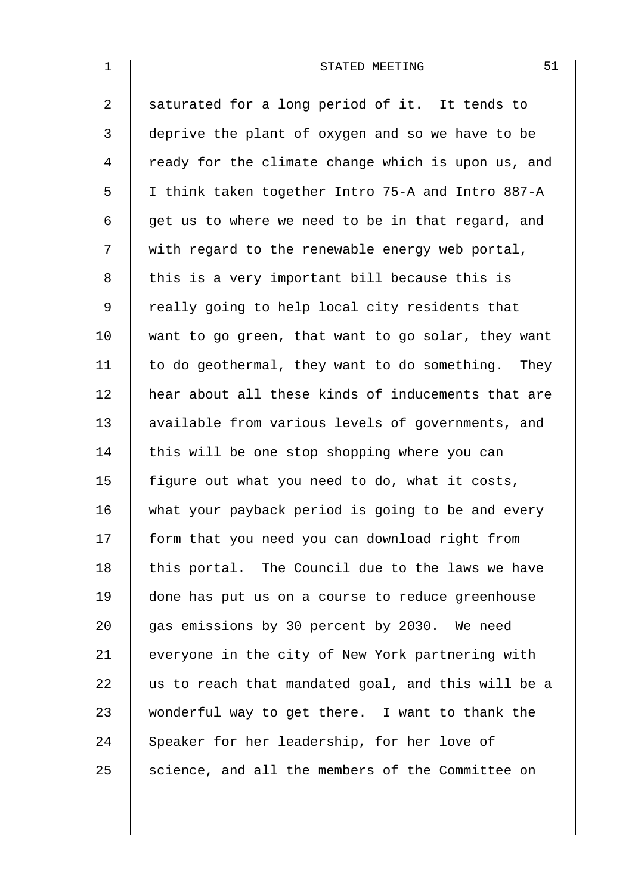| $\mathbf 1$    | 51<br>STATED MEETING                               |
|----------------|----------------------------------------------------|
| $\overline{a}$ | saturated for a long period of it. It tends to     |
| $\mathfrak{Z}$ | deprive the plant of oxygen and so we have to be   |
| 4              | ready for the climate change which is upon us, and |
| 5              | I think taken together Intro 75-A and Intro 887-A  |
| 6              | get us to where we need to be in that regard, and  |
| 7              | with regard to the renewable energy web portal,    |
| 8              | this is a very important bill because this is      |
| 9              | really going to help local city residents that     |
| 10             | want to go green, that want to go solar, they want |
| 11             | to do geothermal, they want to do something. They  |
| 12             | hear about all these kinds of inducements that are |
| 13             | available from various levels of governments, and  |
| 14             | this will be one stop shopping where you can       |
| 15             | figure out what you need to do, what it costs,     |
| 16             | what your payback period is going to be and every  |
| 17             | form that you need you can download right from     |
| 18             | this portal. The Council due to the laws we have   |
| 19             | done has put us on a course to reduce greenhouse   |
| 20             | gas emissions by 30 percent by 2030. We need       |
| 21             | everyone in the city of New York partnering with   |
| 22             | us to reach that mandated goal, and this will be a |
| 23             | wonderful way to get there. I want to thank the    |
| 24             | Speaker for her leadership, for her love of        |
| 25             | science, and all the members of the Committee on   |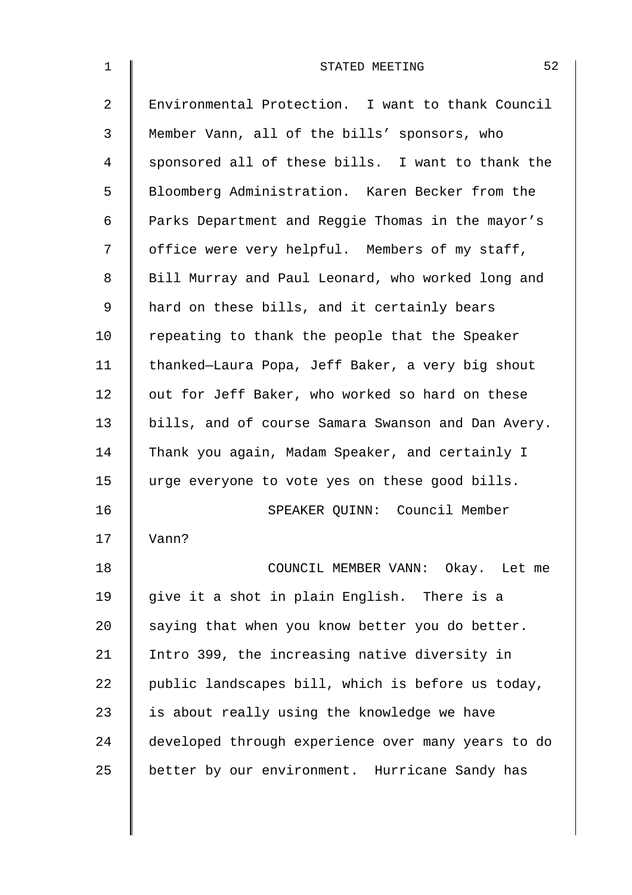| $\mathbf 1$    | 52<br>STATED MEETING                               |
|----------------|----------------------------------------------------|
| $\overline{a}$ | Environmental Protection. I want to thank Council  |
| 3              | Member Vann, all of the bills' sponsors, who       |
| 4              | sponsored all of these bills. I want to thank the  |
| 5              | Bloomberg Administration. Karen Becker from the    |
| 6              | Parks Department and Reggie Thomas in the mayor's  |
| 7              | office were very helpful. Members of my staff,     |
| 8              | Bill Murray and Paul Leonard, who worked long and  |
| 9              | hard on these bills, and it certainly bears        |
| 10             | repeating to thank the people that the Speaker     |
| 11             | thanked-Laura Popa, Jeff Baker, a very big shout   |
| 12             | out for Jeff Baker, who worked so hard on these    |
| 13             | bills, and of course Samara Swanson and Dan Avery. |
| 14             | Thank you again, Madam Speaker, and certainly I    |
| 15             | urge everyone to vote yes on these good bills.     |
| 16             | SPEAKER QUINN: Council Member                      |
| 17             | Vann?                                              |
| 18             | COUNCIL MEMBER VANN: Okay. Let me                  |
| 19             | give it a shot in plain English. There is a        |
| 20             | saying that when you know better you do better.    |
| 21             | Intro 399, the increasing native diversity in      |
| 22             | public landscapes bill, which is before us today,  |
| 23             | is about really using the knowledge we have        |
| 24             | developed through experience over many years to do |
| 25             | better by our environment. Hurricane Sandy has     |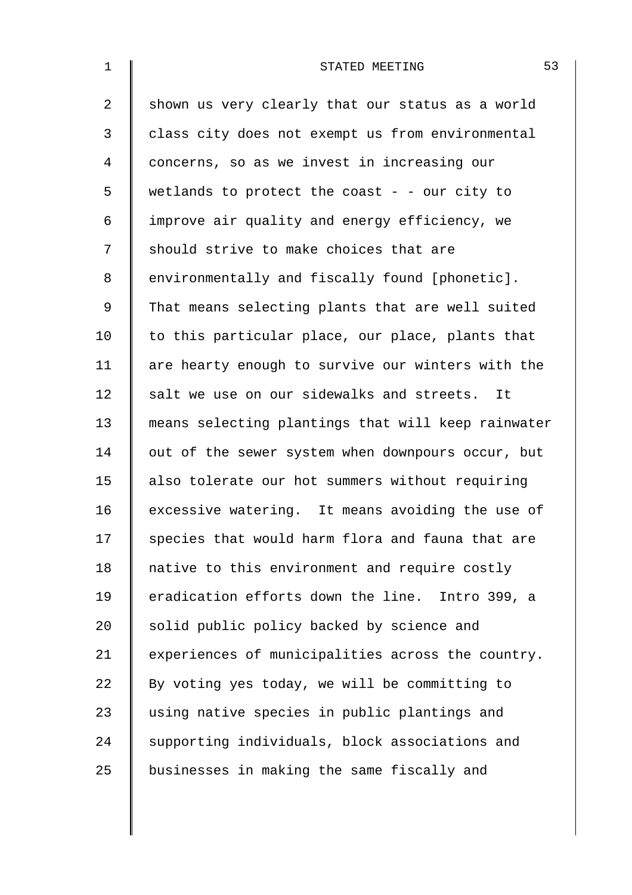| $\mathbf 1$    | 53<br>STATED MEETING                               |
|----------------|----------------------------------------------------|
| $\overline{2}$ | shown us very clearly that our status as a world   |
| 3              | class city does not exempt us from environmental   |
| 4              | concerns, so as we invest in increasing our        |
| 5              | wetlands to protect the coast - - our city to      |
| 6              | improve air quality and energy efficiency, we      |
| 7              | should strive to make choices that are             |
| 8              | environmentally and fiscally found [phonetic].     |
| 9              | That means selecting plants that are well suited   |
| 10             | to this particular place, our place, plants that   |
| 11             | are hearty enough to survive our winters with the  |
| 12             | salt we use on our sidewalks and streets. It       |
| 13             | means selecting plantings that will keep rainwater |
| 14             | out of the sewer system when downpours occur, but  |
| 15             | also tolerate our hot summers without requiring    |
| 16             | excessive watering. It means avoiding the use of   |
| 17             | species that would harm flora and fauna that are   |
| 18             | native to this environment and require costly      |
| 19             | eradication efforts down the line. Intro 399, a    |
| 20             | solid public policy backed by science and          |
| 21             | experiences of municipalities across the country.  |
| 22             | By voting yes today, we will be committing to      |
| 23             | using native species in public plantings and       |
| 24             | supporting individuals, block associations and     |
| 25             | businesses in making the same fiscally and         |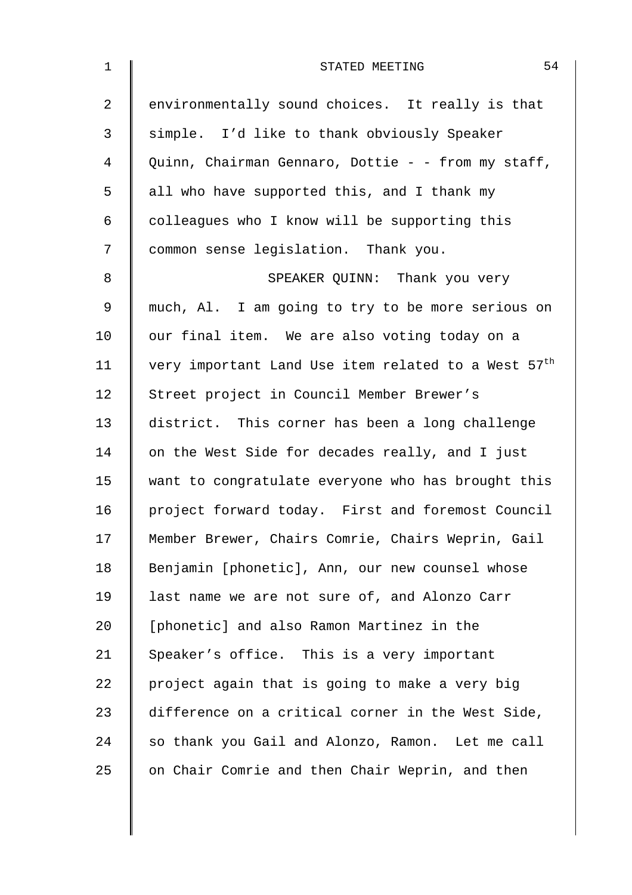| $\mathbf 1$    | 54<br>STATED MEETING                                            |
|----------------|-----------------------------------------------------------------|
| $\overline{a}$ | environmentally sound choices. It really is that                |
| 3              | simple. I'd like to thank obviously Speaker                     |
| 4              | Quinn, Chairman Gennaro, Dottie - - from my staff,              |
| 5              | all who have supported this, and I thank my                     |
| 6              | colleagues who I know will be supporting this                   |
| 7              | common sense legislation. Thank you.                            |
| 8              | SPEAKER QUINN: Thank you very                                   |
| 9              | much, Al. I am going to try to be more serious on               |
| 10             | our final item. We are also voting today on a                   |
| 11             | very important Land Use item related to a West 57 <sup>th</sup> |
| 12             | Street project in Council Member Brewer's                       |
| 13             | district. This corner has been a long challenge                 |
| 14             | on the West Side for decades really, and I just                 |
| 15             | want to congratulate everyone who has brought this              |
| 16             | project forward today. First and foremost Council               |
| 17             | Member Brewer, Chairs Comrie, Chairs Weprin, Gail               |
| 18             | Benjamin [phonetic], Ann, our new counsel whose                 |
| 19             | last name we are not sure of, and Alonzo Carr                   |
| 20             | [phonetic] and also Ramon Martinez in the                       |
| 21             | Speaker's office. This is a very important                      |
| 22             | project again that is going to make a very big                  |
| 23             | difference on a critical corner in the West Side,               |
| 24             | so thank you Gail and Alonzo, Ramon. Let me call                |
| 25             | on Chair Comrie and then Chair Weprin, and then                 |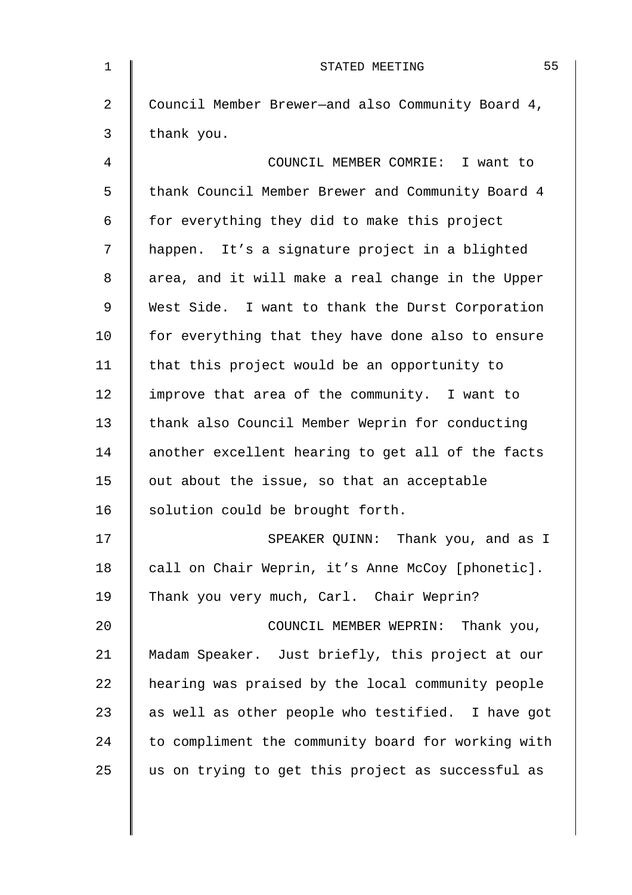| $\mathbf 1$ | 55<br>STATED MEETING                               |
|-------------|----------------------------------------------------|
| 2           | Council Member Brewer-and also Community Board 4,  |
| 3           | thank you.                                         |
| 4           | COUNCIL MEMBER COMRIE: I want to                   |
| 5           | thank Council Member Brewer and Community Board 4  |
| 6           | for everything they did to make this project       |
| 7           | happen. It's a signature project in a blighted     |
| 8           | area, and it will make a real change in the Upper  |
| 9           | West Side. I want to thank the Durst Corporation   |
| 10          | for everything that they have done also to ensure  |
| 11          | that this project would be an opportunity to       |
| 12          | improve that area of the community. I want to      |
| 13          | thank also Council Member Weprin for conducting    |
| 14          | another excellent hearing to get all of the facts  |
| 15          | out about the issue, so that an acceptable         |
| 16          | solution could be brought forth.                   |
| 17          | SPEAKER QUINN: Thank you, and as I                 |
| 18          | call on Chair Weprin, it's Anne McCoy [phonetic].  |
| 19          | Thank you very much, Carl. Chair Weprin?           |
| 20          | COUNCIL MEMBER WEPRIN: Thank you,                  |
| 21          | Madam Speaker. Just briefly, this project at our   |
| 22          | hearing was praised by the local community people  |
| 23          | as well as other people who testified. I have got  |
| 24          | to compliment the community board for working with |
| 25          | us on trying to get this project as successful as  |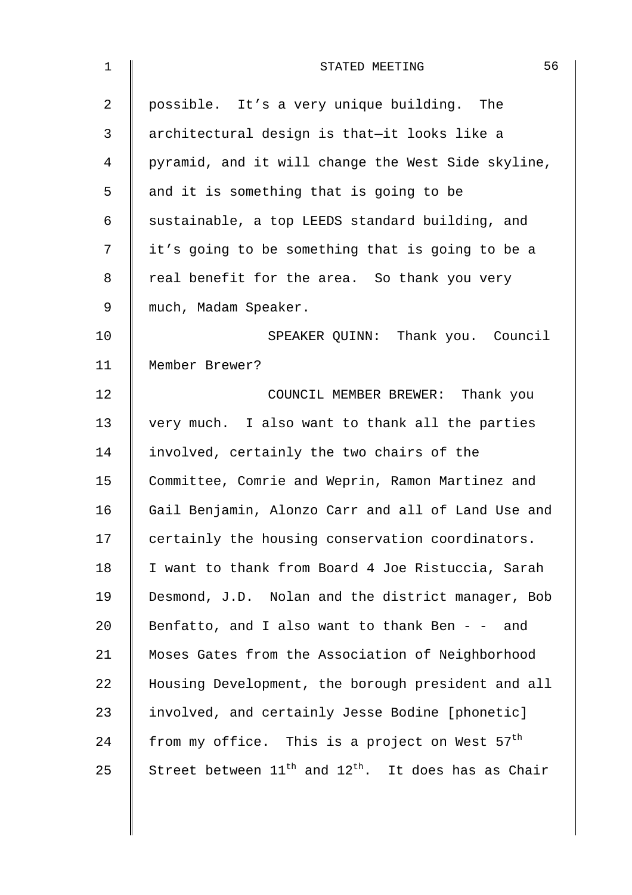| $\mathbf 1$ | 56<br>STATED MEETING                                          |
|-------------|---------------------------------------------------------------|
| 2           | possible. It's a very unique building. The                    |
| 3           | architectural design is that-it looks like a                  |
| 4           | pyramid, and it will change the West Side skyline,            |
| 5           | and it is something that is going to be                       |
| 6           | sustainable, a top LEEDS standard building, and               |
| 7           | it's going to be something that is going to be a              |
| 8           | real benefit for the area. So thank you very                  |
| 9           | much, Madam Speaker.                                          |
| 10          | SPEAKER QUINN: Thank you. Council                             |
| 11          | Member Brewer?                                                |
| 12          | COUNCIL MEMBER BREWER: Thank you                              |
| 13          | very much. I also want to thank all the parties               |
| 14          | involved, certainly the two chairs of the                     |
| 15          | Committee, Comrie and Weprin, Ramon Martinez and              |
| 16          | Gail Benjamin, Alonzo Carr and all of Land Use and            |
| 17          | certainly the housing conservation coordinators.              |
| 18          | I want to thank from Board 4 Joe Ristuccia, Sarah             |
| 19          | Desmond, J.D. Nolan and the district manager, Bob             |
| 20          | Benfatto, and I also want to thank Ben $-$ - and              |
| 21          | Moses Gates from the Association of Neighborhood              |
| 22          | Housing Development, the borough president and all            |
| 23          | involved, and certainly Jesse Bodine [phonetic]               |
| 24          | from my office. This is a project on West 57 <sup>th</sup>    |
| 25          | Street between $11^{th}$ and $12^{th}$ . It does has as Chair |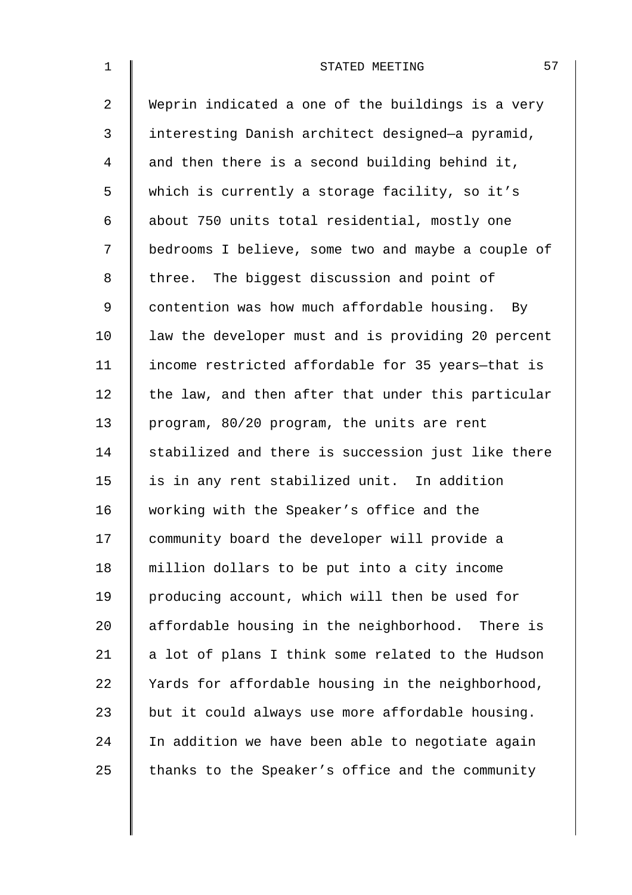| $\mathbf{1}$   | 57<br>STATED MEETING                               |
|----------------|----------------------------------------------------|
| $\overline{2}$ | Weprin indicated a one of the buildings is a very  |
| 3              | interesting Danish architect designed-a pyramid,   |
| 4              | and then there is a second building behind it,     |
| 5              | which is currently a storage facility, so it's     |
| 6              | about 750 units total residential, mostly one      |
| 7              | bedrooms I believe, some two and maybe a couple of |
| 8              | three. The biggest discussion and point of         |
| 9              | contention was how much affordable housing. By     |
| 10             | law the developer must and is providing 20 percent |
| 11             | income restricted affordable for 35 years-that is  |
| 12             | the law, and then after that under this particular |
| 13             | program, 80/20 program, the units are rent         |
| 14             | stabilized and there is succession just like there |
| 15             | is in any rent stabilized unit. In addition        |
| 16             | working with the Speaker's office and the          |
| 17             | community board the developer will provide a       |
| 18             | million dollars to be put into a city income       |
| 19             | producing account, which will then be used for     |
| 20             | affordable housing in the neighborhood. There is   |
| 21             | a lot of plans I think some related to the Hudson  |
| 22             | Yards for affordable housing in the neighborhood,  |
| 23             | but it could always use more affordable housing.   |
| 24             | In addition we have been able to negotiate again   |
| 25             | thanks to the Speaker's office and the community   |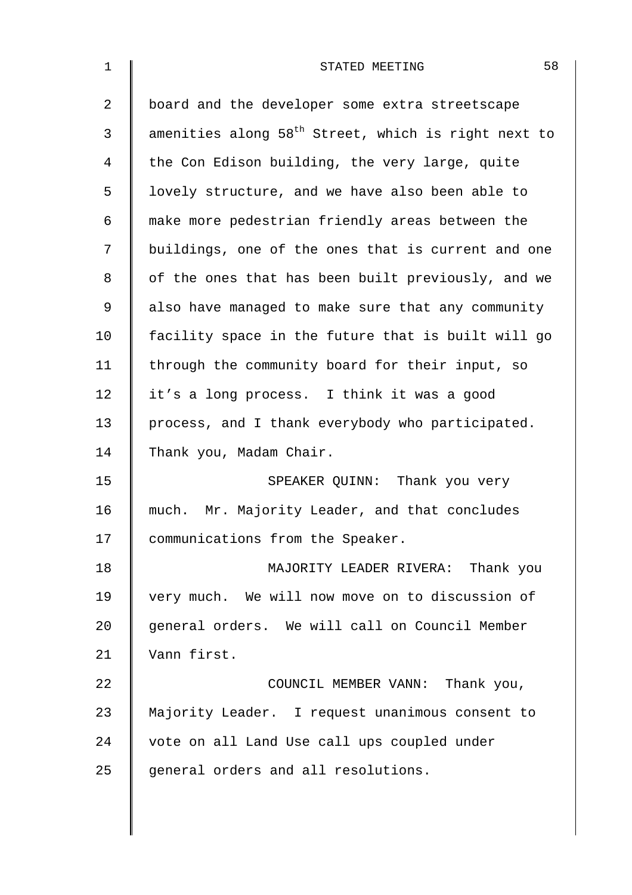| $\mathbf{1}$ | 58<br>STATED MEETING                                            |
|--------------|-----------------------------------------------------------------|
| 2            | board and the developer some extra streetscape                  |
| 3            | amenities along 58 <sup>th</sup> Street, which is right next to |
| 4            | the Con Edison building, the very large, quite                  |
| 5            | lovely structure, and we have also been able to                 |
| 6            | make more pedestrian friendly areas between the                 |
| 7            | buildings, one of the ones that is current and one              |
| 8            | of the ones that has been built previously, and we              |
| 9            | also have managed to make sure that any community               |
| 10           | facility space in the future that is built will go              |
| 11           | through the community board for their input, so                 |
| 12           | it's a long process. I think it was a good                      |
| 13           | process, and I thank everybody who participated.                |
| 14           | Thank you, Madam Chair.                                         |
| 15           | SPEAKER QUINN: Thank you very                                   |
| 16           | much. Mr. Majority Leader, and that concludes                   |
| 17           | communications from the Speaker.                                |
| 18           | MAJORITY LEADER RIVERA: Thank you                               |
| 19           | very much. We will now move on to discussion of                 |
| 20           | general orders. We will call on Council Member                  |
| 21           | Vann first.                                                     |
| 22           | COUNCIL MEMBER VANN: Thank you,                                 |
| 23           | Majority Leader. I request unanimous consent to                 |
| 24           | vote on all Land Use call ups coupled under                     |
| 25           | general orders and all resolutions.                             |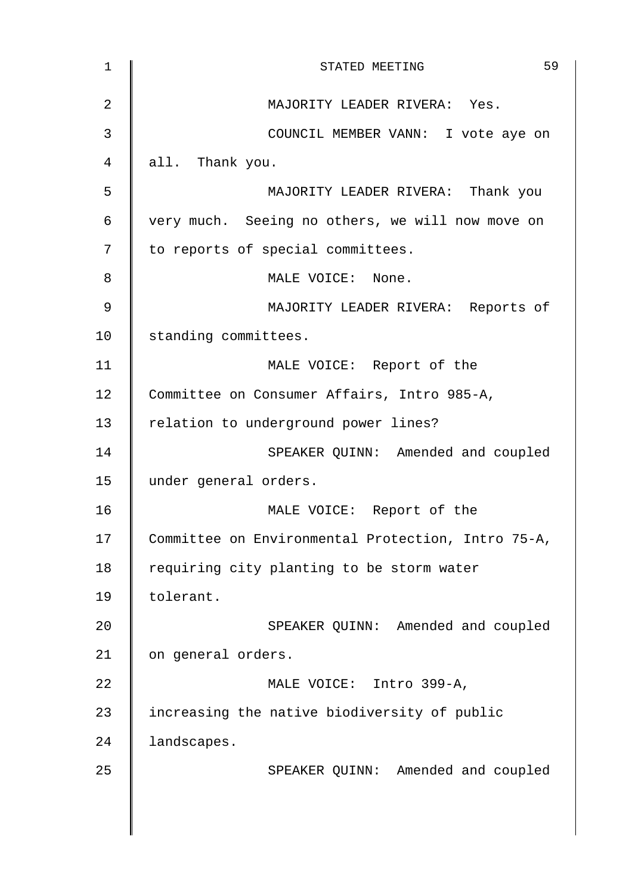| $\mathbf 1$    | 59<br>STATED MEETING                               |
|----------------|----------------------------------------------------|
| $\overline{2}$ | MAJORITY LEADER RIVERA: Yes.                       |
| 3              | COUNCIL MEMBER VANN: I vote aye on                 |
| 4              | all. Thank you.                                    |
| 5              | MAJORITY LEADER RIVERA: Thank you                  |
| 6              | very much. Seeing no others, we will now move on   |
| 7              | to reports of special committees.                  |
| 8              | MALE VOICE: None.                                  |
| 9              | MAJORITY LEADER RIVERA: Reports of                 |
| 10             | standing committees.                               |
| 11             | MALE VOICE: Report of the                          |
| 12             | Committee on Consumer Affairs, Intro 985-A,        |
| 13             | relation to underground power lines?               |
| 14             | SPEAKER QUINN: Amended and coupled                 |
| 15             | under general orders.                              |
| 16             | MALE VOICE: Report of the                          |
| 17             | Committee on Environmental Protection, Intro 75-A, |
| 18             | requiring city planting to be storm water          |
| 19             | tolerant.                                          |
| 20             | SPEAKER QUINN: Amended and coupled                 |
| 21             | on general orders.                                 |
| 22             | MALE VOICE: Intro 399-A,                           |
| 23             | increasing the native biodiversity of public       |
| 24             | landscapes.                                        |
| 25             | SPEAKER QUINN: Amended and coupled                 |
|                |                                                    |
|                |                                                    |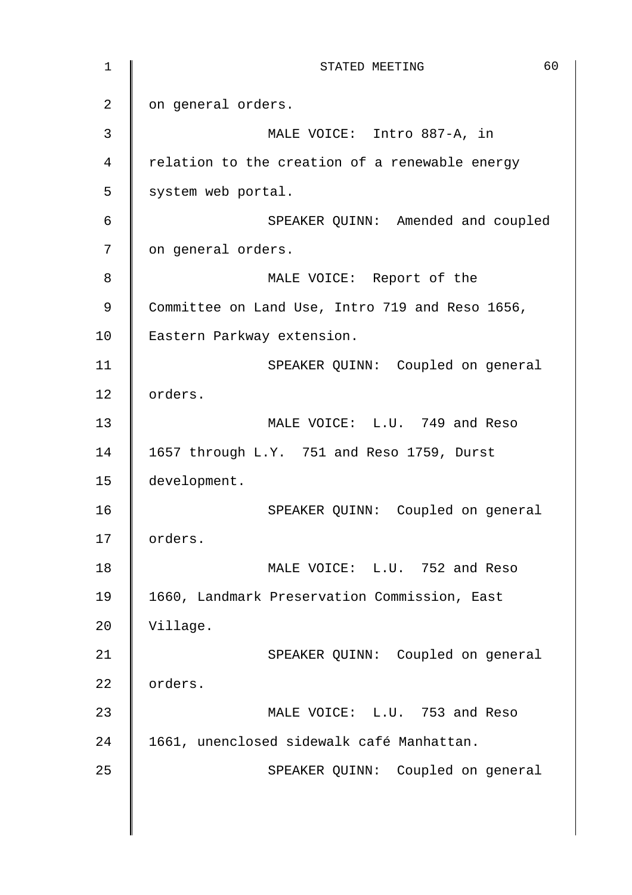1 **STATED MEETING** 60 2 | on general orders. 3 MALE VOICE: Intro 887-A, in 4 | relation to the creation of a renewable energy  $5 \parallel$  system web portal. 6 | SPEAKER QUINN: Amended and coupled 7 | on general orders. 8 || MALE VOICE: Report of the 9 Committee on Land Use, Intro 719 and Reso 1656, 10 Eastern Parkway extension. 11 | SPEAKER QUINN: Coupled on general 12 | orders. 13 MALE VOICE: L.U. 749 and Reso 14 1657 through L.Y. 751 and Reso 1759, Durst 15 development. 16 SPEAKER QUINN: Coupled on general 17 | orders. 18 | MALE VOICE: L.U. 752 and Reso 19 | 1660, Landmark Preservation Commission, East 20 Village. 21 | SPEAKER QUINN: Coupled on general 22 orders. 23 **MALE VOICE:** L.U. 753 and Reso 24 | 1661, unenclosed sidewalk café Manhattan. 25 | SPEAKER QUINN: Coupled on general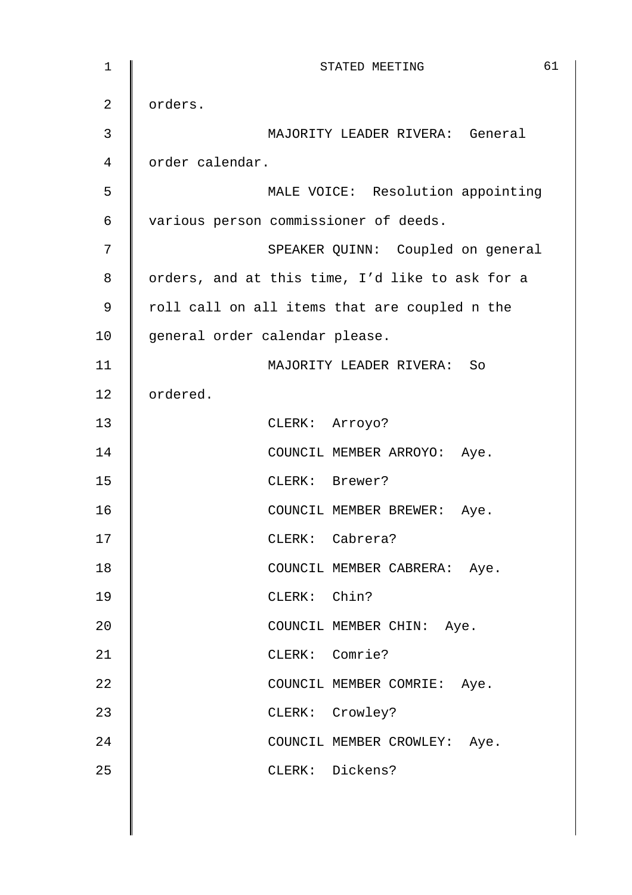| $1\,$          | 61<br>STATED MEETING                            |
|----------------|-------------------------------------------------|
| $\overline{2}$ | orders.                                         |
| $\mathbf{3}$   | MAJORITY LEADER RIVERA: General                 |
| 4              | order calendar.                                 |
| 5              | MALE VOICE: Resolution appointing               |
| 6              | various person commissioner of deeds.           |
| 7              | SPEAKER QUINN: Coupled on general               |
| 8              | orders, and at this time, I'd like to ask for a |
| 9              | roll call on all items that are coupled n the   |
| 10             | general order calendar please.                  |
| 11             | MAJORITY LEADER RIVERA: So                      |
| 12             | ordered.                                        |
| 13             | CLERK: Arroyo?                                  |
| 14             | COUNCIL MEMBER ARROYO: Aye.                     |
| 15             | CLERK: Brewer?                                  |
| 16             | COUNCIL MEMBER BREWER: Aye.                     |
| 17             | CLERK: Cabrera?                                 |
| 18             | COUNCIL MEMBER CABRERA: Aye.                    |
| 19             | CLERK: Chin?                                    |
| 20             | COUNCIL MEMBER CHIN: Aye.                       |
| 21             | CLERK: Comrie?                                  |
| 22             | COUNCIL MEMBER COMRIE: Aye.                     |
| 23             | CLERK: Crowley?                                 |
| 24             | COUNCIL MEMBER CROWLEY: Aye.                    |
| 25             | CLERK: Dickens?                                 |
|                |                                                 |
|                |                                                 |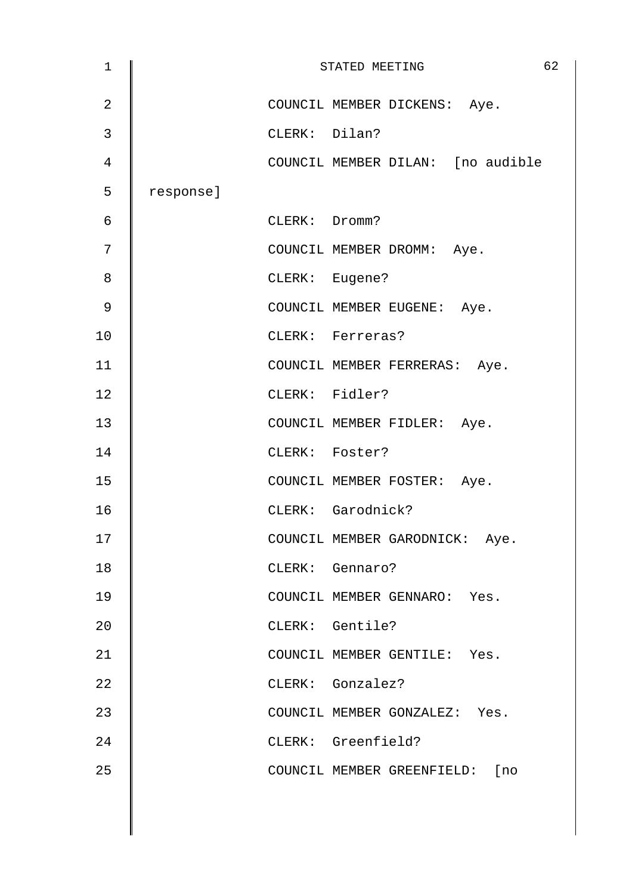| 1              |           |               | STATED MEETING                    | 62 |
|----------------|-----------|---------------|-----------------------------------|----|
| $\overline{2}$ |           |               | COUNCIL MEMBER DICKENS: Aye.      |    |
| 3              |           | CLERK: Dilan? |                                   |    |
| 4              |           |               | COUNCIL MEMBER DILAN: [no audible |    |
| 5              | response] |               |                                   |    |
| 6              |           | CLERK: Dromm? |                                   |    |
| 7              |           |               | COUNCIL MEMBER DROMM: Aye.        |    |
| 8              |           |               | CLERK: Eugene?                    |    |
| 9              |           |               | COUNCIL MEMBER EUGENE: Aye.       |    |
| 10             |           |               | CLERK: Ferreras?                  |    |
| 11             |           |               | COUNCIL MEMBER FERRERAS: Aye.     |    |
| 12             |           |               | CLERK: Fidler?                    |    |
| 13             |           |               | COUNCIL MEMBER FIDLER: Aye.       |    |
| 14             |           |               | CLERK: Foster?                    |    |
| 15             |           |               | COUNCIL MEMBER FOSTER: Aye.       |    |
| 16             |           |               | CLERK: Garodnick?                 |    |
| 17             |           |               | COUNCIL MEMBER GARODNICK: Aye.    |    |
| 18             |           |               | CLERK: Gennaro?                   |    |
| 19             |           |               | COUNCIL MEMBER GENNARO: Yes.      |    |
| 20             |           |               | CLERK: Gentile?                   |    |
| 21             |           |               | COUNCIL MEMBER GENTILE: Yes.      |    |
| 22             |           |               | CLERK: Gonzalez?                  |    |
| 23             |           |               | COUNCIL MEMBER GONZALEZ: Yes.     |    |
| 24             |           |               | CLERK: Greenfield?                |    |
| 25             |           |               | COUNCIL MEMBER GREENFIELD: [no    |    |
|                |           |               |                                   |    |
|                |           |               |                                   |    |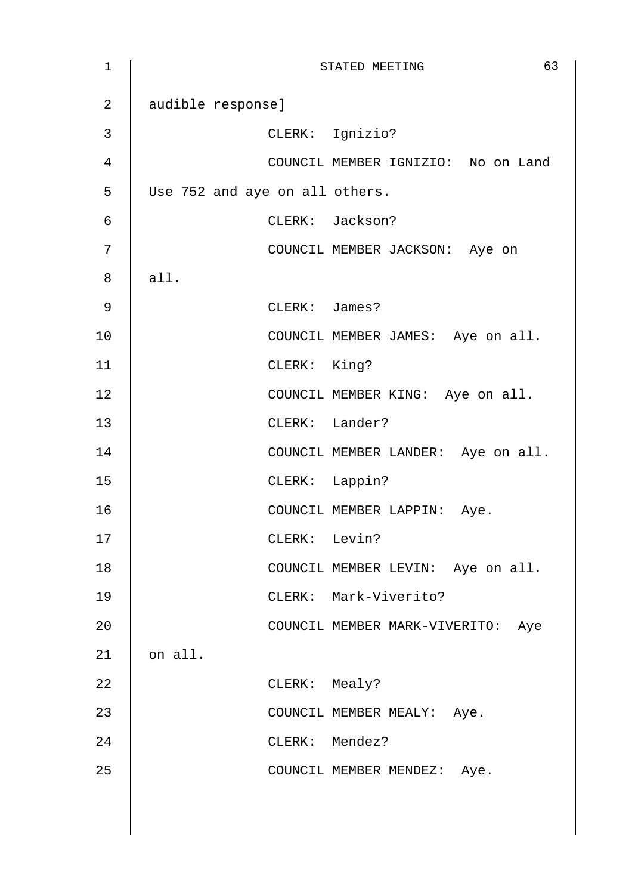| $\mathbf 1$    |                                |               | 63<br>STATED MEETING               |
|----------------|--------------------------------|---------------|------------------------------------|
| $\overline{2}$ | audible response]              |               |                                    |
| $\mathfrak{Z}$ |                                |               | CLERK: Ignizio?                    |
| $\overline{4}$ |                                |               | COUNCIL MEMBER IGNIZIO: No on Land |
| 5              | Use 752 and aye on all others. |               |                                    |
| $\epsilon$     |                                |               | CLERK: Jackson?                    |
| $\sqrt{ }$     |                                |               | COUNCIL MEMBER JACKSON: Aye on     |
| 8              | all.                           |               |                                    |
| 9              |                                | CLERK: James? |                                    |
| 10             |                                |               | COUNCIL MEMBER JAMES: Aye on all.  |
| 11             |                                | CLERK: King?  |                                    |
| 12             |                                |               | COUNCIL MEMBER KING: Aye on all.   |
| 13             |                                |               | CLERK: Lander?                     |
| 14             |                                |               | COUNCIL MEMBER LANDER: Aye on all. |
| 15             |                                |               | CLERK: Lappin?                     |
| 16             |                                |               | COUNCIL MEMBER LAPPIN: Aye.        |
| 17             |                                | CLERK: Levin? |                                    |
| 18             |                                |               | COUNCIL MEMBER LEVIN: Aye on all.  |
| 19             |                                |               | CLERK: Mark-Viverito?              |
| 20             |                                |               | COUNCIL MEMBER MARK-VIVERITO: Aye  |
| 21             | on all.                        |               |                                    |
| 22             |                                | CLERK: Mealy? |                                    |
| 23             |                                |               | COUNCIL MEMBER MEALY: Aye.         |
| 24             |                                |               | CLERK: Mendez?                     |
| 25             |                                |               | COUNCIL MEMBER MENDEZ: Aye.        |
|                |                                |               |                                    |
|                |                                |               |                                    |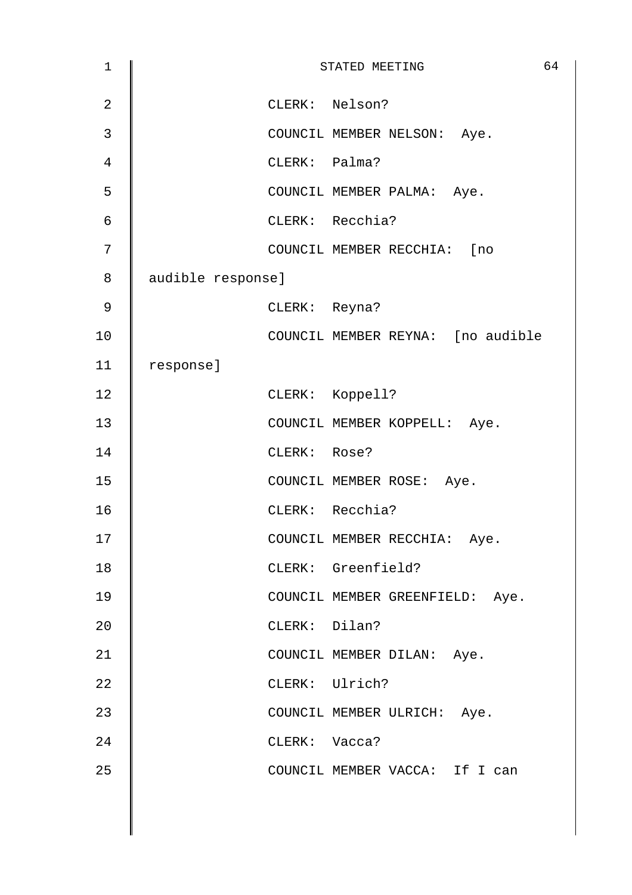| $\mathbf 1$    |                   |               | STATED MEETING                    | 64 |
|----------------|-------------------|---------------|-----------------------------------|----|
| $\overline{2}$ |                   |               | CLERK: Nelson?                    |    |
| $\mathfrak{Z}$ |                   |               | COUNCIL MEMBER NELSON: Aye.       |    |
| 4              |                   | CLERK: Palma? |                                   |    |
| 5              |                   |               | COUNCIL MEMBER PALMA: Aye.        |    |
| 6              |                   |               | CLERK: Recchia?                   |    |
| 7              |                   |               | COUNCIL MEMBER RECCHIA: [no       |    |
| 8              | audible response] |               |                                   |    |
| 9              |                   | CLERK: Reyna? |                                   |    |
| 10             |                   |               | COUNCIL MEMBER REYNA: [no audible |    |
| 11             | response]         |               |                                   |    |
| 12             |                   |               | CLERK: Koppell?                   |    |
| 13             |                   |               | COUNCIL MEMBER KOPPELL: Aye.      |    |
| 14             |                   | CLERK: Rose?  |                                   |    |
| 15             |                   |               | COUNCIL MEMBER ROSE: Aye.         |    |
| 16             |                   |               | CLERK: Recchia?                   |    |
| 17             |                   |               | COUNCIL MEMBER RECCHIA: Aye.      |    |
| 18             |                   |               | CLERK: Greenfield?                |    |
| 19             |                   |               | COUNCIL MEMBER GREENFIELD: Aye.   |    |
| 20             |                   | CLERK: Dilan? |                                   |    |
| 21             |                   |               | COUNCIL MEMBER DILAN: Aye.        |    |
| 22             |                   |               | CLERK: Ulrich?                    |    |
| 23             |                   |               | COUNCIL MEMBER ULRICH: Aye.       |    |
| 24             |                   | CLERK: Vacca? |                                   |    |
| 25             |                   |               | COUNCIL MEMBER VACCA: If I can    |    |
|                |                   |               |                                   |    |
|                |                   |               |                                   |    |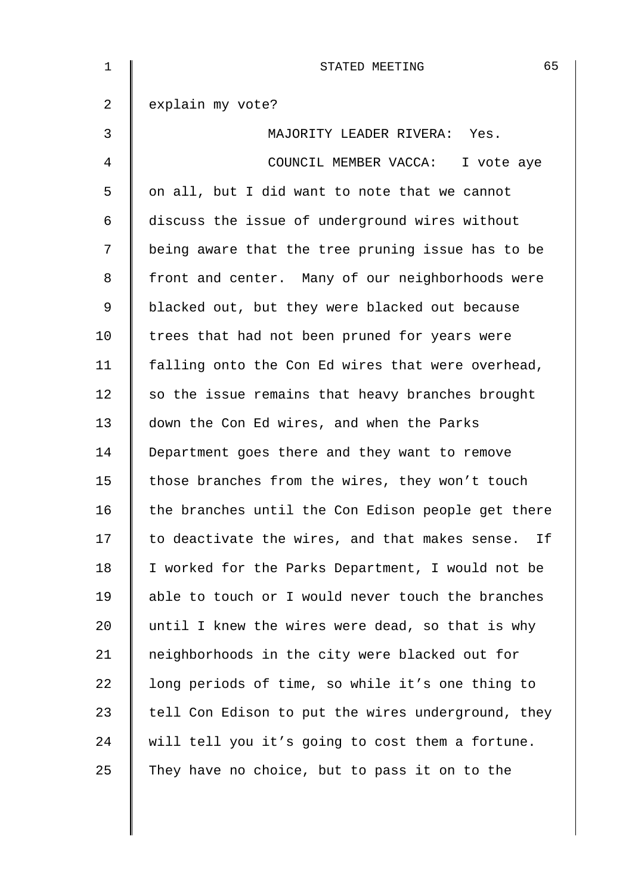| $\mathbf 1$    | 65<br>STATED MEETING                                 |
|----------------|------------------------------------------------------|
| $\overline{a}$ | explain my vote?                                     |
| 3              | MAJORITY LEADER RIVERA: Yes.                         |
| 4              | COUNCIL MEMBER VACCA: I vote aye                     |
| 5              | on all, but I did want to note that we cannot        |
| 6              | discuss the issue of underground wires without       |
| 7              | being aware that the tree pruning issue has to be    |
| 8              | front and center. Many of our neighborhoods were     |
| 9              | blacked out, but they were blacked out because       |
| 10             | trees that had not been pruned for years were        |
| 11             | falling onto the Con Ed wires that were overhead,    |
| 12             | so the issue remains that heavy branches brought     |
| 13             | down the Con Ed wires, and when the Parks            |
| 14             | Department goes there and they want to remove        |
| 15             | those branches from the wires, they won't touch      |
| 16             | the branches until the Con Edison people get there   |
| 17             | to deactivate the wires, and that makes sense.<br>Ιf |
| 18             | I worked for the Parks Department, I would not be    |
| 19             | able to touch or I would never touch the branches    |
| 20             | until I knew the wires were dead, so that is why     |
| 21             | neighborhoods in the city were blacked out for       |
| 22             | long periods of time, so while it's one thing to     |
| 23             | tell Con Edison to put the wires underground, they   |
| 24             | will tell you it's going to cost them a fortune.     |
| 25             | They have no choice, but to pass it on to the        |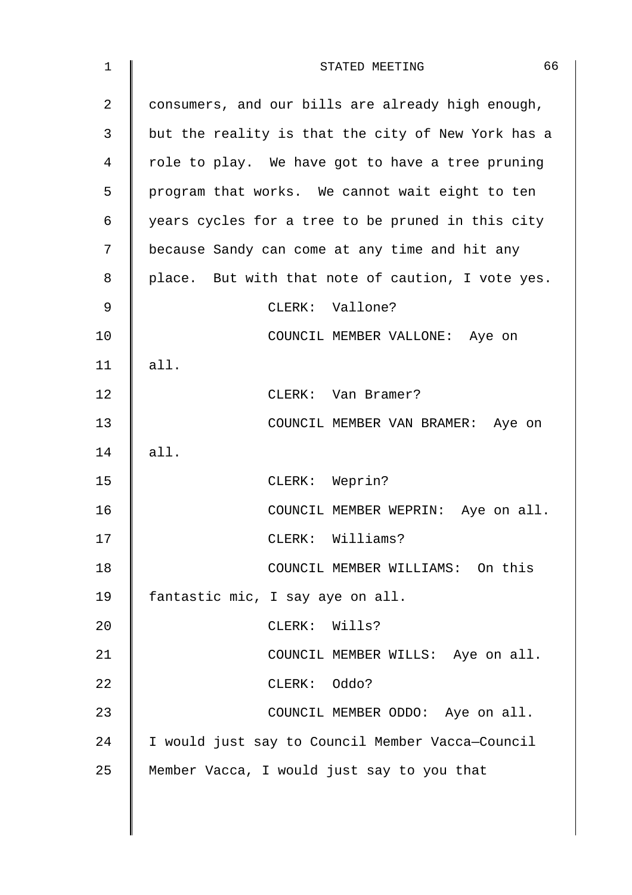| $\mathbf 1$ | 66<br>STATED MEETING                               |
|-------------|----------------------------------------------------|
| 2           | consumers, and our bills are already high enough,  |
| 3           | but the reality is that the city of New York has a |
| 4           | role to play. We have got to have a tree pruning   |
| 5           | program that works. We cannot wait eight to ten    |
| 6           | years cycles for a tree to be pruned in this city  |
| 7           | because Sandy can come at any time and hit any     |
| 8           | place. But with that note of caution, I vote yes.  |
| 9           | CLERK: Vallone?                                    |
| 10          | COUNCIL MEMBER VALLONE: Aye on                     |
| 11          | all.                                               |
| 12          | CLERK: Van Bramer?                                 |
| 13          | COUNCIL MEMBER VAN BRAMER: Aye on                  |
| 14          | all.                                               |
| 15          | CLERK: Weprin?                                     |
| 16          | COUNCIL MEMBER WEPRIN: Aye on all.                 |
| 17          | CLERK: Williams?                                   |
| 18          | COUNCIL MEMBER WILLIAMS: On this                   |
| 19          | fantastic mic, I say aye on all.                   |
| 20          | CLERK: Wills?                                      |
| 21          | COUNCIL MEMBER WILLS: Aye on all.                  |
| 22          | CLERK: Oddo?                                       |
| 23          | COUNCIL MEMBER ODDO: Aye on all.                   |
| 24          | I would just say to Council Member Vacca-Council   |
| 25          | Member Vacca, I would just say to you that         |
|             |                                                    |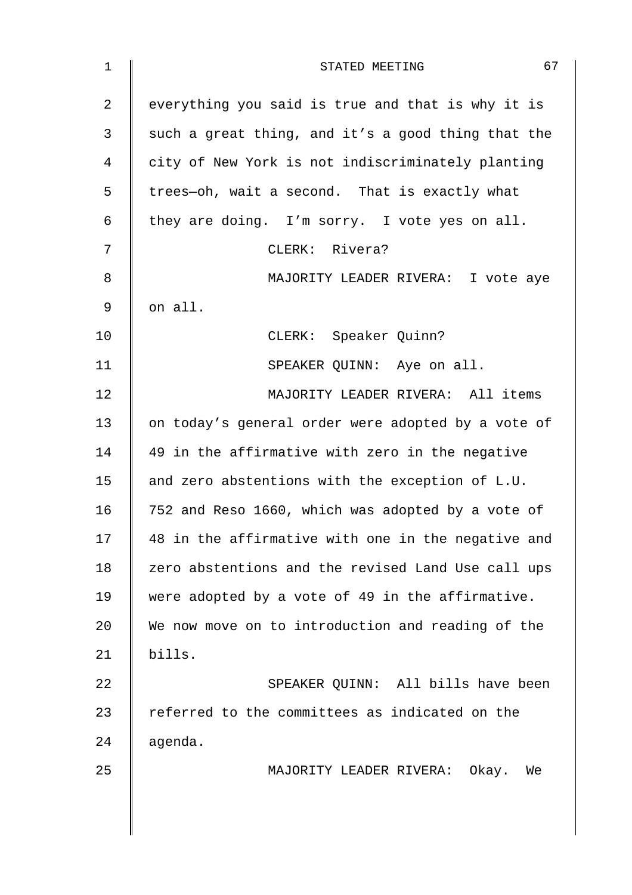| $\mathbf 1$ | 67<br>STATED MEETING                               |
|-------------|----------------------------------------------------|
| 2           | everything you said is true and that is why it is  |
| 3           | such a great thing, and it's a good thing that the |
| 4           | city of New York is not indiscriminately planting  |
| 5           | trees-oh, wait a second. That is exactly what      |
| 6           | they are doing. I'm sorry. I vote yes on all.      |
| 7           | CLERK: Rivera?                                     |
| 8           | MAJORITY LEADER RIVERA: I vote aye                 |
| 9           | on all.                                            |
| 10          | CLERK: Speaker Quinn?                              |
| 11          | SPEAKER QUINN: Aye on all.                         |
| 12          | MAJORITY LEADER RIVERA: All items                  |
| 13          | on today's general order were adopted by a vote of |
| 14          | 49 in the affirmative with zero in the negative    |
| 15          | and zero abstentions with the exception of L.U.    |
| 16          | 752 and Reso 1660, which was adopted by a vote of  |
| 17          | 48 in the affirmative with one in the negative and |
| 18          | zero abstentions and the revised Land Use call ups |
| 19          | were adopted by a vote of 49 in the affirmative.   |
| 20          | We now move on to introduction and reading of the  |
| 21          | bills.                                             |
| 22          | SPEAKER QUINN: All bills have been                 |
| 23          | referred to the committees as indicated on the     |
| 24          | agenda.                                            |
| 25          | MAJORITY LEADER RIVERA: Okay. We                   |
|             |                                                    |
|             |                                                    |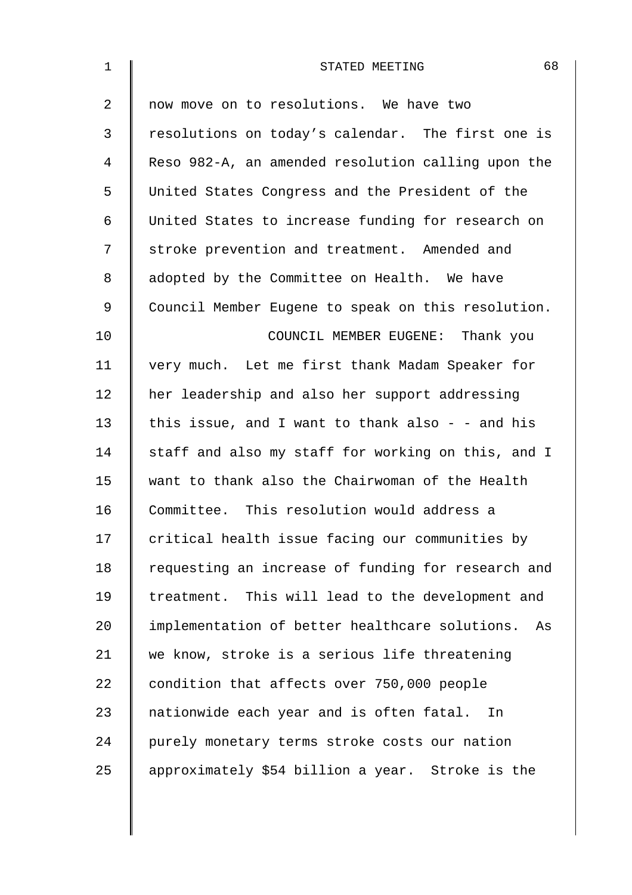| $\mathbf{1}$ | 68<br>STATED MEETING                                 |
|--------------|------------------------------------------------------|
| 2            | now move on to resolutions. We have two              |
| 3            | resolutions on today's calendar. The first one is    |
| 4            | Reso 982-A, an amended resolution calling upon the   |
| 5            | United States Congress and the President of the      |
| 6            | United States to increase funding for research on    |
| 7            | stroke prevention and treatment. Amended and         |
| 8            | adopted by the Committee on Health. We have          |
| 9            | Council Member Eugene to speak on this resolution.   |
| 10           | COUNCIL MEMBER EUGENE: Thank you                     |
| 11           | very much. Let me first thank Madam Speaker for      |
| 12           | her leadership and also her support addressing       |
| 13           | this issue, and I want to thank also - - and his     |
| 14           | staff and also my staff for working on this, and I   |
| 15           | want to thank also the Chairwoman of the Health      |
| 16           | Committee. This resolution would address a           |
| 17           | critical health issue facing our communities by      |
| 18           | requesting an increase of funding for research and   |
| 19           | treatment. This will lead to the development and     |
| 20           | implementation of better healthcare solutions.<br>As |
| 21           | we know, stroke is a serious life threatening        |
| 22           | condition that affects over 750,000 people           |
| 23           | nationwide each year and is often fatal. In          |
| 24           | purely monetary terms stroke costs our nation        |
| 25           | approximately \$54 billion a year. Stroke is the     |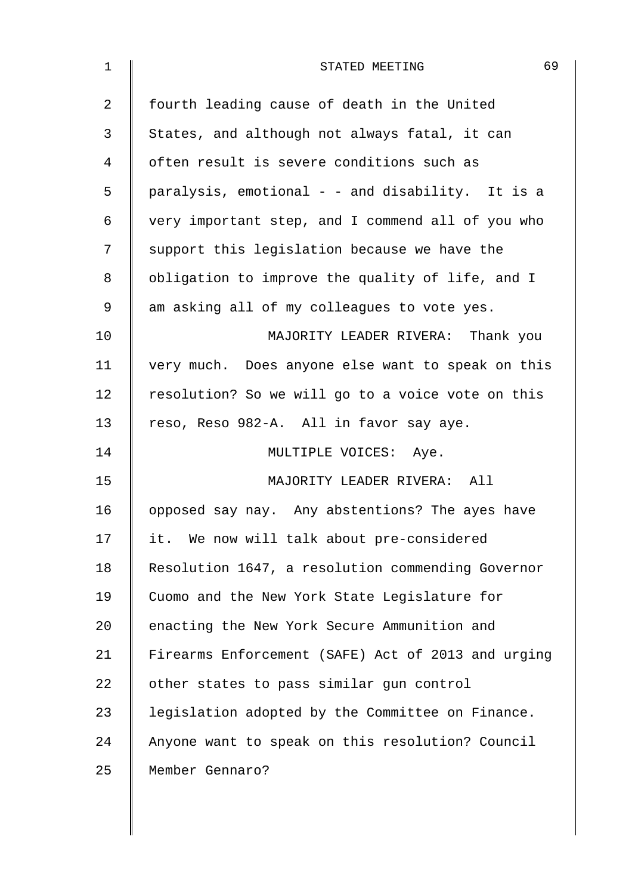| 1              | 69<br>STATED MEETING                               |
|----------------|----------------------------------------------------|
| $\overline{2}$ | fourth leading cause of death in the United        |
| 3              | States, and although not always fatal, it can      |
| 4              | often result is severe conditions such as          |
| 5              | paralysis, emotional - - and disability. It is a   |
| 6              | very important step, and I commend all of you who  |
| 7              | support this legislation because we have the       |
| 8              | obligation to improve the quality of life, and I   |
| 9              | am asking all of my colleagues to vote yes.        |
| 10             | MAJORITY LEADER RIVERA: Thank you                  |
| 11             | very much. Does anyone else want to speak on this  |
| 12             | resolution? So we will go to a voice vote on this  |
| 13             | reso, Reso 982-A. All in favor say aye.            |
| 14             | MULTIPLE VOICES: Aye.                              |
| 15             | MAJORITY LEADER RIVERA: All                        |
| 16             | opposed say nay. Any abstentions? The ayes have    |
| 17             | it. We now will talk about pre-considered          |
| 18             | Resolution 1647, a resolution commending Governor  |
| 19             | Cuomo and the New York State Legislature for       |
| 20             | enacting the New York Secure Ammunition and        |
| 21             | Firearms Enforcement (SAFE) Act of 2013 and urging |
| 22             | other states to pass similar gun control           |
| 23             | legislation adopted by the Committee on Finance.   |
| 24             | Anyone want to speak on this resolution? Council   |
| 25             | Member Gennaro?                                    |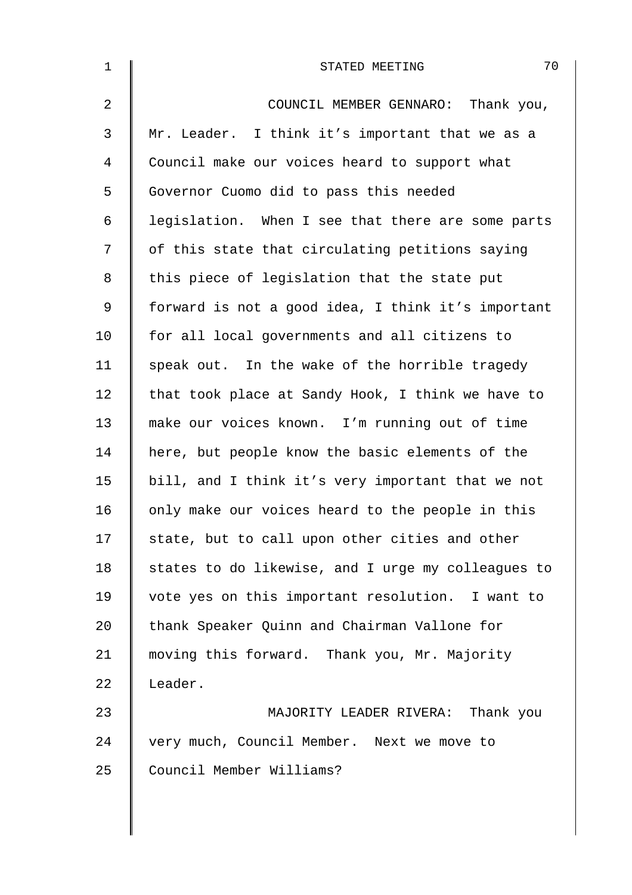| $\mathbf 1$    | 70<br>STATED MEETING                               |
|----------------|----------------------------------------------------|
| 2              | COUNCIL MEMBER GENNARO: Thank you,                 |
| $\mathfrak{Z}$ | Mr. Leader. I think it's important that we as a    |
| 4              | Council make our voices heard to support what      |
| 5              | Governor Cuomo did to pass this needed             |
| 6              | legislation. When I see that there are some parts  |
| 7              | of this state that circulating petitions saying    |
| 8              | this piece of legislation that the state put       |
| 9              | forward is not a good idea, I think it's important |
| 10             | for all local governments and all citizens to      |
| 11             | speak out. In the wake of the horrible tragedy     |
| 12             | that took place at Sandy Hook, I think we have to  |
| 13             | make our voices known. I'm running out of time     |
| 14             | here, but people know the basic elements of the    |
| 15             | bill, and I think it's very important that we not  |
| 16             | only make our voices heard to the people in this   |
| 17             | state, but to call upon other cities and other     |
| 18             | states to do likewise, and I urge my colleagues to |
| 19             | vote yes on this important resolution. I want to   |
| 20             | thank Speaker Quinn and Chairman Vallone for       |
| 21             | moving this forward. Thank you, Mr. Majority       |
| 22             | Leader.                                            |
| 23             | MAJORITY LEADER RIVERA: Thank you                  |
| 24             | very much, Council Member. Next we move to         |
| 25             | Council Member Williams?                           |
|                |                                                    |

 $\overline{\phantom{a}}$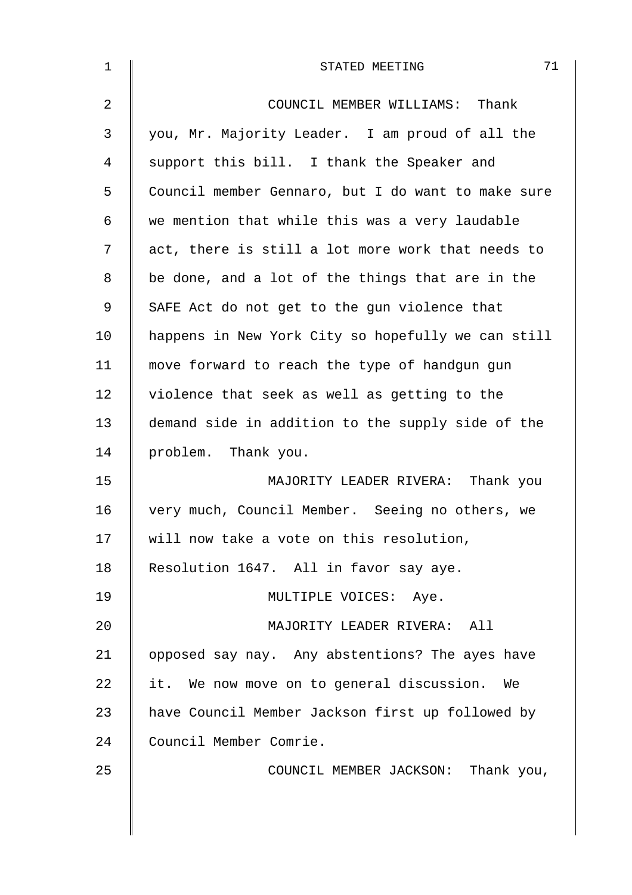| $\mathbf{1}$ | 71<br>STATED MEETING                               |
|--------------|----------------------------------------------------|
| 2            | COUNCIL MEMBER WILLIAMS: Thank                     |
| 3            | you, Mr. Majority Leader. I am proud of all the    |
| 4            | support this bill. I thank the Speaker and         |
| 5            | Council member Gennaro, but I do want to make sure |
| 6            | we mention that while this was a very laudable     |
| 7            | act, there is still a lot more work that needs to  |
| 8            | be done, and a lot of the things that are in the   |
| 9            | SAFE Act do not get to the gun violence that       |
| 10           | happens in New York City so hopefully we can still |
| 11           | move forward to reach the type of handgun gun      |
| 12           | violence that seek as well as getting to the       |
| 13           | demand side in addition to the supply side of the  |
| 14           | problem. Thank you.                                |
| 15           | MAJORITY LEADER RIVERA: Thank you                  |
| 16           | very much, Council Member. Seeing no others, we    |
| 17           | will now take a vote on this resolution,           |
| 18           | Resolution 1647. All in favor say aye.             |
| 19           | MULTIPLE VOICES: Aye.                              |
| 20           | MAJORITY LEADER RIVERA: All                        |
| 21           | opposed say nay. Any abstentions? The ayes have    |
| 22           | it. We now move on to general discussion. We       |
| 23           | have Council Member Jackson first up followed by   |
| 24           | Council Member Comrie.                             |
| 25           | COUNCIL MEMBER JACKSON: Thank you,                 |
|              |                                                    |
|              |                                                    |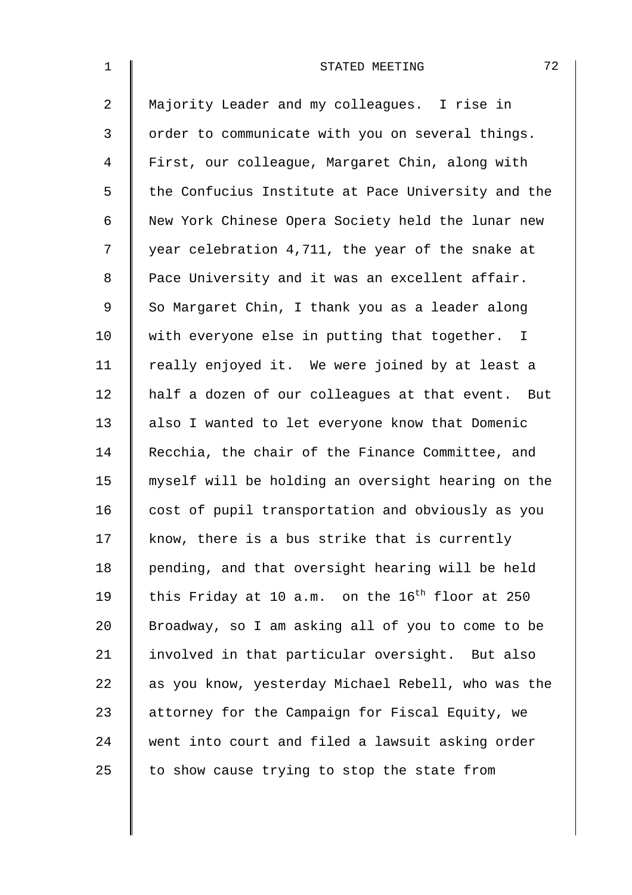| $\mathbf 1$    | 72<br>STATED MEETING                                        |
|----------------|-------------------------------------------------------------|
| $\overline{2}$ | Majority Leader and my colleagues. I rise in                |
| 3              | order to communicate with you on several things.            |
| 4              | First, our colleague, Margaret Chin, along with             |
| 5              | the Confucius Institute at Pace University and the          |
| 6              | New York Chinese Opera Society held the lunar new           |
| 7              | year celebration 4,711, the year of the snake at            |
| 8              | Pace University and it was an excellent affair.             |
| 9              | So Margaret Chin, I thank you as a leader along             |
| 10             | with everyone else in putting that together. I              |
| 11             | really enjoyed it. We were joined by at least a             |
| 12             | half a dozen of our colleagues at that event. But           |
| 13             | also I wanted to let everyone know that Domenic             |
| 14             | Recchia, the chair of the Finance Committee, and            |
| 15             | myself will be holding an oversight hearing on the          |
| 16             | cost of pupil transportation and obviously as you           |
| 17             | know, there is a bus strike that is currently               |
| 18             | pending, and that oversight hearing will be held            |
| 19             | this Friday at 10 a.m. on the 16 <sup>th</sup> floor at 250 |
| 20             | Broadway, so I am asking all of you to come to be           |
| 21             | involved in that particular oversight. But also             |
| 22             | as you know, yesterday Michael Rebell, who was the          |
| 23             | attorney for the Campaign for Fiscal Equity, we             |
| 24             | went into court and filed a lawsuit asking order            |
| 25             | to show cause trying to stop the state from                 |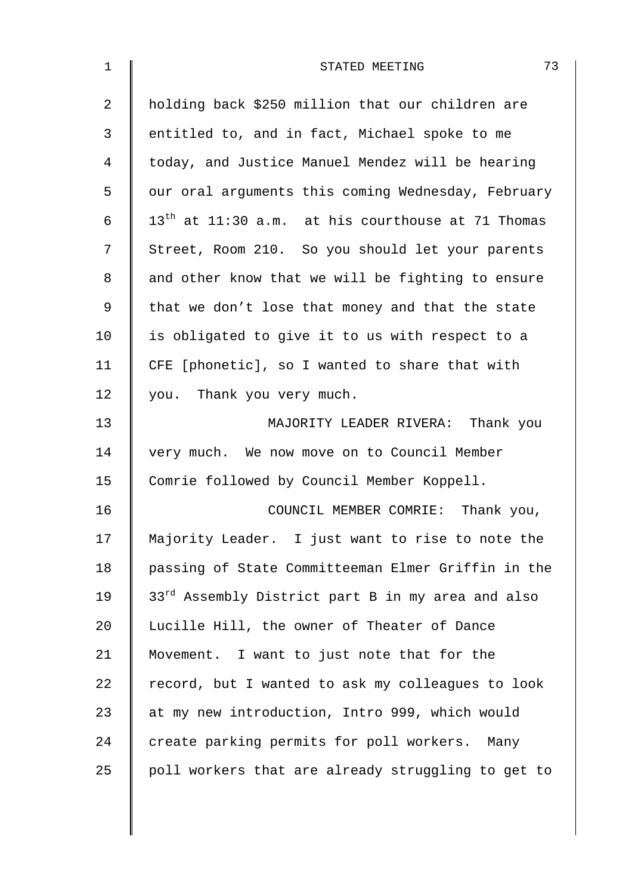| $\mathbf 1$    | 73<br>STATED MEETING                                |
|----------------|-----------------------------------------------------|
| $\overline{2}$ | holding back \$250 million that our children are    |
| 3              | entitled to, and in fact, Michael spoke to me       |
| 4              | today, and Justice Manuel Mendez will be hearing    |
| 5              | our oral arguments this coming Wednesday, February  |
| 6              | $13th$ at 11:30 a.m. at his courthouse at 71 Thomas |
| 7              | Street, Room 210. So you should let your parents    |
| 8              | and other know that we will be fighting to ensure   |
| 9              | that we don't lose that money and that the state    |
| 10             | is obligated to give it to us with respect to a     |
| 11             | CFE [phonetic], so I wanted to share that with      |
| 12             | you. Thank you very much.                           |
| 13             | MAJORITY LEADER RIVERA: Thank you                   |
| 14             | very much. We now move on to Council Member         |
| 15             | Comrie followed by Council Member Koppell.          |
| 16             | COUNCIL MEMBER COMRIE: Thank you,                   |
| 17             | Majority Leader. I just want to rise to note the    |
| 18             | passing of State Committeeman Elmer Griffin in the  |
| 19             | 33rd Assembly District part B in my area and also   |
| 20             | Lucille Hill, the owner of Theater of Dance         |
| 21             | Movement. I want to just note that for the          |
| 22             | record, but I wanted to ask my colleagues to look   |
| 23             | at my new introduction, Intro 999, which would      |
| 24             | create parking permits for poll workers. Many       |
| 25             | poll workers that are already struggling to get to  |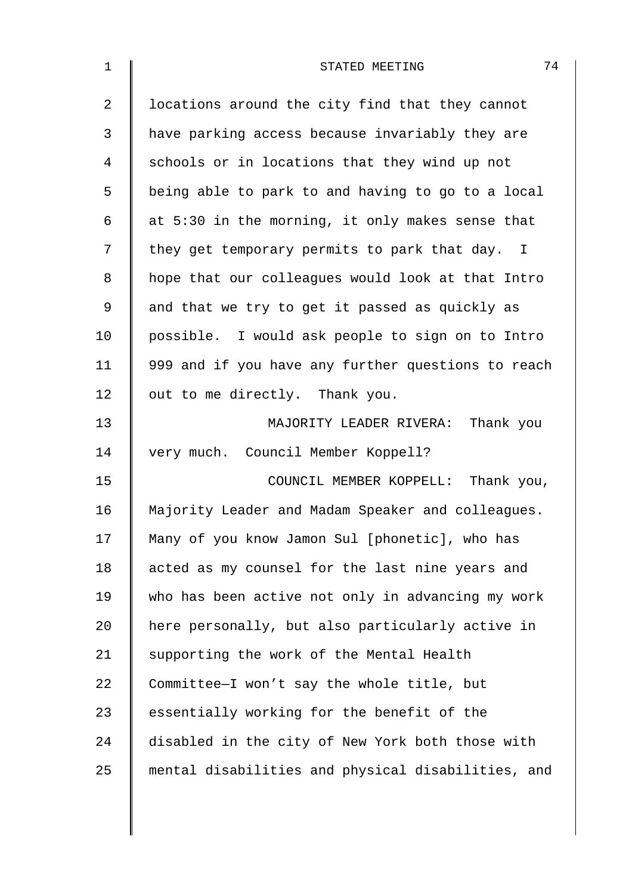| $\mathbf 1$    | 74<br>STATED MEETING                               |
|----------------|----------------------------------------------------|
| $\overline{2}$ | locations around the city find that they cannot    |
| 3              | have parking access because invariably they are    |
| 4              | schools or in locations that they wind up not      |
| 5              | being able to park to and having to go to a local  |
| 6              | at 5:30 in the morning, it only makes sense that   |
| 7              | they get temporary permits to park that day. I     |
| 8              | hope that our colleagues would look at that Intro  |
| 9              | and that we try to get it passed as quickly as     |
| 10             | possible. I would ask people to sign on to Intro   |
| 11             | 999 and if you have any further questions to reach |
| 12             | out to me directly. Thank you.                     |
| 13             | MAJORITY LEADER RIVERA: Thank you                  |
| 14             | very much. Council Member Koppell?                 |
| 15             | COUNCIL MEMBER KOPPELL: Thank you,                 |
| 16             | Majority Leader and Madam Speaker and colleagues.  |
| 17             | Many of you know Jamon Sul [phonetic], who has     |
| 18             | acted as my counsel for the last nine years and    |
| 19             | who has been active not only in advancing my work  |
| 20             | here personally, but also particularly active in   |
| 21             | supporting the work of the Mental Health           |
| 22             | Committee-I won't say the whole title, but         |
| 23             | essentially working for the benefit of the         |
| 24             | disabled in the city of New York both those with   |
| 25             | mental disabilities and physical disabilities, and |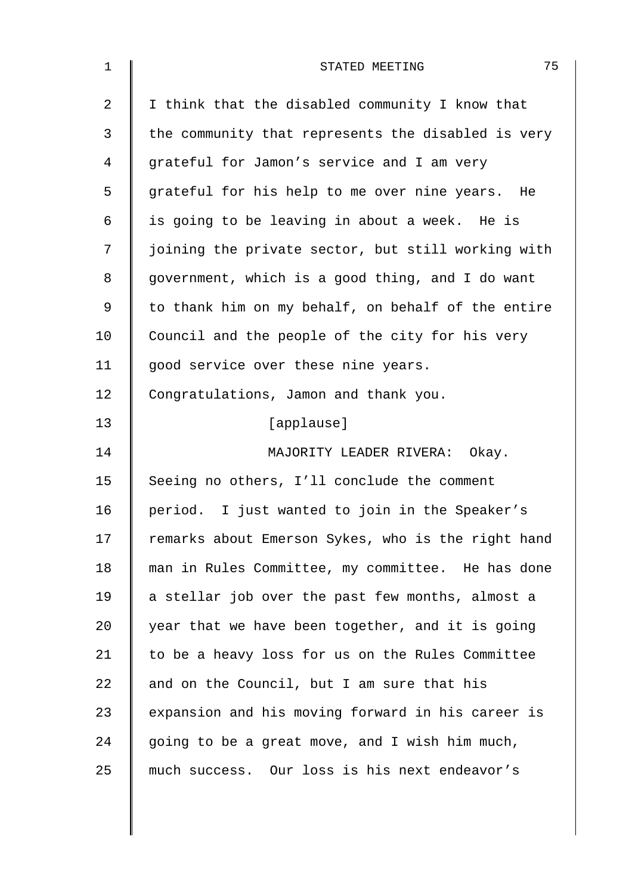| $\mathbf 1$    | 75<br>STATED MEETING                               |
|----------------|----------------------------------------------------|
| $\overline{2}$ | I think that the disabled community I know that    |
| 3              | the community that represents the disabled is very |
| 4              | grateful for Jamon's service and I am very         |
| 5              | grateful for his help to me over nine years. He    |
| 6              | is going to be leaving in about a week. He is      |
| 7              | joining the private sector, but still working with |
| 8              | government, which is a good thing, and I do want   |
| 9              | to thank him on my behalf, on behalf of the entire |
| 10             | Council and the people of the city for his very    |
| 11             | good service over these nine years.                |
| 12             | Congratulations, Jamon and thank you.              |
| 13             | [applause]                                         |
| 14             | MAJORITY LEADER RIVERA: Okay.                      |
| 15             | Seeing no others, I'll conclude the comment        |
| 16             | period. I just wanted to join in the Speaker's     |
| 17             | remarks about Emerson Sykes, who is the right hand |
| 18             | man in Rules Committee, my committee. He has done  |
| 19             | a stellar job over the past few months, almost a   |
| 20             | year that we have been together, and it is going   |
| 21             | to be a heavy loss for us on the Rules Committee   |
| 22             | and on the Council, but I am sure that his         |
| 23             | expansion and his moving forward in his career is  |
| 24             | going to be a great move, and I wish him much,     |
| 25             | much success. Our loss is his next endeavor's      |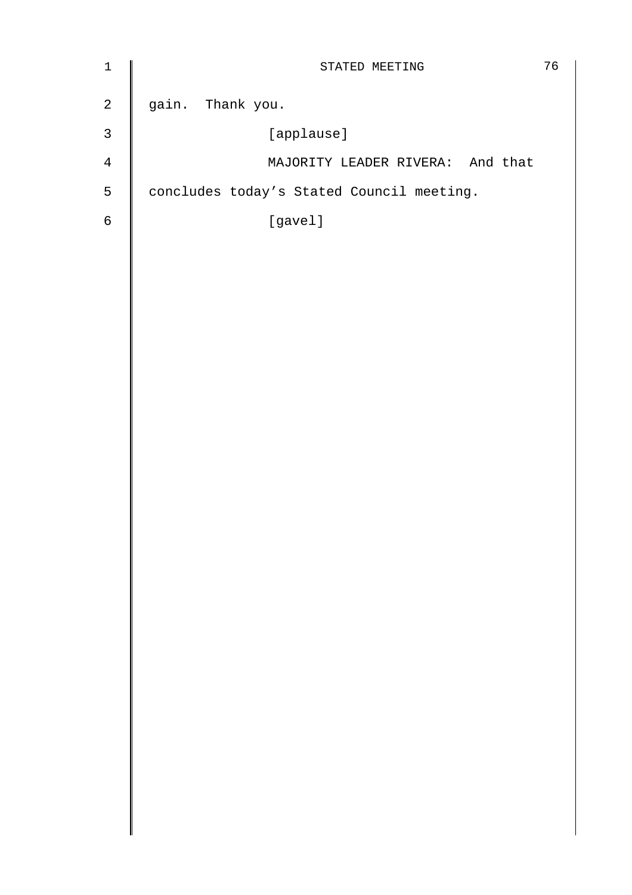| $1\,$       | STATED MEETING                            | 76 |
|-------------|-------------------------------------------|----|
| $\mathbf 2$ | gain. Thank you.                          |    |
| 3           | [applause]                                |    |
| 4           | MAJORITY LEADER RIVERA: And that          |    |
| 5           | concludes today's Stated Council meeting. |    |
| $\epsilon$  | [gavel]                                   |    |
|             |                                           |    |
|             |                                           |    |
|             |                                           |    |
|             |                                           |    |
|             |                                           |    |
|             |                                           |    |
|             |                                           |    |
|             |                                           |    |
|             |                                           |    |
|             |                                           |    |
|             |                                           |    |
|             |                                           |    |
|             |                                           |    |